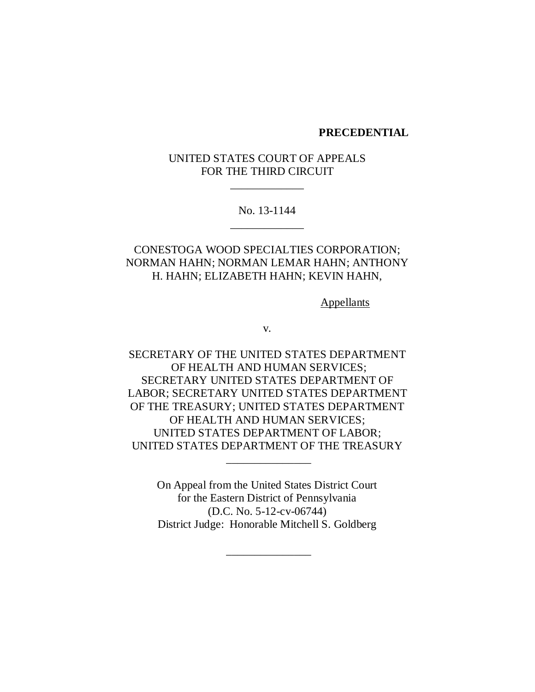#### **PRECEDENTIAL**

## UNITED STATES COURT OF APPEALS FOR THE THIRD CIRCUIT

\_\_\_\_\_\_\_\_\_\_\_\_\_

No. 13-1144 \_\_\_\_\_\_\_\_\_\_\_\_\_

# CONESTOGA WOOD SPECIALTIES CORPORATION; NORMAN HAHN; NORMAN LEMAR HAHN; ANTHONY H. HAHN; ELIZABETH HAHN; KEVIN HAHN,

**Appellants** 

v.

SECRETARY OF THE UNITED STATES DEPARTMENT OF HEALTH AND HUMAN SERVICES; SECRETARY UNITED STATES DEPARTMENT OF LABOR; SECRETARY UNITED STATES DEPARTMENT OF THE TREASURY; UNITED STATES DEPARTMENT OF HEALTH AND HUMAN SERVICES; UNITED STATES DEPARTMENT OF LABOR; UNITED STATES DEPARTMENT OF THE TREASURY

> On Appeal from the United States District Court for the Eastern District of Pennsylvania (D.C. No. 5-12-cv-06744) District Judge: Honorable Mitchell S. Goldberg

> > \_\_\_\_\_\_\_\_\_\_\_\_\_\_\_

\_\_\_\_\_\_\_\_\_\_\_\_\_\_\_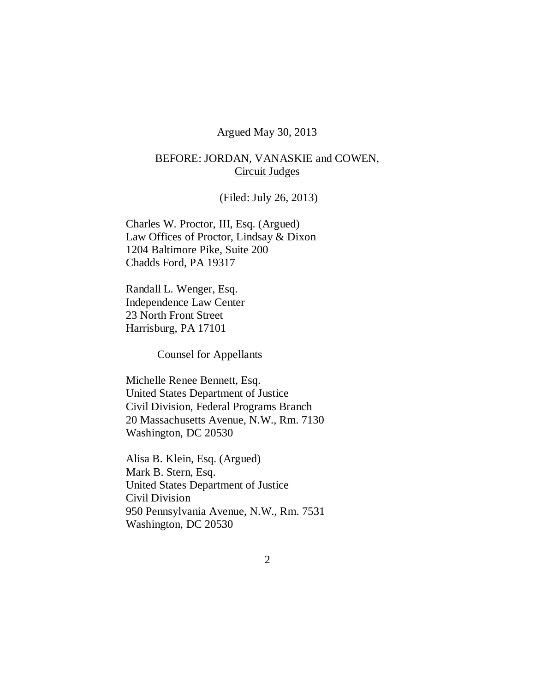### Argued May 30, 2013

# BEFORE: JORDAN, VANASKIE and COWEN, Circuit Judges

(Filed: July 26, 2013)

Charles W. Proctor, III, Esq. (Argued) Law Offices of Proctor, Lindsay & Dixon 1204 Baltimore Pike, Suite 200 Chadds Ford, PA 19317

Randall L. Wenger, Esq. Independence Law Center 23 North Front Street Harrisburg, PA 17101

Counsel for Appellants

Michelle Renee Bennett, Esq. United States Department of Justice Civil Division, Federal Programs Branch 20 Massachusetts Avenue, N.W., Rm. 7130 Washington, DC 20530

Alisa B. Klein, Esq. (Argued) Mark B. Stern, Esq. United States Department of Justice Civil Division 950 Pennsylvania Avenue, N.W., Rm. 7531 Washington, DC 20530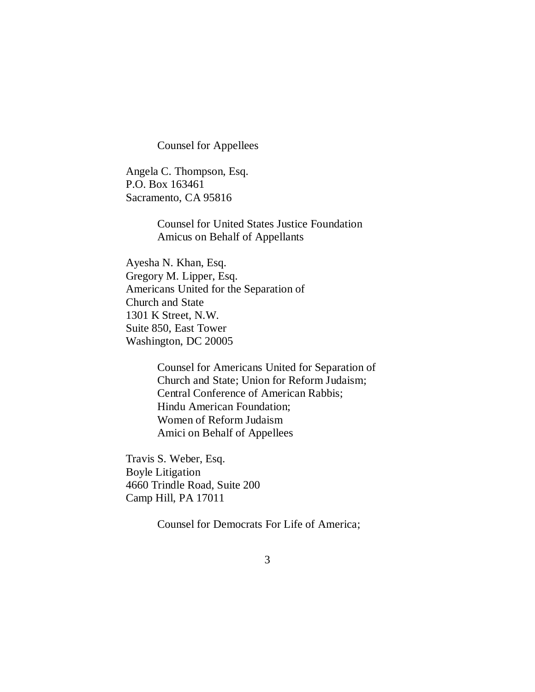Counsel for Appellees

Angela C. Thompson, Esq. P.O. Box 163461 Sacramento, CA 95816

> Counsel for United States Justice Foundation Amicus on Behalf of Appellants

Ayesha N. Khan, Esq. Gregory M. Lipper, Esq. Americans United for the Separation of Church and State 1301 K Street, N.W. Suite 850, East Tower Washington, DC 20005

> Counsel for Americans United for Separation of Church and State; Union for Reform Judaism; Central Conference of American Rabbis; Hindu American Foundation; Women of Reform Judaism Amici on Behalf of Appellees

Travis S. Weber, Esq. Boyle Litigation 4660 Trindle Road, Suite 200 Camp Hill, PA 17011

Counsel for Democrats For Life of America;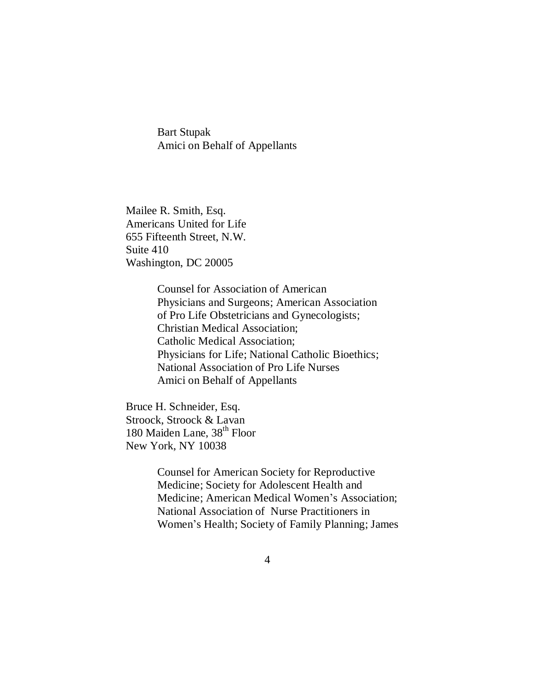Bart Stupak Amici on Behalf of Appellants

Mailee R. Smith, Esq. Americans United for Life 655 Fifteenth Street, N.W. Suite 410 Washington, DC 20005

> Counsel for Association of American Physicians and Surgeons; American Association of Pro Life Obstetricians and Gynecologists; Christian Medical Association; Catholic Medical Association; Physicians for Life; National Catholic Bioethics; National Association of Pro Life Nurses Amici on Behalf of Appellants

Bruce H. Schneider, Esq. Stroock, Stroock & Lavan 180 Maiden Lane, 38<sup>th</sup> Floor New York, NY 10038

> Counsel for American Society for Reproductive Medicine; Society for Adolescent Health and Medicine; American Medical Women's Association; National Association of Nurse Practitioners in Women's Health; Society of Family Planning; James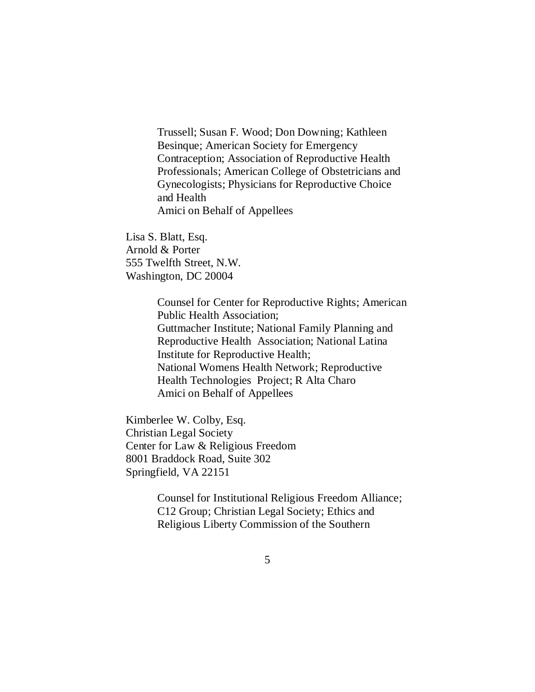Trussell; Susan F. Wood; Don Downing; Kathleen Besinque; American Society for Emergency Contraception; Association of Reproductive Health Professionals; American College of Obstetricians and Gynecologists; Physicians for Reproductive Choice and Health Amici on Behalf of Appellees

Lisa S. Blatt, Esq. Arnold & Porter 555 Twelfth Street, N.W. Washington, DC 20004

> Counsel for Center for Reproductive Rights; American Public Health Association; Guttmacher Institute; National Family Planning and Reproductive Health Association; National Latina Institute for Reproductive Health; National Womens Health Network; Reproductive Health Technologies Project; R Alta Charo Amici on Behalf of Appellees

Kimberlee W. Colby, Esq. Christian Legal Society Center for Law & Religious Freedom 8001 Braddock Road, Suite 302 Springfield, VA 22151

> Counsel for Institutional Religious Freedom Alliance; C12 Group; Christian Legal Society; Ethics and Religious Liberty Commission of the Southern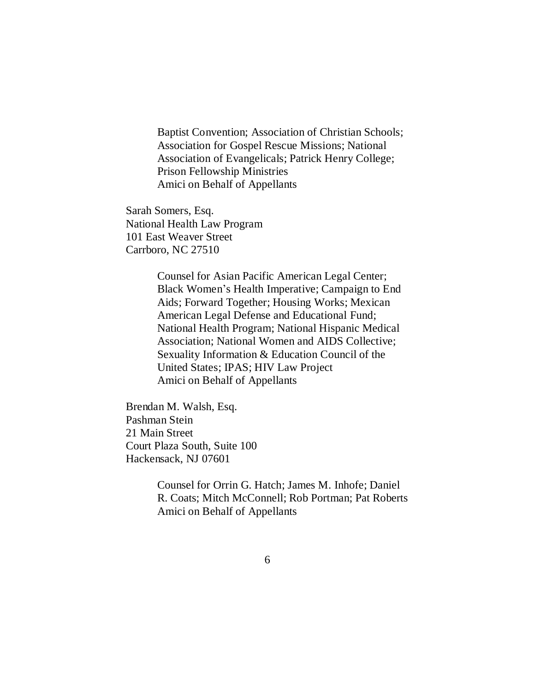Baptist Convention; Association of Christian Schools; Association for Gospel Rescue Missions; National Association of Evangelicals; Patrick Henry College; Prison Fellowship Ministries Amici on Behalf of Appellants

Sarah Somers, Esq. National Health Law Program 101 East Weaver Street Carrboro, NC 27510

> Counsel for Asian Pacific American Legal Center; Black Women's Health Imperative; Campaign to End Aids; Forward Together; Housing Works; Mexican American Legal Defense and Educational Fund; National Health Program; National Hispanic Medical Association; National Women and AIDS Collective; Sexuality Information & Education Council of the United States; IPAS; HIV Law Project Amici on Behalf of Appellants

Brendan M. Walsh, Esq. Pashman Stein 21 Main Street Court Plaza South, Suite 100 Hackensack, NJ 07601

> Counsel for Orrin G. Hatch; James M. Inhofe; Daniel R. Coats; Mitch McConnell; Rob Portman; Pat Roberts Amici on Behalf of Appellants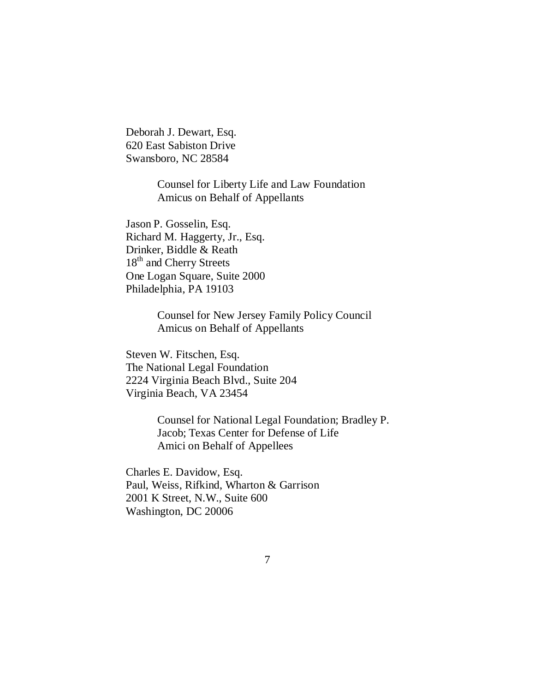Deborah J. Dewart, Esq. 620 East Sabiston Drive Swansboro, NC 28584

> Counsel for Liberty Life and Law Foundation Amicus on Behalf of Appellants

Jason P. Gosselin, Esq. Richard M. Haggerty, Jr., Esq. Drinker, Biddle & Reath 18<sup>th</sup> and Cherry Streets One Logan Square, Suite 2000 Philadelphia, PA 19103

> Counsel for New Jersey Family Policy Council Amicus on Behalf of Appellants

Steven W. Fitschen, Esq. The National Legal Foundation 2224 Virginia Beach Blvd., Suite 204 Virginia Beach, VA 23454

> Counsel for National Legal Foundation; Bradley P. Jacob; Texas Center for Defense of Life Amici on Behalf of Appellees

Charles E. Davidow, Esq. Paul, Weiss, Rifkind, Wharton & Garrison 2001 K Street, N.W., Suite 600 Washington, DC 20006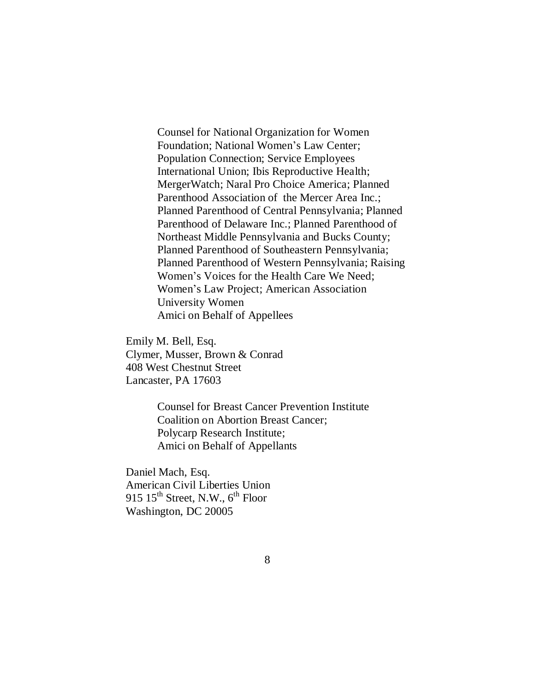Counsel for National Organization for Women Foundation; National Women's Law Center; Population Connection; Service Employees International Union; Ibis Reproductive Health; MergerWatch; Naral Pro Choice America; Planned Parenthood Association of the Mercer Area Inc.; Planned Parenthood of Central Pennsylvania; Planned Parenthood of Delaware Inc.; Planned Parenthood of Northeast Middle Pennsylvania and Bucks County; Planned Parenthood of Southeastern Pennsylvania; Planned Parenthood of Western Pennsylvania; Raising Women's Voices for the Health Care We Need; Women's Law Project; American Association University Women Amici on Behalf of Appellees

Emily M. Bell, Esq. Clymer, Musser, Brown & Conrad 408 West Chestnut Street Lancaster, PA 17603

> Counsel for Breast Cancer Prevention Institute Coalition on Abortion Breast Cancer; Polycarp Research Institute; Amici on Behalf of Appellants

Daniel Mach, Esq. American Civil Liberties Union 915  $15<sup>th</sup>$  Street, N.W.,  $6<sup>th</sup>$  Floor Washington, DC 20005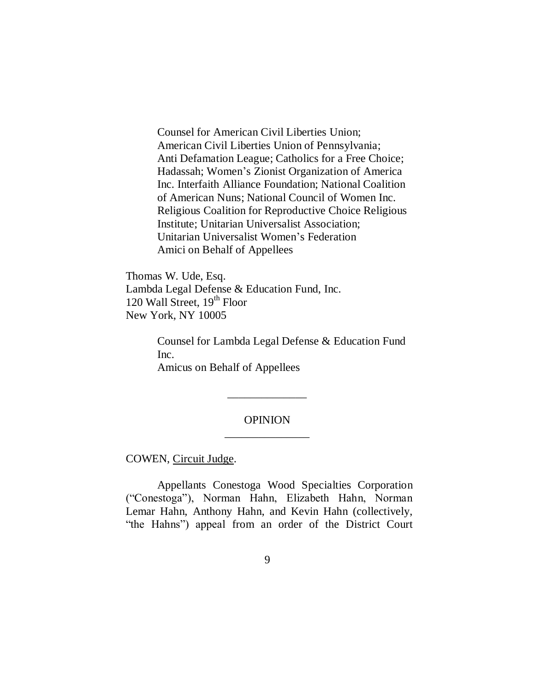Counsel for American Civil Liberties Union; American Civil Liberties Union of Pennsylvania; Anti Defamation League; Catholics for a Free Choice; Hadassah; Women's Zionist Organization of America Inc. Interfaith Alliance Foundation; National Coalition of American Nuns; National Council of Women Inc. Religious Coalition for Reproductive Choice Religious Institute; Unitarian Universalist Association; Unitarian Universalist Women's Federation Amici on Behalf of Appellees

Thomas W. Ude, Esq. Lambda Legal Defense & Education Fund, Inc. 120 Wall Street,  $19<sup>th</sup>$  Floor New York, NY 10005

> Counsel for Lambda Legal Defense & Education Fund Inc. Amicus on Behalf of Appellees

## OPINION \_\_\_\_\_\_\_\_\_\_\_\_\_\_\_

\_\_\_\_\_\_\_\_\_\_\_\_\_\_

COWEN, Circuit Judge.

Appellants Conestoga Wood Specialties Corporation (―Conestoga‖), Norman Hahn, Elizabeth Hahn, Norman Lemar Hahn, Anthony Hahn, and Kevin Hahn (collectively, "the Hahns") appeal from an order of the District Court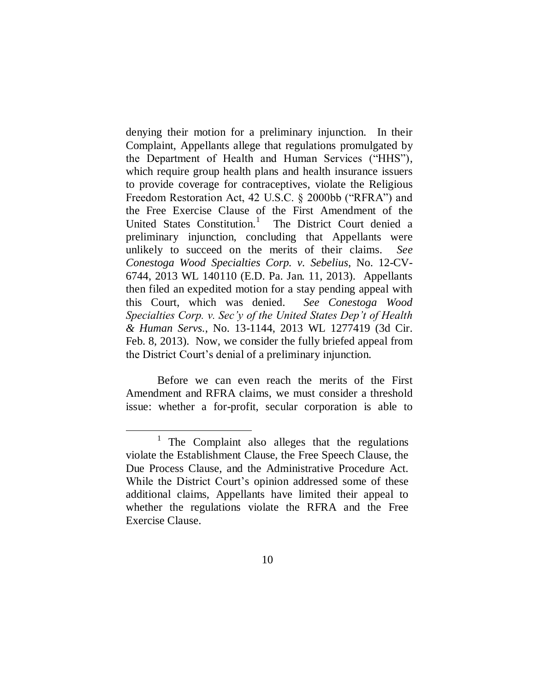denying their motion for a preliminary injunction. In their Complaint, Appellants allege that regulations promulgated by the Department of Health and Human Services ("HHS"), which require group health plans and health insurance issuers to provide coverage for contraceptives, violate the Religious Freedom Restoration Act,  $42$  U.S.C.  $\&$  2000bb ("RFRA") and the Free Exercise Clause of the First Amendment of the United States Constitution.<sup>1</sup> The District Court denied a preliminary injunction, concluding that Appellants were unlikely to succeed on the merits of their claims. *See Conestoga Wood Specialties Corp. v. Sebelius*, No. 12-CV-6744, 2013 WL 140110 (E.D. Pa. Jan. 11, 2013). Appellants then filed an expedited motion for a stay pending appeal with this Court, which was denied. *See Conestoga Wood Specialties Corp. v. Sec'y of the United States Dep't of Health & Human Servs.*, No. 13-1144, 2013 WL 1277419 (3d Cir. Feb. 8, 2013). Now, we consider the fully briefed appeal from the District Court's denial of a preliminary injunction.

Before we can even reach the merits of the First Amendment and RFRA claims, we must consider a threshold issue: whether a for-profit, secular corporation is able to

<sup>&</sup>lt;sup>1</sup> The Complaint also alleges that the regulations violate the Establishment Clause, the Free Speech Clause, the Due Process Clause, and the Administrative Procedure Act. While the District Court's opinion addressed some of these additional claims, Appellants have limited their appeal to whether the regulations violate the RFRA and the Free Exercise Clause.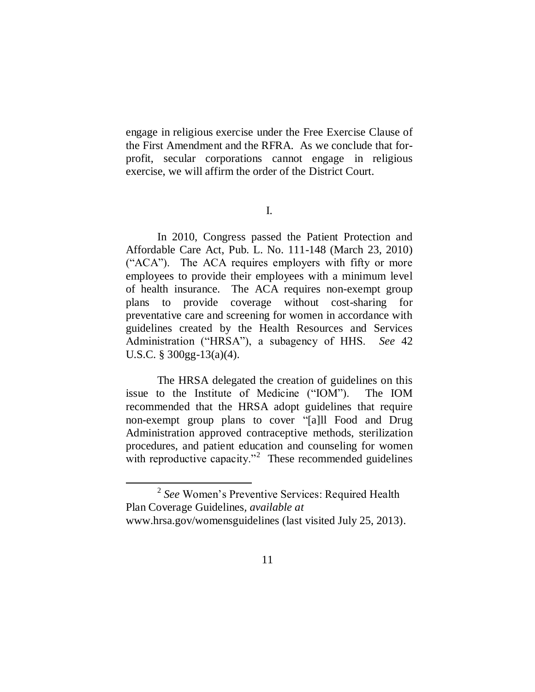engage in religious exercise under the Free Exercise Clause of the First Amendment and the RFRA. As we conclude that forprofit, secular corporations cannot engage in religious exercise, we will affirm the order of the District Court.

In 2010, Congress passed the Patient Protection and Affordable Care Act, Pub. L. No. 111-148 (March 23, 2010)  $("ACA")$ . The ACA requires employers with fifty or more employees to provide their employees with a minimum level of health insurance. The ACA requires non-exempt group plans to provide coverage without cost-sharing for preventative care and screening for women in accordance with guidelines created by the Health Resources and Services Administration ("HRSA"), a subagency of HHS. *See* 42 U.S.C. § 300gg-13(a)(4).

The HRSA delegated the creation of guidelines on this issue to the Institute of Medicine ("IOM"). The IOM recommended that the HRSA adopt guidelines that require non-exempt group plans to cover "[a]ll Food and Drug Administration approved contraceptive methods, sterilization procedures, and patient education and counseling for women with reproductive capacity. $n^2$  These recommended guidelines

 $\overline{a}$ 

I.

<sup>2</sup> *See* Women's Preventive Services: Required Health Plan Coverage Guidelines*, available at* www.hrsa.gov/womensguidelines (last visited July 25, 2013).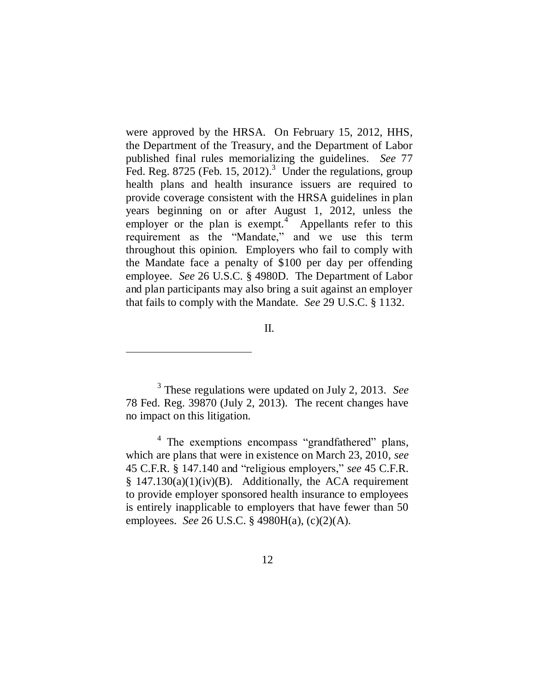were approved by the HRSA. On February 15, 2012, HHS, the Department of the Treasury, and the Department of Labor published final rules memorializing the guidelines. *See* 77 Fed. Reg.  $8725$  (Feb. 15, 2012).<sup>3</sup> Under the regulations, group health plans and health insurance issuers are required to provide coverage consistent with the HRSA guidelines in plan years beginning on or after August 1, 2012, unless the employer or the plan is exempt.<sup>4</sup> Appellants refer to this requirement as the "Mandate," and we use this term throughout this opinion. Employers who fail to comply with the Mandate face a penalty of \$100 per day per offending employee. *See* 26 U.S.C. § 4980D. The Department of Labor and plan participants may also bring a suit against an employer that fails to comply with the Mandate. *See* 29 U.S.C. § 1132.

II.

 $\overline{a}$ 

3 These regulations were updated on July 2, 2013. *See*  78 Fed. Reg. 39870 (July 2, 2013). The recent changes have no impact on this litigation.

<sup>4</sup> The exemptions encompass "grandfathered" plans, which are plans that were in existence on March 23, 2010, *see*  45 C.F.R. § 147.140 and "religious employers," see 45 C.F.R.  $§$  147.130(a)(1)(iv)(B). Additionally, the ACA requirement to provide employer sponsored health insurance to employees is entirely inapplicable to employers that have fewer than 50 employees. *See* 26 U.S.C. § 4980H(a), (c)(2)(A).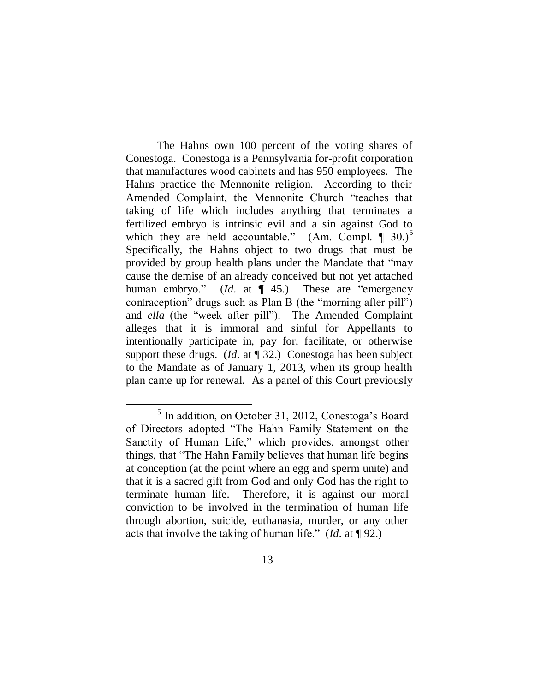The Hahns own 100 percent of the voting shares of Conestoga. Conestoga is a Pennsylvania for-profit corporation that manufactures wood cabinets and has 950 employees. The Hahns practice the Mennonite religion. According to their Amended Complaint, the Mennonite Church "teaches that taking of life which includes anything that terminates a fertilized embryo is intrinsic evil and a sin against God to which they are held accountable." (Am. Compl.  $\P$  30.)<sup>5</sup> Specifically, the Hahns object to two drugs that must be provided by group health plans under the Mandate that "may cause the demise of an already conceived but not yet attached human embryo." (*Id.* at  $\P$  45.) These are "emergency contraception" drugs such as Plan B (the "morning after pill") and *ella* (the "week after pill"). The Amended Complaint alleges that it is immoral and sinful for Appellants to intentionally participate in, pay for, facilitate, or otherwise support these drugs. (*Id.* at ¶ 32.) Conestoga has been subject to the Mandate as of January 1, 2013, when its group health plan came up for renewal. As a panel of this Court previously

 $\overline{a}$ 

<sup>&</sup>lt;sup>5</sup> In addition, on October 31, 2012, Conestoga's Board of Directors adopted "The Hahn Family Statement on the Sanctity of Human Life," which provides, amongst other things, that "The Hahn Family believes that human life begins at conception (at the point where an egg and sperm unite) and that it is a sacred gift from God and only God has the right to terminate human life. Therefore, it is against our moral conviction to be involved in the termination of human life through abortion, suicide, euthanasia, murder, or any other acts that involve the taking of human life.‖ (*Id.* at ¶ 92.)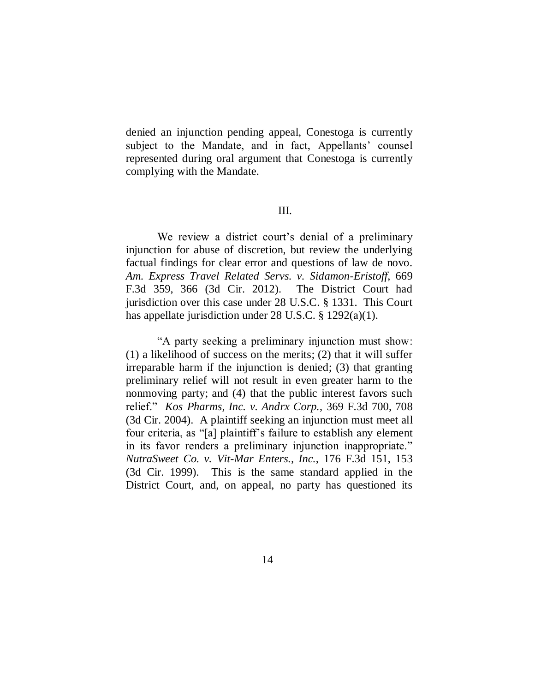denied an injunction pending appeal, Conestoga is currently subject to the Mandate, and in fact, Appellants' counsel represented during oral argument that Conestoga is currently complying with the Mandate.

#### III.

We review a district court's denial of a preliminary injunction for abuse of discretion, but review the underlying factual findings for clear error and questions of law de novo. *Am. Express Travel Related Servs. v. Sidamon-Eristoff*, 669 F.3d 359, 366 (3d Cir. 2012). The District Court had jurisdiction over this case under 28 U.S.C. § 1331. This Court has appellate jurisdiction under 28 U.S.C. § 1292(a)(1).

"A party seeking a preliminary injunction must show: (1) a likelihood of success on the merits; (2) that it will suffer irreparable harm if the injunction is denied; (3) that granting preliminary relief will not result in even greater harm to the nonmoving party; and (4) that the public interest favors such relief.‖ *Kos Pharms, Inc. v. Andrx Corp.*, 369 F.3d 700, 708 (3d Cir. 2004). A plaintiff seeking an injunction must meet all four criteria, as "[a] plaintiff's failure to establish any element in its favor renders a preliminary injunction inappropriate." *NutraSweet Co. v. Vit-Mar Enters., Inc.*, 176 F.3d 151, 153 (3d Cir. 1999). This is the same standard applied in the District Court, and, on appeal, no party has questioned its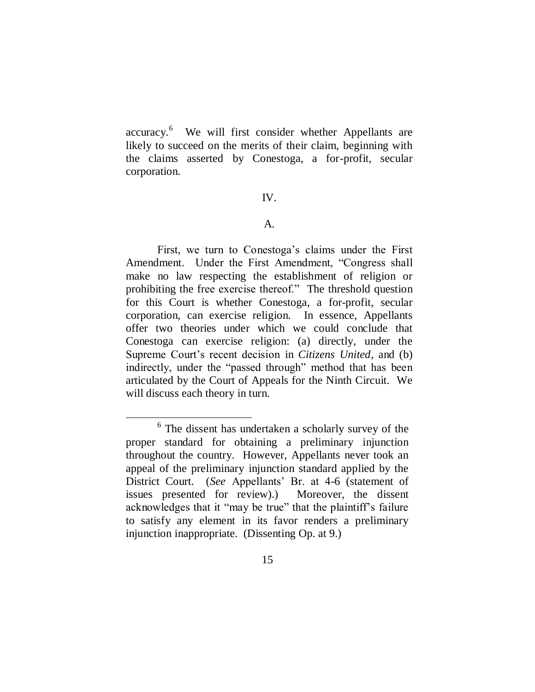accuracy. 6 We will first consider whether Appellants are likely to succeed on the merits of their claim, beginning with the claims asserted by Conestoga, a for-profit, secular corporation.

#### IV.

#### A.

First, we turn to Conestoga's claims under the First Amendment. Under the First Amendment, "Congress shall make no law respecting the establishment of religion or prohibiting the free exercise thereof.‖ The threshold question for this Court is whether Conestoga, a for-profit, secular corporation, can exercise religion. In essence, Appellants offer two theories under which we could conclude that Conestoga can exercise religion: (a) directly, under the Supreme Court's recent decision in *Citizens United*, and (b) indirectly, under the "passed through" method that has been articulated by the Court of Appeals for the Ninth Circuit. We will discuss each theory in turn.

 $\overline{a}$ 

<sup>&</sup>lt;sup>6</sup> The dissent has undertaken a scholarly survey of the proper standard for obtaining a preliminary injunction throughout the country. However, Appellants never took an appeal of the preliminary injunction standard applied by the District Court. (*See* Appellants' Br. at 4-6 (statement of issues presented for review).) Moreover, the dissent acknowledges that it "may be true" that the plaintiff's failure to satisfy any element in its favor renders a preliminary injunction inappropriate. (Dissenting Op. at 9.)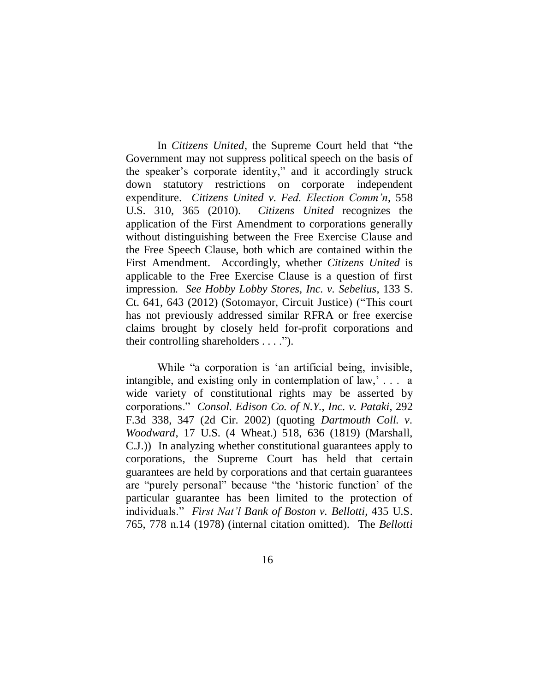In *Citizens United*, the Supreme Court held that "the Government may not suppress political speech on the basis of the speaker's corporate identity," and it accordingly struck down statutory restrictions on corporate independent expenditure. *Citizens United v. Fed. Election Comm'n*, 558 U.S. 310, 365 (2010). *Citizens United* recognizes the application of the First Amendment to corporations generally without distinguishing between the Free Exercise Clause and the Free Speech Clause, both which are contained within the First Amendment. Accordingly, whether *Citizens United* is applicable to the Free Exercise Clause is a question of first impression. *See Hobby Lobby Stores, Inc. v. Sebelius*, 133 S. Ct. 641, 643 (2012) (Sotomayor, Circuit Justice) ("This court has not previously addressed similar RFRA or free exercise claims brought by closely held for-profit corporations and their controlling shareholders  $\dots$ .").

While "a corporation is 'an artificial being, invisible, intangible, and existing only in contemplation of law,' . . . a wide variety of constitutional rights may be asserted by corporations.‖ *Consol. Edison Co. of N.Y., Inc. v. Pataki*, 292 F.3d 338, 347 (2d Cir. 2002) (quoting *Dartmouth Coll. v. Woodward*, 17 U.S. (4 Wheat.) 518, 636 (1819) (Marshall, C.J.)) In analyzing whether constitutional guarantees apply to corporations, the Supreme Court has held that certain guarantees are held by corporations and that certain guarantees are "purely personal" because "the 'historic function' of the particular guarantee has been limited to the protection of individuals.‖ *First Nat'l Bank of Boston v. Bellotti*, 435 U.S. 765, 778 n.14 (1978) (internal citation omitted). The *Bellotti*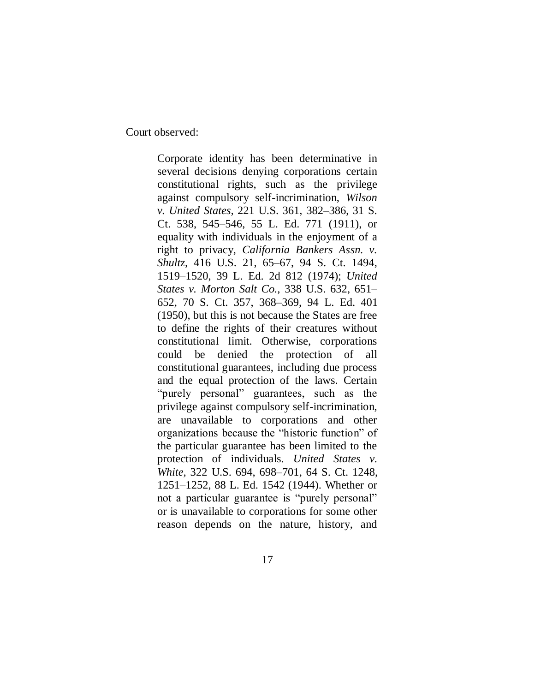Court observed:

Corporate identity has been determinative in several decisions denying corporations certain constitutional rights, such as the privilege against compulsory self-incrimination, *Wilson v. United States,* 221 U.S. 361, 382–386, 31 S. Ct. 538, 545–546, 55 L. Ed. 771 (1911), or equality with individuals in the enjoyment of a right to privacy, *California Bankers Assn. v. Shultz,* 416 U.S. 21, 65–67, 94 S. Ct. 1494, 1519–1520, 39 L. Ed. 2d 812 (1974); *United States v. Morton Salt Co.,* 338 U.S. 632, 651– 652, 70 S. Ct. 357, 368–369, 94 L. Ed. 401 (1950), but this is not because the States are free to define the rights of their creatures without constitutional limit. Otherwise, corporations could be denied the protection of all constitutional guarantees, including due process and the equal protection of the laws. Certain "purely personal" guarantees, such as the privilege against compulsory self-incrimination, are unavailable to corporations and other organizations because the "historic function" of the particular guarantee has been limited to the protection of individuals. *United States v. White,* 322 U.S. 694, 698–701, 64 S. Ct. 1248, 1251–1252, 88 L. Ed. 1542 (1944). Whether or not a particular guarantee is "purely personal" or is unavailable to corporations for some other reason depends on the nature, history, and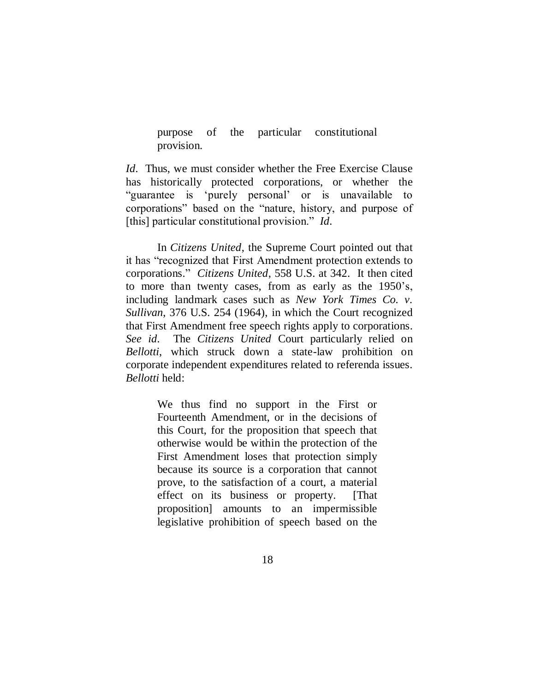purpose of the particular constitutional provision.

*Id.* Thus, we must consider whether the Free Exercise Clause has historically protected corporations, or whether the ―guarantee is ‗purely personal' or is unavailable to corporations" based on the "nature, history, and purpose of [this] particular constitutional provision." *Id.* 

In *Citizens United*, the Supreme Court pointed out that it has "recognized that First Amendment protection extends to corporations.‖ *Citizens United*, 558 U.S. at 342. It then cited to more than twenty cases, from as early as the 1950's, including landmark cases such as *New York Times Co. v. Sullivan*, 376 U.S. 254 (1964), in which the Court recognized that First Amendment free speech rights apply to corporations. *See id.* The *Citizens United* Court particularly relied on *Bellotti*, which struck down a state-law prohibition on corporate independent expenditures related to referenda issues. *Bellotti* held:

> We thus find no support in the First or Fourteenth Amendment, or in the decisions of this Court, for the proposition that speech that otherwise would be within the protection of the First Amendment loses that protection simply because its source is a corporation that cannot prove, to the satisfaction of a court, a material effect on its business or property. [That proposition] amounts to an impermissible legislative prohibition of speech based on the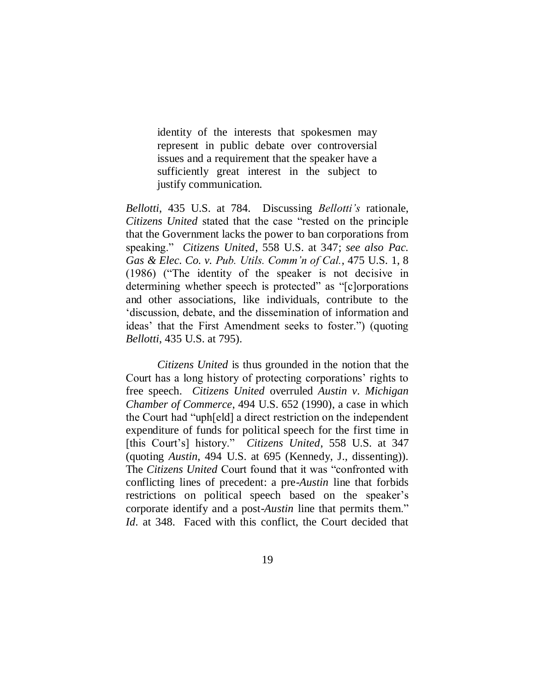identity of the interests that spokesmen may represent in public debate over controversial issues and a requirement that the speaker have a sufficiently great interest in the subject to justify communication.

*Bellotti*, 435 U.S. at 784. Discussing *Bellotti's* rationale, *Citizens United* stated that the case "rested on the principle that the Government lacks the power to ban corporations from speaking.‖ *Citizens United*, 558 U.S. at 347; *see also Pac. Gas & Elec. Co. v. Pub. Utils. Comm'n of Cal.*, 475 U.S. 1, 8  $(1986)$  ("The identity of the speaker is not decisive in determining whether speech is protected" as "[c]orporations and other associations, like individuals, contribute to the ‗discussion, debate, and the dissemination of information and ideas' that the First Amendment seeks to foster.") (quoting *Bellotti*, 435 U.S. at 795).

*Citizens United* is thus grounded in the notion that the Court has a long history of protecting corporations' rights to free speech. *Citizens United* overruled *Austin v. Michigan Chamber of Commerce*, 494 U.S. 652 (1990), a case in which the Court had "uph[eld] a direct restriction on the independent expenditure of funds for political speech for the first time in [this Court's] history." *Citizens United*, 558 U.S. at 347 (quoting *Austin*, 494 U.S. at 695 (Kennedy, J., dissenting)). The *Citizens United* Court found that it was "confronted with conflicting lines of precedent: a pre-*Austin* line that forbids restrictions on political speech based on the speaker's corporate identify and a post-*Austin* line that permits them." *Id.* at 348. Faced with this conflict, the Court decided that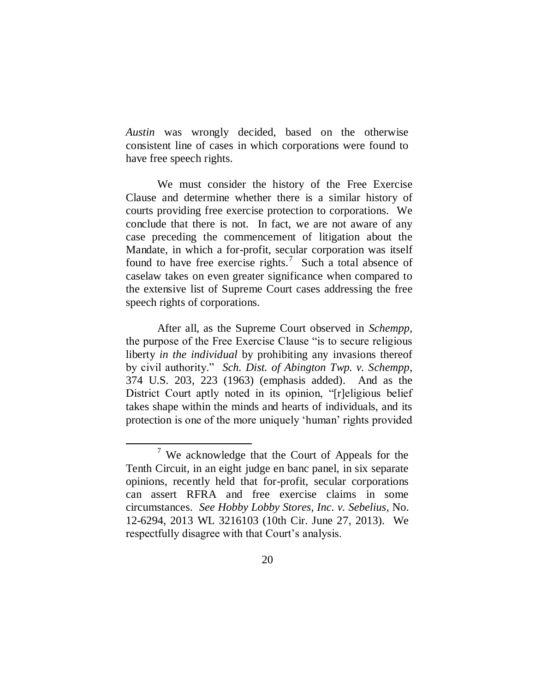*Austin* was wrongly decided, based on the otherwise consistent line of cases in which corporations were found to have free speech rights.

We must consider the history of the Free Exercise Clause and determine whether there is a similar history of courts providing free exercise protection to corporations. We conclude that there is not. In fact, we are not aware of any case preceding the commencement of litigation about the Mandate, in which a for-profit, secular corporation was itself found to have free exercise rights.<sup>7</sup> Such a total absence of caselaw takes on even greater significance when compared to the extensive list of Supreme Court cases addressing the free speech rights of corporations.

After all, as the Supreme Court observed in *Schempp*, the purpose of the Free Exercise Clause "is to secure religious liberty *in the individual* by prohibiting any invasions thereof by civil authority." *Sch. Dist. of Abington Twp. v. Schempp*, 374 U.S. 203, 223 (1963) (emphasis added). And as the District Court aptly noted in its opinion, "[r]eligious belief takes shape within the minds and hearts of individuals, and its protection is one of the more uniquely 'human' rights provided

 $\overline{a}$ 

<sup>7</sup> We acknowledge that the Court of Appeals for the Tenth Circuit, in an eight judge en banc panel, in six separate opinions, recently held that for-profit, secular corporations can assert RFRA and free exercise claims in some circumstances. *See Hobby Lobby Stores, Inc. v. Sebelius*, No. 12-6294, 2013 WL 3216103 (10th Cir. June 27, 2013). We respectfully disagree with that Court's analysis.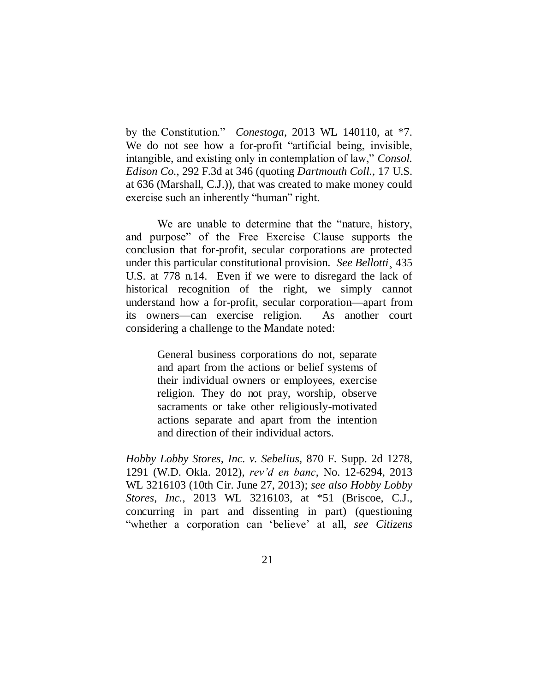by the Constitution.‖ *Conestoga*, 2013 WL 140110, at \*7. We do not see how a for-profit "artificial being, invisible, intangible, and existing only in contemplation of law," *Consol. Edison Co.*, 292 F.3d at 346 (quoting *Dartmouth Coll.*, 17 U.S. at 636 (Marshall, C.J.)), that was created to make money could exercise such an inherently "human" right.

We are unable to determine that the "nature, history, and purpose" of the Free Exercise Clause supports the conclusion that for-profit, secular corporations are protected under this particular constitutional provision. *See Bellotti*¸ 435 U.S. at 778 n.14. Even if we were to disregard the lack of historical recognition of the right, we simply cannot understand how a for-profit, secular corporation—apart from its owners—can exercise religion. As another court considering a challenge to the Mandate noted:

> General business corporations do not, separate and apart from the actions or belief systems of their individual owners or employees, exercise religion. They do not pray, worship, observe sacraments or take other religiously-motivated actions separate and apart from the intention and direction of their individual actors.

*Hobby Lobby Stores, Inc. v. Sebelius,* 870 F. Supp. 2d 1278, 1291 (W.D. Okla. 2012), *rev'd en banc*, No. 12-6294, 2013 WL 3216103 (10th Cir. June 27, 2013); *see also Hobby Lobby Stores, Inc.*, 2013 WL 3216103, at \*51 (Briscoe, C.J., concurring in part and dissenting in part) (questioning ―whether a corporation can ‗believe' at all, *see Citizens*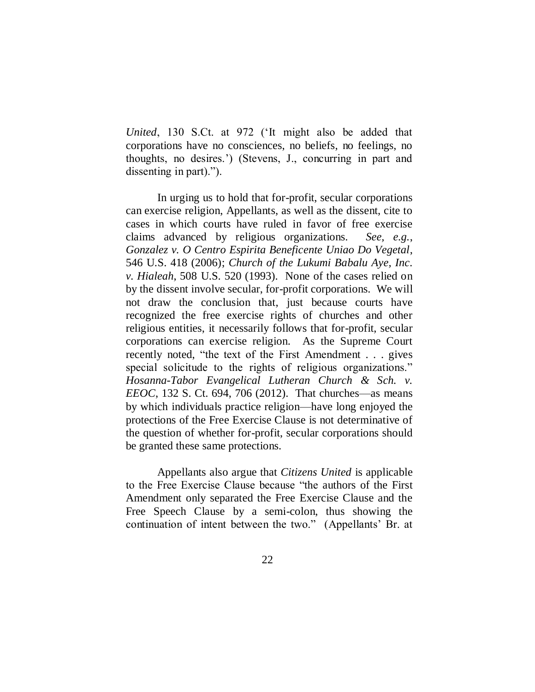*United*, 130 S.Ct. at 972 (‗It might also be added that corporations have no consciences, no beliefs, no feelings, no thoughts, no desires.') (Stevens, J., concurring in part and dissenting in part).").

In urging us to hold that for-profit, secular corporations can exercise religion, Appellants, as well as the dissent, cite to cases in which courts have ruled in favor of free exercise claims advanced by religious organizations. *See, e.g.*, *Gonzalez v. O Centro Espirita Beneficente Uniao Do Vegetal*, 546 U.S. 418 (2006); *Church of the Lukumi Babalu Aye, Inc. v. Hialeah*, 508 U.S. 520 (1993). None of the cases relied on by the dissent involve secular, for-profit corporations. We will not draw the conclusion that, just because courts have recognized the free exercise rights of churches and other religious entities, it necessarily follows that for-profit, secular corporations can exercise religion. As the Supreme Court recently noted, "the text of the First Amendment . . . gives special solicitude to the rights of religious organizations." *Hosanna-Tabor Evangelical Lutheran Church & Sch. v. EEOC*, 132 S. Ct. 694, 706 (2012). That churches—as means by which individuals practice religion—have long enjoyed the protections of the Free Exercise Clause is not determinative of the question of whether for-profit, secular corporations should be granted these same protections.

Appellants also argue that *Citizens United* is applicable to the Free Exercise Clause because "the authors of the First Amendment only separated the Free Exercise Clause and the Free Speech Clause by a semi-colon, thus showing the continuation of intent between the two." (Appellants' Br. at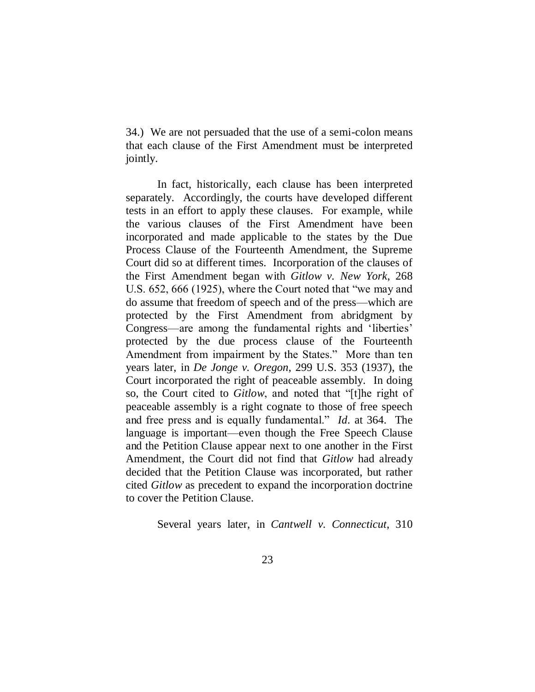34.) We are not persuaded that the use of a semi-colon means that each clause of the First Amendment must be interpreted jointly.

In fact, historically, each clause has been interpreted separately. Accordingly, the courts have developed different tests in an effort to apply these clauses. For example, while the various clauses of the First Amendment have been incorporated and made applicable to the states by the Due Process Clause of the Fourteenth Amendment, the Supreme Court did so at different times. Incorporation of the clauses of the First Amendment began with *Gitlow v. New York*, 268 U.S. 652, 666 (1925), where the Court noted that "we may and do assume that freedom of speech and of the press—which are protected by the First Amendment from abridgment by Congress—are among the fundamental rights and 'liberties' protected by the due process clause of the Fourteenth Amendment from impairment by the States." More than ten years later, in *De Jonge v. Oregon*, 299 U.S. 353 (1937), the Court incorporated the right of peaceable assembly. In doing so, the Court cited to *Gitlow*, and noted that "[t]he right of peaceable assembly is a right cognate to those of free speech and free press and is equally fundamental." *Id.* at 364. The language is important—even though the Free Speech Clause and the Petition Clause appear next to one another in the First Amendment, the Court did not find that *Gitlow* had already decided that the Petition Clause was incorporated, but rather cited *Gitlow* as precedent to expand the incorporation doctrine to cover the Petition Clause.

Several years later, in *Cantwell v. Connecticut*, 310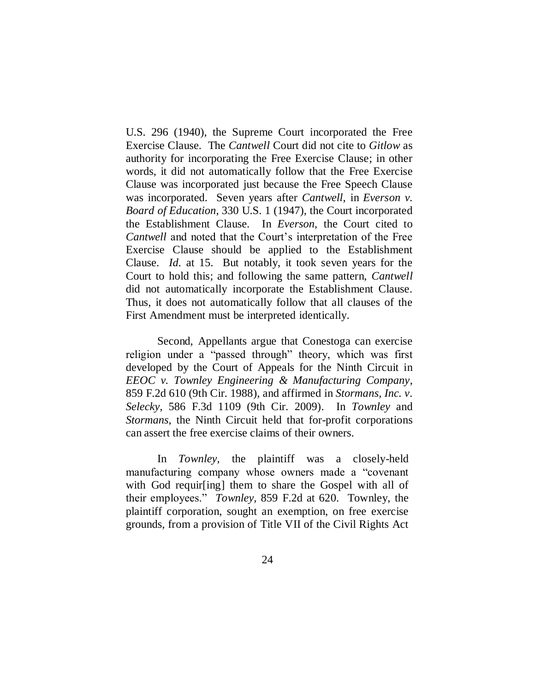U.S. 296 (1940), the Supreme Court incorporated the Free Exercise Clause. The *Cantwell* Court did not cite to *Gitlow* as authority for incorporating the Free Exercise Clause; in other words, it did not automatically follow that the Free Exercise Clause was incorporated just because the Free Speech Clause was incorporated. Seven years after *Cantwell*, in *Everson v. Board of Education*, 330 U.S. 1 (1947), the Court incorporated the Establishment Clause. In *Everson*, the Court cited to *Cantwell* and noted that the Court's interpretation of the Free Exercise Clause should be applied to the Establishment Clause. *Id.* at 15. But notably, it took seven years for the Court to hold this; and following the same pattern, *Cantwell*  did not automatically incorporate the Establishment Clause. Thus, it does not automatically follow that all clauses of the First Amendment must be interpreted identically.

Second, Appellants argue that Conestoga can exercise religion under a "passed through" theory, which was first developed by the Court of Appeals for the Ninth Circuit in *EEOC v. Townley Engineering & Manufacturing Company*, 859 F.2d 610 (9th Cir. 1988), and affirmed in *Stormans, Inc. v. Selecky*, 586 F.3d 1109 (9th Cir. 2009). In *Townley* and *Stormans*, the Ninth Circuit held that for-profit corporations can assert the free exercise claims of their owners.

In *Townley*, the plaintiff was a closely-held manufacturing company whose owners made a "covenant" with God requir[ing] them to share the Gospel with all of their employees.‖ *Townley,* 859 F.2d at 620. Townley, the plaintiff corporation, sought an exemption, on free exercise grounds, from a provision of Title VII of the Civil Rights Act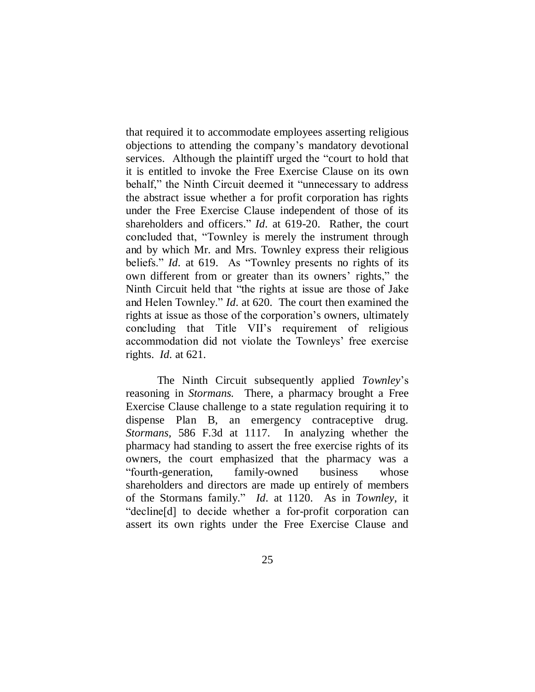that required it to accommodate employees asserting religious objections to attending the company's mandatory devotional services. Although the plaintiff urged the "court to hold that it is entitled to invoke the Free Exercise Clause on its own behalf," the Ninth Circuit deemed it "unnecessary to address the abstract issue whether a for profit corporation has rights under the Free Exercise Clause independent of those of its shareholders and officers." *Id.* at 619-20. Rather, the court concluded that, "Townley is merely the instrument through and by which Mr. and Mrs. Townley express their religious beliefs." *Id.* at 619. As "Townley presents no rights of its own different from or greater than its owners' rights," the Ninth Circuit held that "the rights at issue are those of Jake" and Helen Townley." *Id.* at 620. The court then examined the rights at issue as those of the corporation's owners, ultimately concluding that Title VII's requirement of religious accommodation did not violate the Townleys' free exercise rights. *Id.* at 621.

The Ninth Circuit subsequently applied *Townley*'s reasoning in *Stormans.* There, a pharmacy brought a Free Exercise Clause challenge to a state regulation requiring it to dispense Plan B, an emergency contraceptive drug. *Stormans,* 586 F.3d at 1117. In analyzing whether the pharmacy had standing to assert the free exercise rights of its owners, the court emphasized that the pharmacy was a "fourth-generation, family-owned business whose shareholders and directors are made up entirely of members of the Stormans family.‖ *Id.* at 1120. As in *Townley*, it "decline[d] to decide whether a for-profit corporation can assert its own rights under the Free Exercise Clause and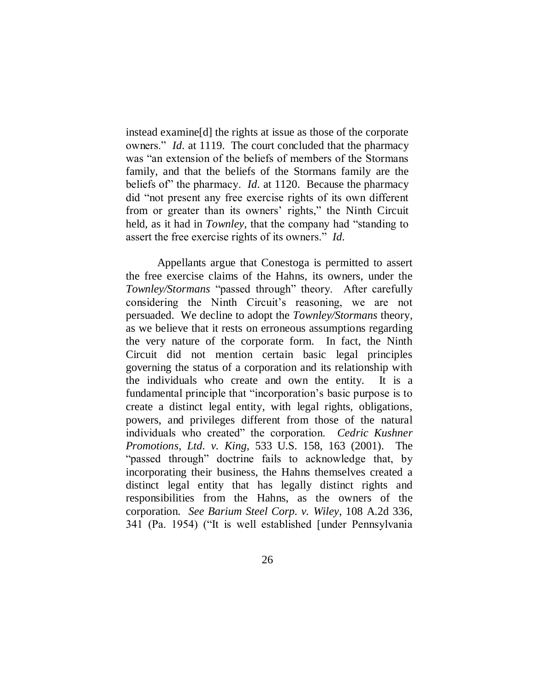instead examine[d] the rights at issue as those of the corporate owners." *Id.* at 1119. The court concluded that the pharmacy was "an extension of the beliefs of members of the Stormans" family, and that the beliefs of the Stormans family are the beliefs of" the pharmacy. *Id.* at 1120. Because the pharmacy did "not present any free exercise rights of its own different from or greater than its owners' rights," the Ninth Circuit held, as it had in *Townley*, that the company had "standing to assert the free exercise rights of its owners." *Id.* 

Appellants argue that Conestoga is permitted to assert the free exercise claims of the Hahns, its owners, under the *Townley/Stormans* "passed through" theory. After carefully considering the Ninth Circuit's reasoning, we are not persuaded. We decline to adopt the *Townley/Stormans* theory, as we believe that it rests on erroneous assumptions regarding the very nature of the corporate form. In fact, the Ninth Circuit did not mention certain basic legal principles governing the status of a corporation and its relationship with the individuals who create and own the entity. It is a fundamental principle that "incorporation's basic purpose is to create a distinct legal entity, with legal rights, obligations, powers, and privileges different from those of the natural individuals who created" the corporation. *Cedric Kushner Promotions, Ltd. v. King*, 533 U.S. 158, 163 (2001). The "passed through" doctrine fails to acknowledge that, by incorporating their business, the Hahns themselves created a distinct legal entity that has legally distinct rights and responsibilities from the Hahns, as the owners of the corporation. *See Barium Steel Corp. v. Wiley*, 108 A.2d 336, 341 (Pa. 1954) ("It is well established [under Pennsylvania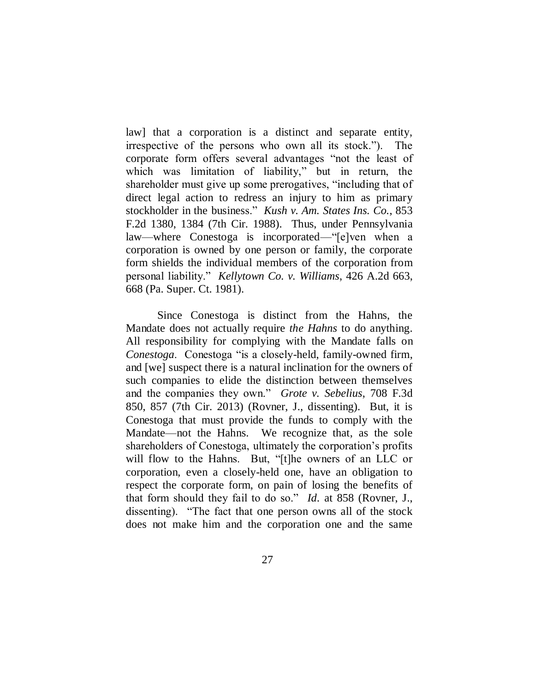law] that a corporation is a distinct and separate entity, irrespective of the persons who own all its stock.‖). The corporate form offers several advantages "not the least of which was limitation of liability," but in return, the shareholder must give up some prerogatives, "including that of direct legal action to redress an injury to him as primary stockholder in the business.‖ *Kush v. Am. States Ins. Co.*, 853 F.2d 1380, 1384 (7th Cir. 1988). Thus, under Pennsylvania law—where Conestoga is incorporated—"[e]ven when a corporation is owned by one person or family, the corporate form shields the individual members of the corporation from personal liability.‖ *Kellytown Co. v. Williams*, 426 A.2d 663, 668 (Pa. Super. Ct. 1981).

Since Conestoga is distinct from the Hahns, the Mandate does not actually require *the Hahns* to do anything. All responsibility for complying with the Mandate falls on *Conestoga.* Conestoga "is a closely-held, family-owned firm, and [we] suspect there is a natural inclination for the owners of such companies to elide the distinction between themselves and the companies they own." *Grote v. Sebelius*, 708 F.3d 850, 857 (7th Cir. 2013) (Rovner, J., dissenting). But, it is Conestoga that must provide the funds to comply with the Mandate—not the Hahns. We recognize that, as the sole shareholders of Conestoga, ultimately the corporation's profits will flow to the Hahns. But, "[t]he owners of an LLC or corporation, even a closely-held one, have an obligation to respect the corporate form, on pain of losing the benefits of that form should they fail to do so." *Id.* at 858 (Rovner, J., dissenting). "The fact that one person owns all of the stock does not make him and the corporation one and the same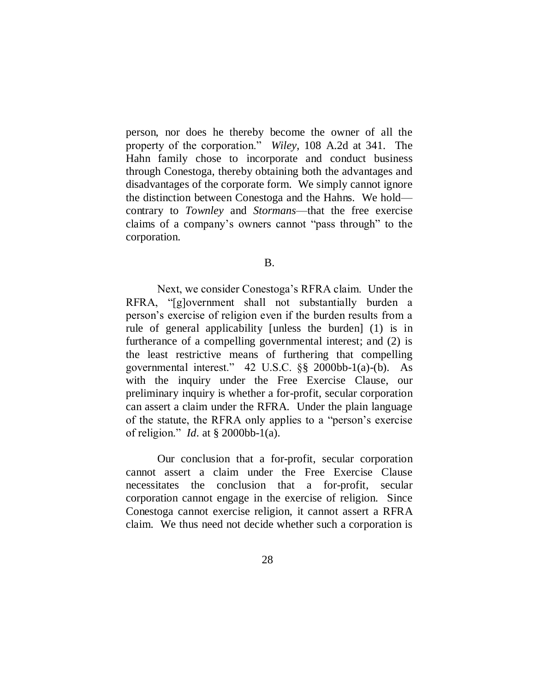person, nor does he thereby become the owner of all the property of the corporation.‖ *Wiley*, 108 A.2d at 341. The Hahn family chose to incorporate and conduct business through Conestoga, thereby obtaining both the advantages and disadvantages of the corporate form. We simply cannot ignore the distinction between Conestoga and the Hahns. We hold contrary to *Townley* and *Stormans*—that the free exercise claims of a company's owners cannot "pass through" to the corporation.

B.

Next, we consider Conestoga's RFRA claim. Under the RFRA, "[g]overnment shall not substantially burden a person's exercise of religion even if the burden results from a rule of general applicability [unless the burden] (1) is in furtherance of a compelling governmental interest; and (2) is the least restrictive means of furthering that compelling governmental interest." 42 U.S.C.  $\S$ § 2000bb-1(a)-(b). As with the inquiry under the Free Exercise Clause, our preliminary inquiry is whether a for-profit, secular corporation can assert a claim under the RFRA. Under the plain language of the statute, the RFRA only applies to a "person's exercise of religion.‖ *Id.* at § 2000bb-1(a).

Our conclusion that a for-profit, secular corporation cannot assert a claim under the Free Exercise Clause necessitates the conclusion that a for-profit, secular corporation cannot engage in the exercise of religion. Since Conestoga cannot exercise religion, it cannot assert a RFRA claim. We thus need not decide whether such a corporation is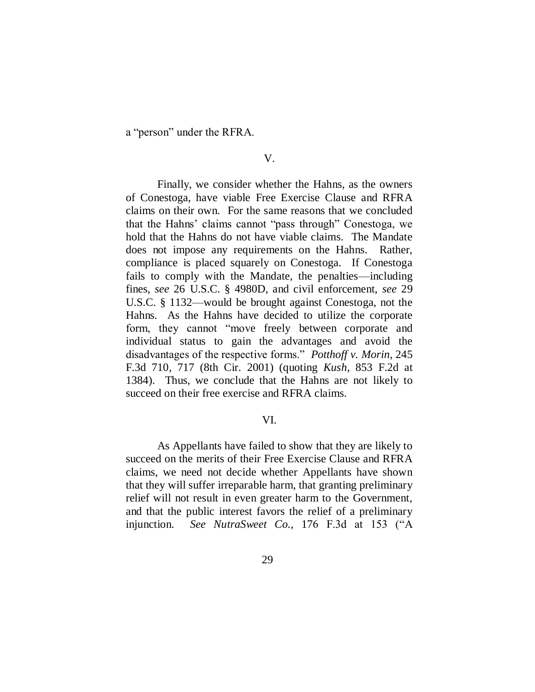a "person" under the RFRA.

Finally, we consider whether the Hahns, as the owners of Conestoga, have viable Free Exercise Clause and RFRA claims on their own. For the same reasons that we concluded that the Hahns' claims cannot "pass through" Conestoga, we hold that the Hahns do not have viable claims. The Mandate does not impose any requirements on the Hahns. Rather, compliance is placed squarely on Conestoga. If Conestoga fails to comply with the Mandate, the penalties—including fines, *see* 26 U.S.C. § 4980D, and civil enforcement, *see* 29 U.S.C. § 1132—would be brought against Conestoga, not the Hahns. As the Hahns have decided to utilize the corporate form, they cannot "move freely between corporate and individual status to gain the advantages and avoid the disadvantages of the respective forms." *Potthoff v. Morin*, 245 F.3d 710, 717 (8th Cir. 2001) (quoting *Kush*, 853 F.2d at 1384). Thus, we conclude that the Hahns are not likely to succeed on their free exercise and RFRA claims.

#### VI.

As Appellants have failed to show that they are likely to succeed on the merits of their Free Exercise Clause and RFRA claims, we need not decide whether Appellants have shown that they will suffer irreparable harm, that granting preliminary relief will not result in even greater harm to the Government, and that the public interest favors the relief of a preliminary injunction. *See NutraSweet Co.*, 176 F.3d at 153 ("A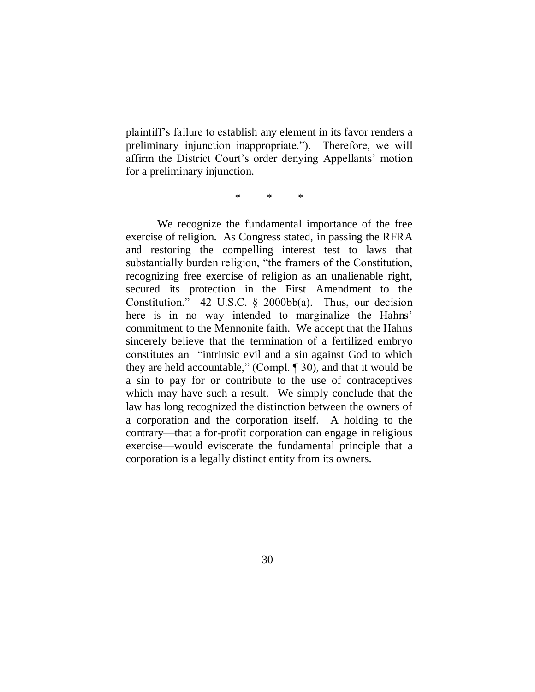plaintiff's failure to establish any element in its favor renders a preliminary injunction inappropriate."). Therefore, we will affirm the District Court's order denying Appellants' motion for a preliminary injunction.

\* \* \*

We recognize the fundamental importance of the free exercise of religion. As Congress stated, in passing the RFRA and restoring the compelling interest test to laws that substantially burden religion, "the framers of the Constitution, recognizing free exercise of religion as an unalienable right, secured its protection in the First Amendment to the Constitution." 42 U.S.C.  $\S$  2000bb(a). Thus, our decision here is in no way intended to marginalize the Hahns' commitment to the Mennonite faith. We accept that the Hahns sincerely believe that the termination of a fertilized embryo constitutes an "intrinsic evil and a sin against God to which they are held accountable," (Compl.  $\P$  30), and that it would be a sin to pay for or contribute to the use of contraceptives which may have such a result. We simply conclude that the law has long recognized the distinction between the owners of a corporation and the corporation itself. A holding to the contrary—that a for-profit corporation can engage in religious exercise—would eviscerate the fundamental principle that a corporation is a legally distinct entity from its owners.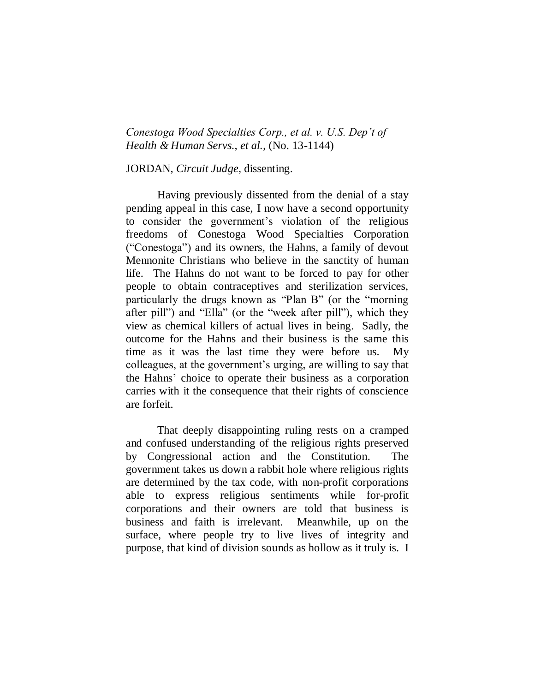*Conestoga Wood Specialties Corp., et al. v. U.S. Dep't of Health & Human Servs., et al.*, (No. 13-1144)

JORDAN, *Circuit Judge*, dissenting.

Having previously dissented from the denial of a stay pending appeal in this case, I now have a second opportunity to consider the government"s violation of the religious freedoms of Conestoga Wood Specialties Corporation ("Conestoga") and its owners, the Hahns, a family of devout Mennonite Christians who believe in the sanctity of human life. The Hahns do not want to be forced to pay for other people to obtain contraceptives and sterilization services, particularly the drugs known as "Plan B" (or the "morning after pill") and "Ella" (or the "week after pill"), which they view as chemical killers of actual lives in being. Sadly, the outcome for the Hahns and their business is the same this time as it was the last time they were before us. My colleagues, at the government"s urging, are willing to say that the Hahns" choice to operate their business as a corporation carries with it the consequence that their rights of conscience are forfeit.

That deeply disappointing ruling rests on a cramped and confused understanding of the religious rights preserved by Congressional action and the Constitution. The government takes us down a rabbit hole where religious rights are determined by the tax code, with non-profit corporations able to express religious sentiments while for-profit corporations and their owners are told that business is business and faith is irrelevant. Meanwhile, up on the surface, where people try to live lives of integrity and purpose, that kind of division sounds as hollow as it truly is. I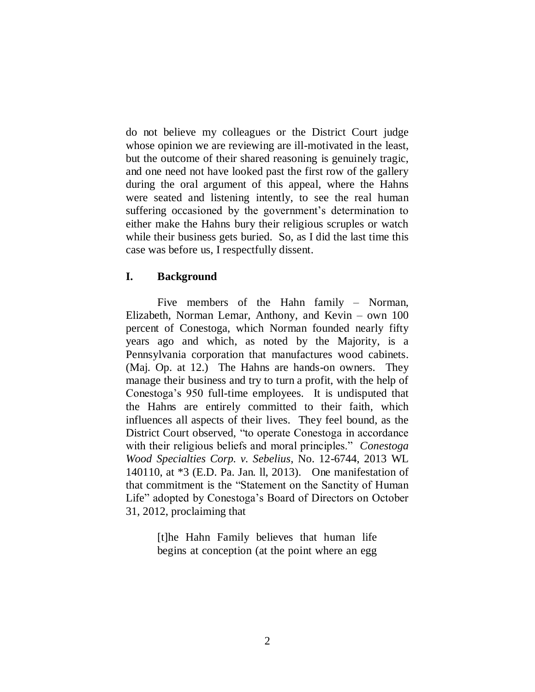do not believe my colleagues or the District Court judge whose opinion we are reviewing are ill-motivated in the least, but the outcome of their shared reasoning is genuinely tragic, and one need not have looked past the first row of the gallery during the oral argument of this appeal, where the Hahns were seated and listening intently, to see the real human suffering occasioned by the government's determination to either make the Hahns bury their religious scruples or watch while their business gets buried. So, as I did the last time this case was before us, I respectfully dissent.

## **I. Background**

Five members of the Hahn family – Norman, Elizabeth, Norman Lemar, Anthony, and Kevin – own 100 percent of Conestoga, which Norman founded nearly fifty years ago and which, as noted by the Majority, is a Pennsylvania corporation that manufactures wood cabinets. (Maj. Op. at 12.) The Hahns are hands-on owners. They manage their business and try to turn a profit, with the help of Conestoga"s 950 full-time employees. It is undisputed that the Hahns are entirely committed to their faith, which influences all aspects of their lives. They feel bound, as the District Court observed, "to operate Conestoga in accordance with their religious beliefs and moral principles." *Conestoga Wood Specialties Corp. v. Sebelius*, No. 12-6744, 2013 WL 140110, at \*3 (E.D. Pa. Jan. ll, 2013). One manifestation of that commitment is the "Statement on the Sanctity of Human Life" adopted by Conestoga"s Board of Directors on October 31, 2012, proclaiming that

> [t]he Hahn Family believes that human life begins at conception (at the point where an egg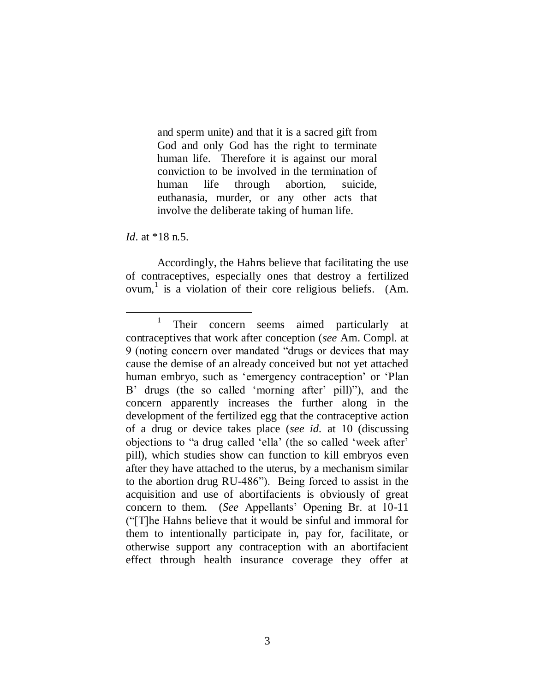and sperm unite) and that it is a sacred gift from God and only God has the right to terminate human life. Therefore it is against our moral conviction to be involved in the termination of human life through abortion, suicide, euthanasia, murder, or any other acts that involve the deliberate taking of human life.

*Id.* at \*18 n.5.

 $\overline{a}$ 

Accordingly, the Hahns believe that facilitating the use of contraceptives, especially ones that destroy a fertilized ovum,<sup>1</sup> is a violation of their core religious beliefs. (Am.

<sup>1</sup> Their concern seems aimed particularly at contraceptives that work after conception (*see* Am. Compl. at 9 (noting concern over mandated "drugs or devices that may cause the demise of an already conceived but not yet attached human embryo, such as 'emergency contraception' or 'Plan B' drugs (the so called 'morning after' pill)"), and the concern apparently increases the further along in the development of the fertilized egg that the contraceptive action of a drug or device takes place (*see id.* at 10 (discussing objections to "a drug called "ella" (the so called "week after" pill), which studies show can function to kill embryos even after they have attached to the uterus, by a mechanism similar to the abortion drug RU-486"). Being forced to assist in the acquisition and use of abortifacients is obviously of great concern to them. (*See* Appellants" Opening Br. at 10-11 ("[T]he Hahns believe that it would be sinful and immoral for them to intentionally participate in, pay for, facilitate, or otherwise support any contraception with an abortifacient effect through health insurance coverage they offer at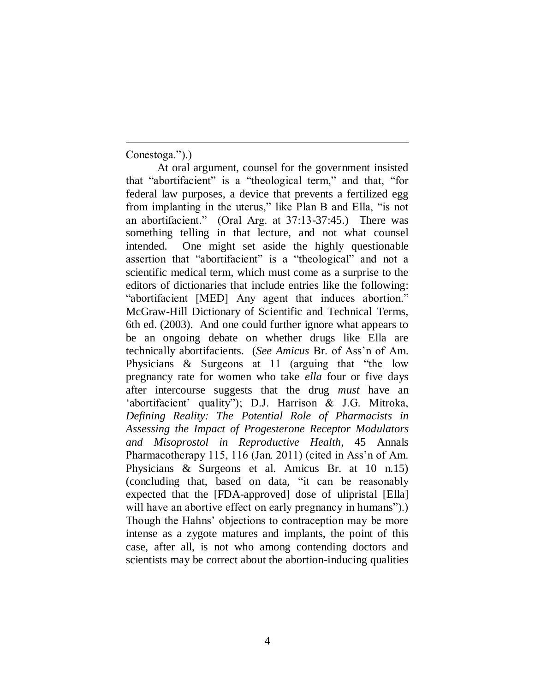Conestoga.").)

 $\overline{a}$ 

At oral argument, counsel for the government insisted that "abortifacient" is a "theological term," and that, "for federal law purposes, a device that prevents a fertilized egg from implanting in the uterus," like Plan B and Ella, "is not an abortifacient." (Oral Arg. at 37:13-37:45.) There was something telling in that lecture, and not what counsel intended. One might set aside the highly questionable assertion that "abortifacient" is a "theological" and not a scientific medical term, which must come as a surprise to the editors of dictionaries that include entries like the following: "abortifacient [MED] Any agent that induces abortion." McGraw-Hill Dictionary of Scientific and Technical Terms, 6th ed. (2003). And one could further ignore what appears to be an ongoing debate on whether drugs like Ella are technically abortifacients. (*See Amicus* Br. of Ass"n of Am. Physicians & Surgeons at 11 (arguing that "the low pregnancy rate for women who take *ella* four or five days after intercourse suggests that the drug *must* have an 'abortifacient' quality"); D.J. Harrison & J.G. Mitroka, *Defining Reality: The Potential Role of Pharmacists in Assessing the Impact of Progesterone Receptor Modulators and Misoprostol in Reproductive Health*, 45 Annals Pharmacotherapy 115, 116 (Jan. 2011) (cited in Ass'n of Am. Physicians & Surgeons et al. Amicus Br. at 10 n.15) (concluding that, based on data, "it can be reasonably expected that the [FDA-approved] dose of ulipristal [Ella] will have an abortive effect on early pregnancy in humans". Though the Hahns' objections to contraception may be more intense as a zygote matures and implants, the point of this case, after all, is not who among contending doctors and scientists may be correct about the abortion-inducing qualities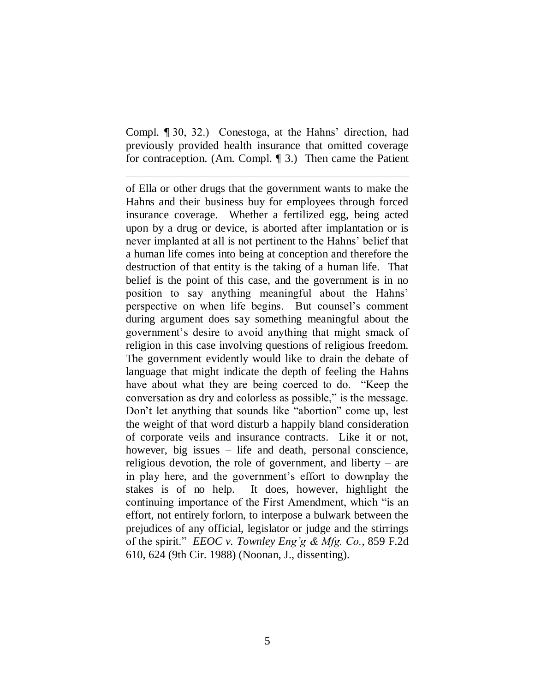Compl. ¶ 30, 32.) Conestoga, at the Hahns" direction, had previously provided health insurance that omitted coverage for contraception. (Am. Compl. ¶ 3.) Then came the Patient

 $\overline{a}$ 

of Ella or other drugs that the government wants to make the Hahns and their business buy for employees through forced insurance coverage. Whether a fertilized egg, being acted upon by a drug or device, is aborted after implantation or is never implanted at all is not pertinent to the Hahns" belief that a human life comes into being at conception and therefore the destruction of that entity is the taking of a human life. That belief is the point of this case, and the government is in no position to say anything meaningful about the Hahns" perspective on when life begins. But counsel"s comment during argument does say something meaningful about the government"s desire to avoid anything that might smack of religion in this case involving questions of religious freedom. The government evidently would like to drain the debate of language that might indicate the depth of feeling the Hahns have about what they are being coerced to do. "Keep the conversation as dry and colorless as possible," is the message. Don"t let anything that sounds like "abortion" come up, lest the weight of that word disturb a happily bland consideration of corporate veils and insurance contracts. Like it or not, however, big issues – life and death, personal conscience, religious devotion, the role of government, and liberty – are in play here, and the government's effort to downplay the stakes is of no help. It does, however, highlight the continuing importance of the First Amendment, which "is an effort, not entirely forlorn, to interpose a bulwark between the prejudices of any official, legislator or judge and the stirrings of the spirit." *EEOC v. Townley Eng'g & Mfg. Co.*, 859 F.2d 610, 624 (9th Cir. 1988) (Noonan, J., dissenting).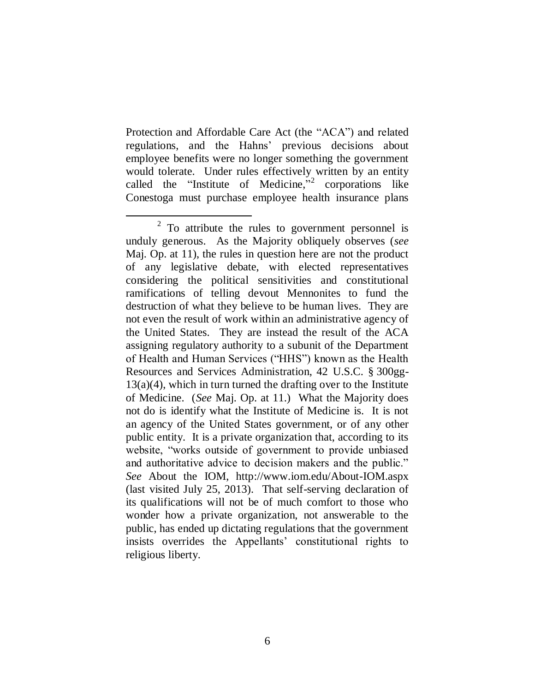Protection and Affordable Care Act (the "ACA") and related regulations, and the Hahns" previous decisions about employee benefits were no longer something the government would tolerate. Under rules effectively written by an entity called the "Institute of Medicine," corporations like Conestoga must purchase employee health insurance plans

 $\overline{a}$  $2^2$  To attribute the rules to government personnel is unduly generous. As the Majority obliquely observes (*see*  Maj. Op. at 11), the rules in question here are not the product of any legislative debate, with elected representatives considering the political sensitivities and constitutional ramifications of telling devout Mennonites to fund the destruction of what they believe to be human lives. They are not even the result of work within an administrative agency of the United States. They are instead the result of the ACA assigning regulatory authority to a subunit of the Department of Health and Human Services ("HHS") known as the Health Resources and Services Administration, 42 U.S.C. § 300gg- $13(a)(4)$ , which in turn turned the drafting over to the Institute of Medicine. (*See* Maj. Op. at 11.) What the Majority does not do is identify what the Institute of Medicine is. It is not an agency of the United States government, or of any other public entity. It is a private organization that, according to its website, "works outside of government to provide unbiased and authoritative advice to decision makers and the public." *See* About the IOM, http://www.iom.edu/About-IOM.aspx (last visited July 25, 2013). That self-serving declaration of its qualifications will not be of much comfort to those who wonder how a private organization, not answerable to the public, has ended up dictating regulations that the government insists overrides the Appellants" constitutional rights to religious liberty.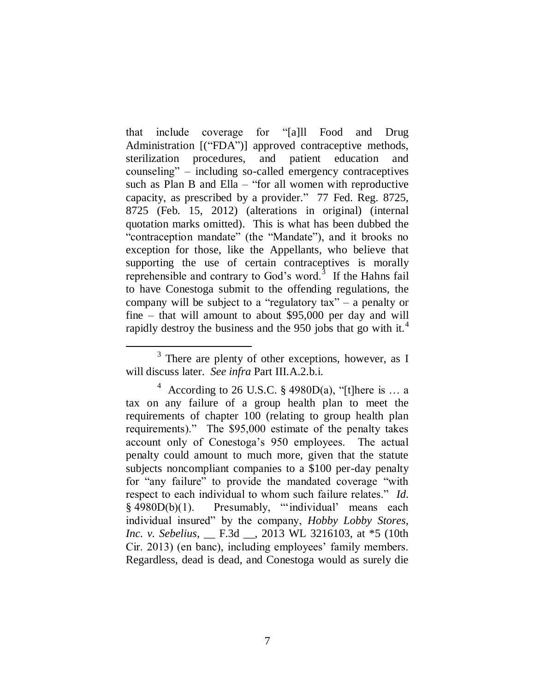that include coverage for "[a]ll Food and Drug Administration [("FDA")] approved contraceptive methods, sterilization procedures, and patient education and counseling" – including so-called emergency contraceptives such as Plan B and Ella – "for all women with reproductive capacity, as prescribed by a provider." 77 Fed. Reg. 8725, 8725 (Feb. 15, 2012) (alterations in original) (internal quotation marks omitted). This is what has been dubbed the "contraception mandate" (the "Mandate"), and it brooks no exception for those, like the Appellants, who believe that supporting the use of certain contraceptives is morally reprehensible and contrary to God's word. $3$  If the Hahns fail to have Conestoga submit to the offending regulations, the company will be subject to a "regulatory tax" – a penalty or fine – that will amount to about \$95,000 per day and will rapidly destroy the business and the 950 jobs that go with it.<sup>4</sup>

 $3$  There are plenty of other exceptions, however, as I will discuss later. *See infra* Part III.A.2.b.i.

<sup>&</sup>lt;sup>4</sup> According to 26 U.S.C. § 4980D(a), "[t]here is ... a tax on any failure of a group health plan to meet the requirements of chapter 100 (relating to group health plan requirements)." The \$95,000 estimate of the penalty takes account only of Conestoga"s 950 employees. The actual penalty could amount to much more, given that the statute subjects noncompliant companies to a \$100 per-day penalty for "any failure" to provide the mandated coverage "with respect to each individual to whom such failure relates." *Id.* § 4980D(b)(1). Presumably, ""individual" means each individual insured" by the company, *Hobby Lobby Stores, Inc. v. Sebelius*, \_\_ F.3d \_\_, 2013 WL 3216103, at \*5 (10th Cir. 2013) (en banc), including employees' family members. Regardless, dead is dead, and Conestoga would as surely die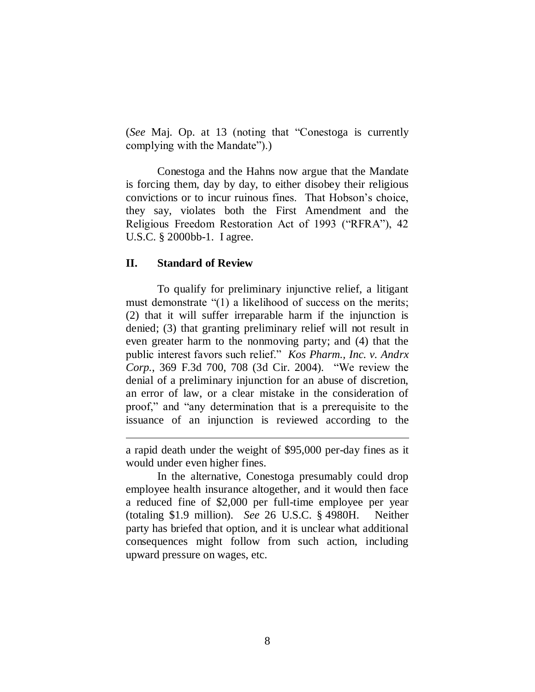(*See* Maj. Op. at 13 (noting that "Conestoga is currently complying with the Mandate").)

Conestoga and the Hahns now argue that the Mandate is forcing them, day by day, to either disobey their religious convictions or to incur ruinous fines. That Hobson"s choice, they say, violates both the First Amendment and the Religious Freedom Restoration Act of 1993 ("RFRA"), 42 U.S.C. § 2000bb-1. I agree.

#### **II. Standard of Review**

 $\overline{a}$ 

To qualify for preliminary injunctive relief, a litigant must demonstrate "(1) a likelihood of success on the merits; (2) that it will suffer irreparable harm if the injunction is denied; (3) that granting preliminary relief will not result in even greater harm to the nonmoving party; and (4) that the public interest favors such relief." *Kos Pharm., Inc. v. Andrx Corp.*, 369 F.3d 700, 708 (3d Cir. 2004). "We review the denial of a preliminary injunction for an abuse of discretion, an error of law, or a clear mistake in the consideration of proof," and "any determination that is a prerequisite to the issuance of an injunction is reviewed according to the

In the alternative, Conestoga presumably could drop employee health insurance altogether, and it would then face a reduced fine of \$2,000 per full-time employee per year (totaling \$1.9 million). *See* 26 U.S.C. § 4980H. Neither party has briefed that option, and it is unclear what additional consequences might follow from such action, including upward pressure on wages, etc.

a rapid death under the weight of \$95,000 per-day fines as it would under even higher fines.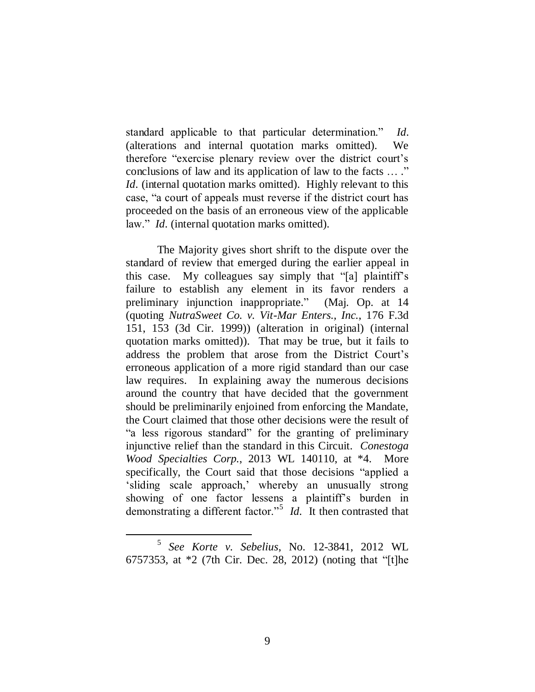standard applicable to that particular determination." *Id.* (alterations and internal quotation marks omitted). We therefore "exercise plenary review over the district court"s conclusions of law and its application of law to the facts … ." *Id.* (internal quotation marks omitted). Highly relevant to this case, "a court of appeals must reverse if the district court has proceeded on the basis of an erroneous view of the applicable law." *Id.* (internal quotation marks omitted).

The Majority gives short shrift to the dispute over the standard of review that emerged during the earlier appeal in this case. My colleagues say simply that "[a] plaintiff"s failure to establish any element in its favor renders a preliminary injunction inappropriate." (Maj. Op. at 14 (quoting *NutraSweet Co. v. Vit-Mar Enters., Inc.*, 176 F.3d 151, 153 (3d Cir. 1999)) (alteration in original) (internal quotation marks omitted)). That may be true, but it fails to address the problem that arose from the District Court"s erroneous application of a more rigid standard than our case law requires. In explaining away the numerous decisions around the country that have decided that the government should be preliminarily enjoined from enforcing the Mandate, the Court claimed that those other decisions were the result of "a less rigorous standard" for the granting of preliminary injunctive relief than the standard in this Circuit. *Conestoga Wood Specialties Corp.*, 2013 WL 140110, at \*4. More specifically, the Court said that those decisions "applied a sliding scale approach,' whereby an unusually strong showing of one factor lessens a plaintiff's burden in demonstrating a different factor."<sup>5</sup> *Id.* It then contrasted that

<sup>5</sup> *See Korte v. Sebelius*, No. 12-3841, 2012 WL 6757353, at \*2 (7th Cir. Dec. 28, 2012) (noting that "[t]he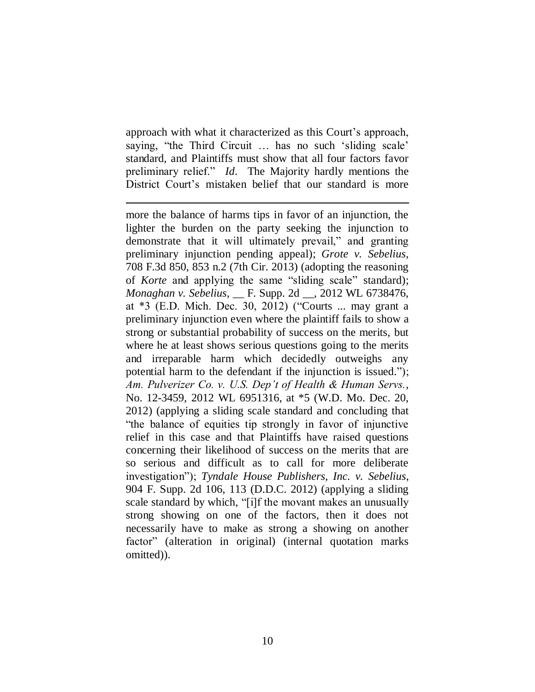approach with what it characterized as this Court's approach, saying, "the Third Circuit ... has no such 'sliding scale' standard, and Plaintiffs must show that all four factors favor preliminary relief." *Id.* The Majority hardly mentions the District Court's mistaken belief that our standard is more

l more the balance of harms tips in favor of an injunction, the lighter the burden on the party seeking the injunction to demonstrate that it will ultimately prevail," and granting preliminary injunction pending appeal); *Grote v. Sebelius*, 708 F.3d 850, 853 n.2 (7th Cir. 2013) (adopting the reasoning of *Korte* and applying the same "sliding scale" standard); *Monaghan v. Sebelius*, \_\_ F. Supp. 2d \_\_, 2012 WL 6738476, at \*3 (E.D. Mich. Dec. 30, 2012) ("Courts ... may grant a preliminary injunction even where the plaintiff fails to show a strong or substantial probability of success on the merits, but where he at least shows serious questions going to the merits and irreparable harm which decidedly outweighs any potential harm to the defendant if the injunction is issued."); *Am. Pulverizer Co. v. U.S. Dep't of Health & Human Servs.*, No. 12-3459, 2012 WL 6951316, at \*5 (W.D. Mo. Dec. 20, 2012) (applying a sliding scale standard and concluding that "the balance of equities tip strongly in favor of injunctive relief in this case and that Plaintiffs have raised questions concerning their likelihood of success on the merits that are so serious and difficult as to call for more deliberate investigation"); *Tyndale House Publishers, Inc. v. Sebelius*, 904 F. Supp. 2d 106, 113 (D.D.C. 2012) (applying a sliding scale standard by which, "[i]f the movant makes an unusually strong showing on one of the factors, then it does not necessarily have to make as strong a showing on another factor" (alteration in original) (internal quotation marks omitted)).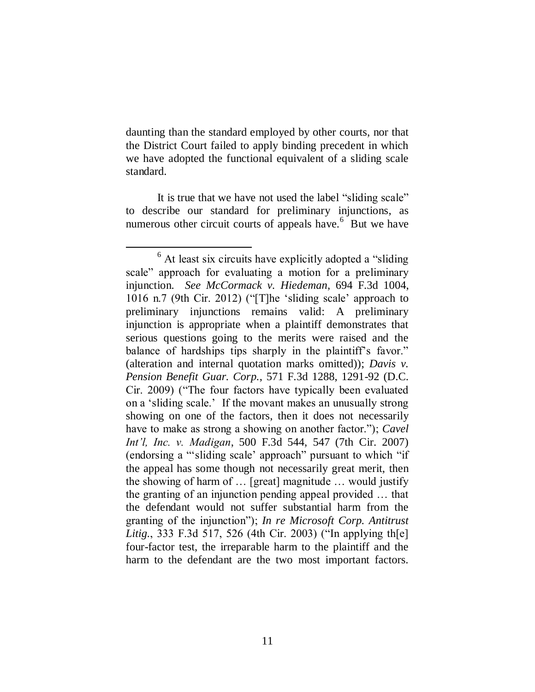daunting than the standard employed by other courts, nor that the District Court failed to apply binding precedent in which we have adopted the functional equivalent of a sliding scale standard.

It is true that we have not used the label "sliding scale" to describe our standard for preliminary injunctions, as numerous other circuit courts of appeals have.<sup>6</sup> But we have

 $\overline{a}$ <sup>6</sup> At least six circuits have explicitly adopted a "sliding" scale" approach for evaluating a motion for a preliminary injunction. *See McCormack v. Hiedeman*, 694 F.3d 1004, 1016 n.7 (9th Cir. 2012) ("[T]he "sliding scale" approach to preliminary injunctions remains valid: A preliminary injunction is appropriate when a plaintiff demonstrates that serious questions going to the merits were raised and the balance of hardships tips sharply in the plaintiff's favor." (alteration and internal quotation marks omitted)); *Davis v. Pension Benefit Guar. Corp.*, 571 F.3d 1288, 1291-92 (D.C. Cir. 2009) ("The four factors have typically been evaluated on a "sliding scale." If the movant makes an unusually strong showing on one of the factors, then it does not necessarily have to make as strong a showing on another factor."); *Cavel Int'l, Inc. v. Madigan*, 500 F.3d 544, 547 (7th Cir. 2007) (endorsing a ""sliding scale" approach" pursuant to which "if the appeal has some though not necessarily great merit, then the showing of harm of … [great] magnitude … would justify the granting of an injunction pending appeal provided … that the defendant would not suffer substantial harm from the granting of the injunction"); *In re Microsoft Corp. Antitrust Litig.*, 333 F.3d 517, 526 (4th Cir. 2003) ("In applying th[e] four-factor test, the irreparable harm to the plaintiff and the harm to the defendant are the two most important factors.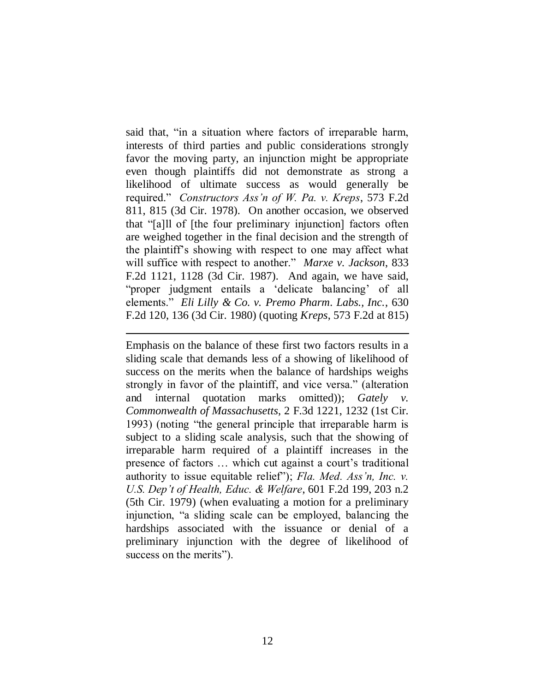said that, "in a situation where factors of irreparable harm, interests of third parties and public considerations strongly favor the moving party, an injunction might be appropriate even though plaintiffs did not demonstrate as strong a likelihood of ultimate success as would generally be required." *Constructors Ass'n of W. Pa. v. Kreps*, 573 F.2d 811, 815 (3d Cir. 1978). On another occasion, we observed that "[a]ll of [the four preliminary injunction] factors often are weighed together in the final decision and the strength of the plaintiff"s showing with respect to one may affect what will suffice with respect to another." *Marxe v. Jackson*, 833 F.2d 1121, 1128 (3d Cir. 1987). And again, we have said, "proper judgment entails a "delicate balancing" of all elements." *Eli Lilly & Co. v. Premo Pharm. Labs., Inc.*, 630 F.2d 120, 136 (3d Cir. 1980) (quoting *Kreps*, 573 F.2d at 815)

 $\overline{a}$ 

Emphasis on the balance of these first two factors results in a sliding scale that demands less of a showing of likelihood of success on the merits when the balance of hardships weighs strongly in favor of the plaintiff, and vice versa." (alteration and internal quotation marks omitted)); *Gately v. Commonwealth of Massachusetts*, 2 F.3d 1221, 1232 (1st Cir. 1993) (noting "the general principle that irreparable harm is subject to a sliding scale analysis, such that the showing of irreparable harm required of a plaintiff increases in the presence of factors … which cut against a court"s traditional authority to issue equitable relief"); *Fla. Med. Ass'n, Inc. v. U.S. Dep't of Health, Educ. & Welfare*, 601 F.2d 199, 203 n.2 (5th Cir. 1979) (when evaluating a motion for a preliminary injunction, "a sliding scale can be employed, balancing the hardships associated with the issuance or denial of a preliminary injunction with the degree of likelihood of success on the merits").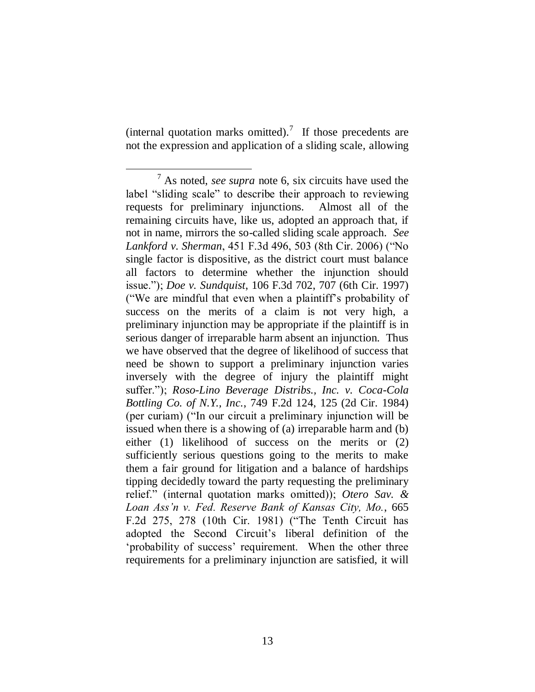(internal quotation marks omitted).<sup>7</sup> If those precedents are not the expression and application of a sliding scale, allowing

<sup>7</sup> As noted, *see supra* note 6, six circuits have used the label "sliding scale" to describe their approach to reviewing requests for preliminary injunctions. Almost all of the remaining circuits have, like us, adopted an approach that, if not in name, mirrors the so-called sliding scale approach. *See Lankford v. Sherman*, 451 F.3d 496, 503 (8th Cir. 2006) ("No single factor is dispositive, as the district court must balance all factors to determine whether the injunction should issue."); *Doe v. Sundquist*, 106 F.3d 702, 707 (6th Cir. 1997) ("We are mindful that even when a plaintiff"s probability of success on the merits of a claim is not very high, a preliminary injunction may be appropriate if the plaintiff is in serious danger of irreparable harm absent an injunction. Thus we have observed that the degree of likelihood of success that need be shown to support a preliminary injunction varies inversely with the degree of injury the plaintiff might suffer."); *Roso-Lino Beverage Distribs., Inc. v. Coca-Cola Bottling Co. of N.Y., Inc.*, 749 F.2d 124, 125 (2d Cir. 1984) (per curiam) ("In our circuit a preliminary injunction will be issued when there is a showing of (a) irreparable harm and (b) either (1) likelihood of success on the merits or (2) sufficiently serious questions going to the merits to make them a fair ground for litigation and a balance of hardships tipping decidedly toward the party requesting the preliminary relief." (internal quotation marks omitted)); *Otero Sav. & Loan Ass'n v. Fed. Reserve Bank of Kansas City, Mo.*, 665 F.2d 275, 278 (10th Cir. 1981) ("The Tenth Circuit has adopted the Second Circuit"s liberal definition of the "probability of success" requirement. When the other three requirements for a preliminary injunction are satisfied, it will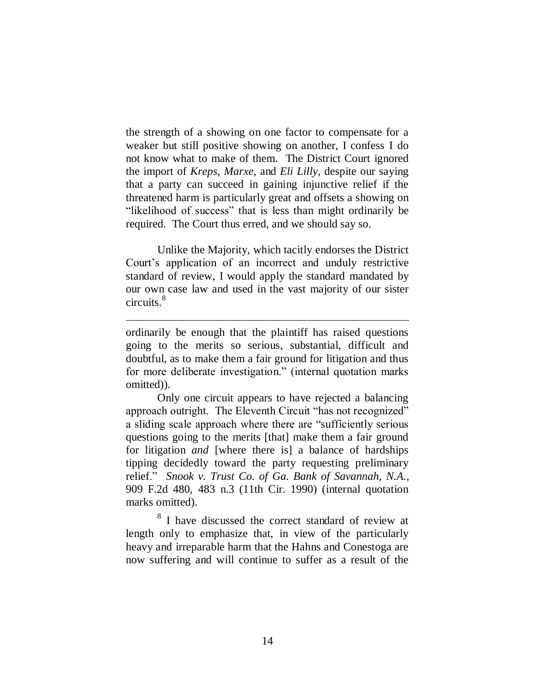the strength of a showing on one factor to compensate for a weaker but still positive showing on another, I confess I do not know what to make of them. The District Court ignored the import of *Kreps*, *Marxe*, and *Eli Lilly*, despite our saying that a party can succeed in gaining injunctive relief if the threatened harm is particularly great and offsets a showing on "likelihood of success" that is less than might ordinarily be required. The Court thus erred, and we should say so.

Unlike the Majority, which tacitly endorses the District Court"s application of an incorrect and unduly restrictive standard of review, I would apply the standard mandated by our own case law and used in the vast majority of our sister circuits. 8

ordinarily be enough that the plaintiff has raised questions going to the merits so serious, substantial, difficult and doubtful, as to make them a fair ground for litigation and thus for more deliberate investigation." (internal quotation marks omitted)).

 $\overline{a}$ 

Only one circuit appears to have rejected a balancing approach outright. The Eleventh Circuit "has not recognized" a sliding scale approach where there are "sufficiently serious questions going to the merits [that] make them a fair ground for litigation *and* [where there is] a balance of hardships tipping decidedly toward the party requesting preliminary relief." *Snook v. Trust Co. of Ga. Bank of Savannah, N.A.*, 909 F.2d 480, 483 n.3 (11th Cir. 1990) (internal quotation marks omitted).

8 I have discussed the correct standard of review at length only to emphasize that, in view of the particularly heavy and irreparable harm that the Hahns and Conestoga are now suffering and will continue to suffer as a result of the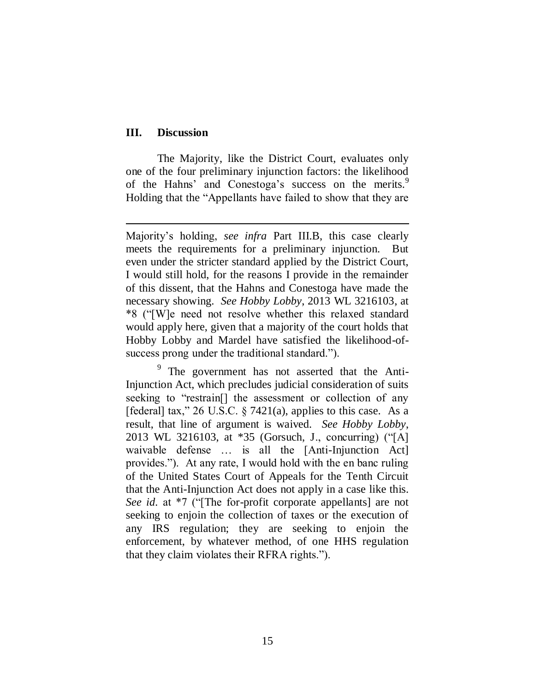### **III. Discussion**

 $\overline{a}$ 

The Majority, like the District Court, evaluates only one of the four preliminary injunction factors: the likelihood of the Hahns' and Conestoga's success on the merits.<sup>9</sup> Holding that the "Appellants have failed to show that they are

<sup>9</sup> The government has not asserted that the Anti-Injunction Act, which precludes judicial consideration of suits seeking to "restrain[] the assessment or collection of any [federal] tax," 26 U.S.C. § 7421(a), applies to this case. As a result, that line of argument is waived. *See Hobby Lobby*, 2013 WL 3216103, at \*35 (Gorsuch, J., concurring) ("[A] waivable defense … is all the [Anti-Injunction Act] provides."). At any rate, I would hold with the en banc ruling of the United States Court of Appeals for the Tenth Circuit that the Anti-Injunction Act does not apply in a case like this. *See id.* at \*7 ("[The for-profit corporate appellants] are not seeking to enjoin the collection of taxes or the execution of any IRS regulation; they are seeking to enjoin the enforcement, by whatever method, of one HHS regulation that they claim violates their RFRA rights.").

Majority"s holding, *see infra* Part III.B, this case clearly meets the requirements for a preliminary injunction. But even under the stricter standard applied by the District Court, I would still hold, for the reasons I provide in the remainder of this dissent, that the Hahns and Conestoga have made the necessary showing. *See Hobby Lobby*, 2013 WL 3216103, at \*8 ("[W]e need not resolve whether this relaxed standard would apply here, given that a majority of the court holds that Hobby Lobby and Mardel have satisfied the likelihood-ofsuccess prong under the traditional standard.").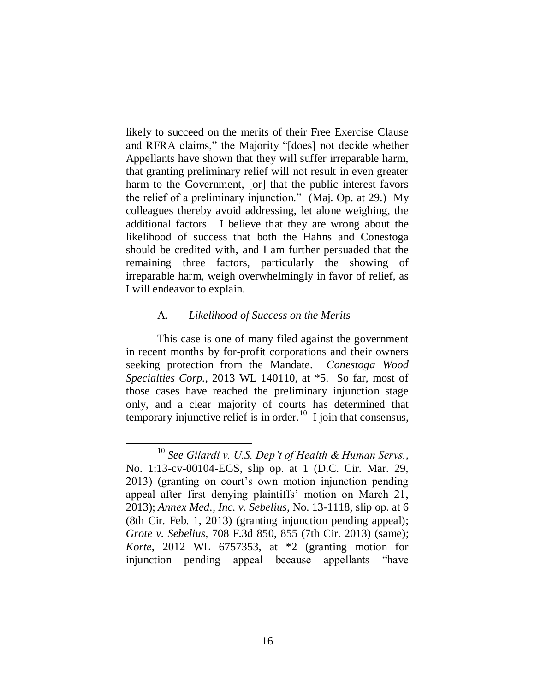likely to succeed on the merits of their Free Exercise Clause and RFRA claims," the Majority "[does] not decide whether Appellants have shown that they will suffer irreparable harm, that granting preliminary relief will not result in even greater harm to the Government, [or] that the public interest favors the relief of a preliminary injunction." (Maj. Op. at 29.) My colleagues thereby avoid addressing, let alone weighing, the additional factors. I believe that they are wrong about the likelihood of success that both the Hahns and Conestoga should be credited with, and I am further persuaded that the remaining three factors, particularly the showing of irreparable harm, weigh overwhelmingly in favor of relief, as I will endeavor to explain.

#### A. *Likelihood of Success on the Merits*

 $\overline{a}$ 

This case is one of many filed against the government in recent months by for-profit corporations and their owners seeking protection from the Mandate. *Conestoga Wood Specialties Corp.*, 2013 WL 140110, at \*5. So far, most of those cases have reached the preliminary injunction stage only, and a clear majority of courts has determined that temporary injunctive relief is in order.<sup>10</sup> I join that consensus,

<sup>10</sup> *See Gilardi v. U.S. Dep't of Health & Human Servs.*, No. 1:13-cv-00104-EGS, slip op. at 1 (D.C. Cir. Mar. 29, 2013) (granting on court"s own motion injunction pending appeal after first denying plaintiffs' motion on March 21, 2013); *Annex Med., Inc. v. Sebelius*, No. 13-1118, slip op. at 6 (8th Cir. Feb. 1, 2013) (granting injunction pending appeal); *Grote v. Sebelius*, 708 F.3d 850, 855 (7th Cir. 2013) (same); *Korte*, 2012 WL 6757353, at \*2 (granting motion for injunction pending appeal because appellants "have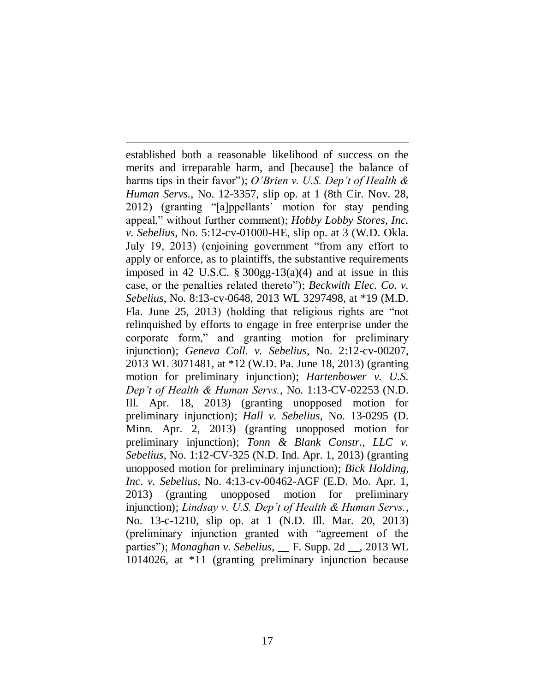$\overline{a}$ established both a reasonable likelihood of success on the merits and irreparable harm, and [because] the balance of harms tips in their favor"); *O'Brien v. U.S. Dep't of Health & Human Servs.*, No. 12-3357, slip op. at 1 (8th Cir. Nov. 28, 2012) (granting "[a]ppellants" motion for stay pending appeal," without further comment); *Hobby Lobby Stores, Inc. v. Sebelius*, No. 5:12-cv-01000-HE, slip op. at 3 (W.D. Okla. July 19, 2013) (enjoining government "from any effort to apply or enforce, as to plaintiffs, the substantive requirements imposed in 42 U.S.C.  $\S 300gg-13(a)(4)$  and at issue in this case, or the penalties related thereto"); *Beckwith Elec. Co. v. Sebelius*, No. 8:13-cv-0648, 2013 WL 3297498, at \*19 (M.D. Fla. June 25, 2013) (holding that religious rights are "not relinquished by efforts to engage in free enterprise under the corporate form," and granting motion for preliminary injunction); *Geneva Coll. v. Sebelius*, No. 2:12-cv-00207, 2013 WL 3071481, at \*12 (W.D. Pa. June 18, 2013) (granting motion for preliminary injunction); *Hartenbower v. U.S. Dep't of Health & Human Servs.*, No. 1:13-CV-02253 (N.D. Ill. Apr. 18, 2013) (granting unopposed motion for preliminary injunction); *Hall v. Sebelius*, No. 13-0295 (D. Minn. Apr. 2, 2013) (granting unopposed motion for preliminary injunction); *Tonn & Blank Constr., LLC v. Sebelius*, No. 1:12-CV-325 (N.D. Ind. Apr. 1, 2013) (granting unopposed motion for preliminary injunction); *Bick Holding, Inc. v. Sebelius*, No. 4:13-cv-00462-AGF (E.D. Mo. Apr. 1, 2013) (granting unopposed motion for preliminary injunction); *Lindsay v. U.S. Dep't of Health & Human Servs.*, No. 13-c-1210, slip op. at 1 (N.D. Ill. Mar. 20, 2013) (preliminary injunction granted with "agreement of the parties"); *Monaghan v. Sebelius*, \_\_ F. Supp. 2d \_\_, 2013 WL 1014026, at \*11 (granting preliminary injunction because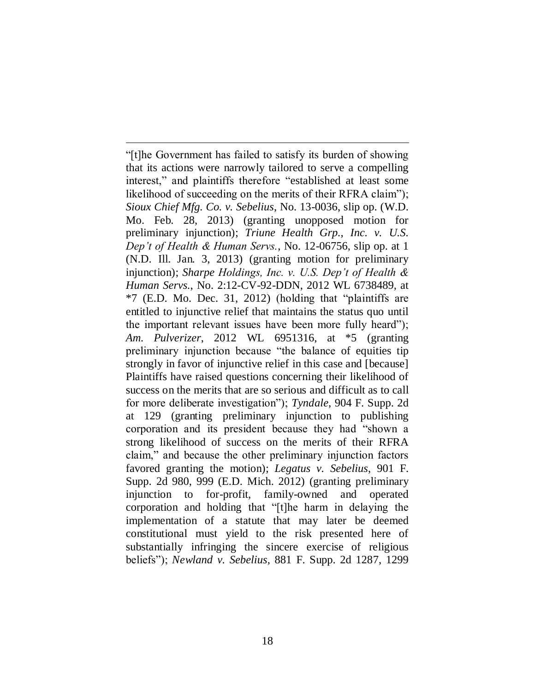"[t]he Government has failed to satisfy its burden of showing that its actions were narrowly tailored to serve a compelling interest," and plaintiffs therefore "established at least some likelihood of succeeding on the merits of their RFRA claim"); *Sioux Chief Mfg. Co. v. Sebelius*, No. 13-0036, slip op. (W.D. Mo. Feb. 28, 2013) (granting unopposed motion for preliminary injunction); *Triune Health Grp., Inc. v. U.S. Dep't of Health & Human Servs.*, No. 12-06756, slip op. at 1 (N.D. Ill. Jan. 3, 2013) (granting motion for preliminary injunction); *Sharpe Holdings, Inc. v. U.S. Dep't of Health & Human Servs.*, No. 2:12-CV-92-DDN, 2012 WL 6738489, at \*7 (E.D. Mo. Dec. 31, 2012) (holding that "plaintiffs are entitled to injunctive relief that maintains the status quo until the important relevant issues have been more fully heard"); *Am. Pulverizer*, 2012 WL 6951316, at \*5 (granting preliminary injunction because "the balance of equities tip strongly in favor of injunctive relief in this case and [because] Plaintiffs have raised questions concerning their likelihood of success on the merits that are so serious and difficult as to call for more deliberate investigation"); *Tyndale*, 904 F. Supp. 2d at 129 (granting preliminary injunction to publishing corporation and its president because they had "shown a strong likelihood of success on the merits of their RFRA claim," and because the other preliminary injunction factors favored granting the motion); *Legatus v. Sebelius*, 901 F. Supp. 2d 980, 999 (E.D. Mich. 2012) (granting preliminary injunction to for-profit, family-owned and operated corporation and holding that "[t]he harm in delaying the implementation of a statute that may later be deemed constitutional must yield to the risk presented here of substantially infringing the sincere exercise of religious beliefs"); *Newland v. Sebelius*, 881 F. Supp. 2d 1287, 1299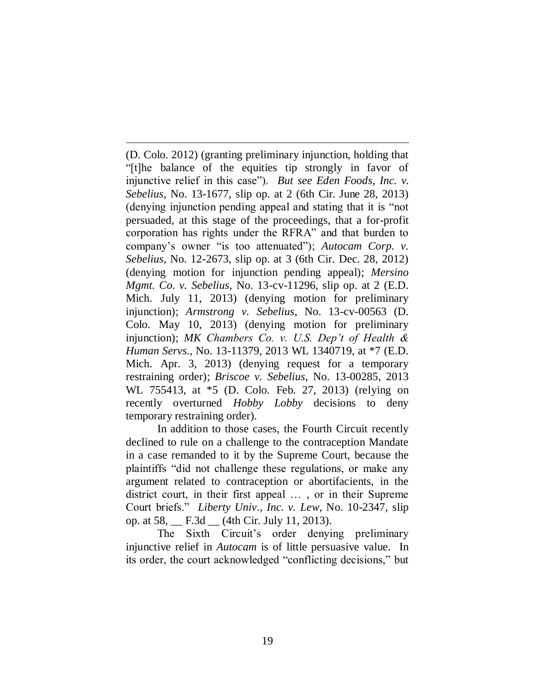(D. Colo. 2012) (granting preliminary injunction, holding that "[t]he balance of the equities tip strongly in favor of injunctive relief in this case"). *But see Eden Foods, Inc. v. Sebelius*, No. 13-1677, slip op. at 2 (6th Cir. June 28, 2013) (denying injunction pending appeal and stating that it is "not persuaded, at this stage of the proceedings, that a for-profit corporation has rights under the RFRA" and that burden to company"s owner "is too attenuated"); *Autocam Corp. v. Sebelius*, No. 12-2673, slip op. at 3 (6th Cir. Dec. 28, 2012) (denying motion for injunction pending appeal); *Mersino Mgmt. Co. v. Sebelius*, No. 13-cv-11296, slip op. at 2 (E.D. Mich. July 11, 2013) (denying motion for preliminary injunction); *Armstrong v. Sebelius*, No. 13-cv-00563 (D. Colo. May 10, 2013) (denying motion for preliminary injunction); *MK Chambers Co. v. U.S. Dep't of Health & Human Servs.*, No. 13-11379, 2013 WL 1340719, at \*7 (E.D. Mich. Apr. 3, 2013) (denying request for a temporary restraining order); *Briscoe v. Sebelius*, No. 13-00285, 2013 WL 755413, at \*5 (D. Colo. Feb. 27, 2013) (relying on recently overturned *Hobby Lobby* decisions to deny temporary restraining order).

 $\overline{a}$ 

In addition to those cases, the Fourth Circuit recently declined to rule on a challenge to the contraception Mandate in a case remanded to it by the Supreme Court, because the plaintiffs "did not challenge these regulations, or make any argument related to contraception or abortifacients, in the district court, in their first appeal … , or in their Supreme Court briefs." *Liberty Univ., Inc. v. Lew*, No. 10-2347, slip op. at 58, \_\_ F.3d \_\_ (4th Cir. July 11, 2013).

The Sixth Circuit's order denying preliminary injunctive relief in *Autocam* is of little persuasive value. In its order, the court acknowledged "conflicting decisions," but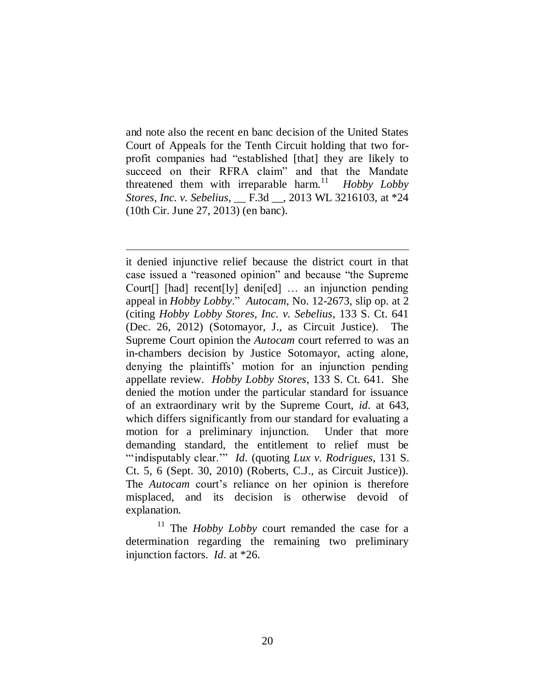and note also the recent en banc decision of the United States Court of Appeals for the Tenth Circuit holding that two forprofit companies had "established [that] they are likely to succeed on their RFRA claim" and that the Mandate threatened them with irreparable harm.<sup>11</sup> *Hobby Lobby Stores, Inc. v. Sebelius*, \_\_ F.3d \_\_, 2013 WL 3216103, at \*24 (10th Cir. June 27, 2013) (en banc).

 $\overline{a}$ 

it denied injunctive relief because the district court in that case issued a "reasoned opinion" and because "the Supreme Court[] [had] recent[ly] deni[ed] … an injunction pending appeal in *Hobby Lobby*." *Autocam*, No. 12-2673, slip op. at 2 (citing *Hobby Lobby Stores, Inc. v. Sebelius*, 133 S. Ct. 641 (Dec. 26, 2012) (Sotomayor, J., as Circuit Justice). The Supreme Court opinion the *Autocam* court referred to was an in-chambers decision by Justice Sotomayor, acting alone, denying the plaintiffs" motion for an injunction pending appellate review. *Hobby Lobby Stores*, 133 S. Ct. 641. She denied the motion under the particular standard for issuance of an extraordinary writ by the Supreme Court, *id.* at 643, which differs significantly from our standard for evaluating a motion for a preliminary injunction. Under that more demanding standard, the entitlement to relief must be ""indisputably clear."" *Id.* (quoting *Lux v. Rodrigues*, 131 S. Ct. 5, 6 (Sept. 30, 2010) (Roberts, C.J., as Circuit Justice)). The *Autocam* court's reliance on her opinion is therefore misplaced, and its decision is otherwise devoid of explanation.

<sup>11</sup> The *Hobby Lobby* court remanded the case for a determination regarding the remaining two preliminary injunction factors. *Id.* at \*26.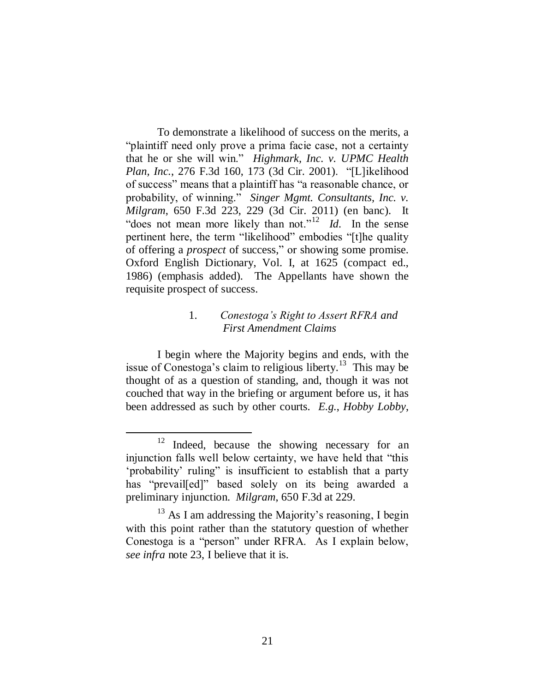To demonstrate a likelihood of success on the merits, a "plaintiff need only prove a prima facie case, not a certainty that he or she will win." *Highmark, Inc. v. UPMC Health Plan, Inc.*, 276 F.3d 160, 173 (3d Cir. 2001). "[L]ikelihood of success" means that a plaintiff has "a reasonable chance, or probability, of winning." *Singer Mgmt. Consultants, Inc. v. Milgram*, 650 F.3d 223, 229 (3d Cir. 2011) (en banc). It "does not mean more likely than not."<sup>12</sup> *Id*. In the sense pertinent here, the term "likelihood" embodies "[t]he quality of offering a *prospect* of success," or showing some promise. Oxford English Dictionary, Vol. I, at 1625 (compact ed., 1986) (emphasis added). The Appellants have shown the requisite prospect of success.

# 1. *Conestoga's Right to Assert RFRA and First Amendment Claims*

I begin where the Majority begins and ends, with the issue of Conestoga's claim to religious liberty.<sup>13</sup> This may be thought of as a question of standing, and, though it was not couched that way in the briefing or argument before us, it has been addressed as such by other courts. *E.g.*, *Hobby Lobby*,

<sup>&</sup>lt;sup>12</sup> Indeed, because the showing necessary for an injunction falls well below certainty, we have held that "this "probability" ruling" is insufficient to establish that a party has "prevail[ed]" based solely on its being awarded a preliminary injunction. *Milgram*, 650 F.3d at 229.

 $13$  As I am addressing the Majority's reasoning, I begin with this point rather than the statutory question of whether Conestoga is a "person" under RFRA. As I explain below, *see infra* note 23, I believe that it is.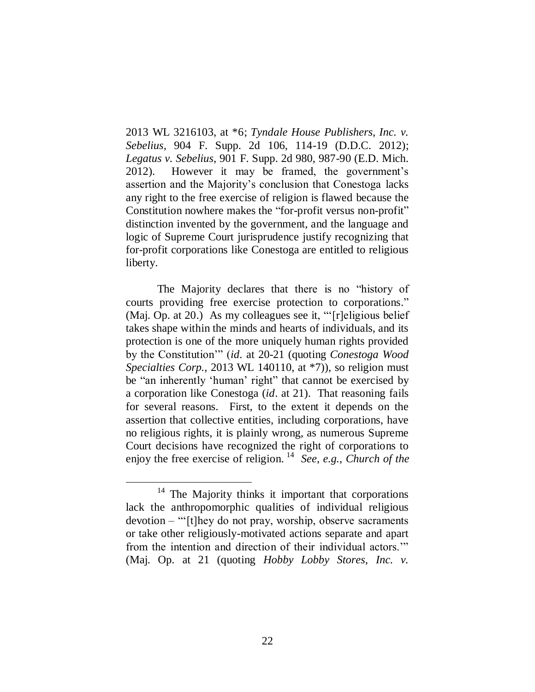2013 WL 3216103, at \*6; *Tyndale House Publishers, Inc. v. Sebelius*, 904 F. Supp. 2d 106, 114-19 (D.D.C. 2012); *Legatus v. Sebelius*, 901 F. Supp. 2d 980, 987-90 (E.D. Mich. 2012). However it may be framed, the government"s assertion and the Majority"s conclusion that Conestoga lacks any right to the free exercise of religion is flawed because the Constitution nowhere makes the "for-profit versus non-profit" distinction invented by the government, and the language and logic of Supreme Court jurisprudence justify recognizing that for-profit corporations like Conestoga are entitled to religious liberty.

The Majority declares that there is no "history of courts providing free exercise protection to corporations." (Maj. Op. at 20.) As my colleagues see it, "Treligious belief takes shape within the minds and hearts of individuals, and its protection is one of the more uniquely human rights provided by the Constitution"" (*id.* at 20-21 (quoting *Conestoga Wood Specialties Corp.*, 2013 WL 140110, at  $*7$ ), so religion must be "an inherently "human" right" that cannot be exercised by a corporation like Conestoga (*id*. at 21). That reasoning fails for several reasons. First, to the extent it depends on the assertion that collective entities, including corporations, have no religious rights, it is plainly wrong, as numerous Supreme Court decisions have recognized the right of corporations to enjoy the free exercise of religion. <sup>14</sup> *See*, *e.g.*, *Church of the* 

The Majority thinks it important that corporations lack the anthropomorphic qualities of individual religious devotion – ""[t]hey do not pray, worship, observe sacraments or take other religiously-motivated actions separate and apart from the intention and direction of their individual actors."" (Maj. Op. at 21 (quoting *Hobby Lobby Stores, Inc. v.*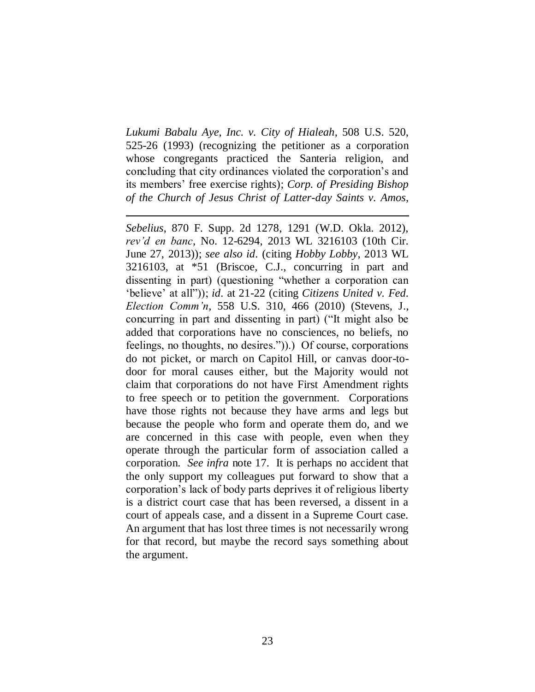*Lukumi Babalu Aye, Inc. v. City of Hialeah*, 508 U.S. 520, 525-26 (1993) (recognizing the petitioner as a corporation whose congregants practiced the Santeria religion, and concluding that city ordinances violated the corporation"s and its members" free exercise rights); *Corp. of Presiding Bishop of the Church of Jesus Christ of Latter-day Saints v. Amos*,

 $\overline{a}$ 

*Sebelius*, 870 F. Supp. 2d 1278, 1291 (W.D. Okla. 2012), *rev'd en banc*, No. 12-6294, 2013 WL 3216103 (10th Cir. June 27, 2013)); *see also id.* (citing *Hobby Lobby*, 2013 WL 3216103, at \*51 (Briscoe, C.J., concurring in part and dissenting in part) (questioning "whether a corporation can "believe" at all")); *id.* at 21-22 (citing *Citizens United v. Fed. Election Comm'n*, 558 U.S. 310, 466 (2010) (Stevens, J., concurring in part and dissenting in part) ("It might also be added that corporations have no consciences, no beliefs, no feelings, no thoughts, no desires.")).) Of course, corporations do not picket, or march on Capitol Hill, or canvas door-todoor for moral causes either, but the Majority would not claim that corporations do not have First Amendment rights to free speech or to petition the government. Corporations have those rights not because they have arms and legs but because the people who form and operate them do, and we are concerned in this case with people, even when they operate through the particular form of association called a corporation. *See infra* note 17. It is perhaps no accident that the only support my colleagues put forward to show that a corporation"s lack of body parts deprives it of religious liberty is a district court case that has been reversed, a dissent in a court of appeals case, and a dissent in a Supreme Court case. An argument that has lost three times is not necessarily wrong for that record, but maybe the record says something about the argument.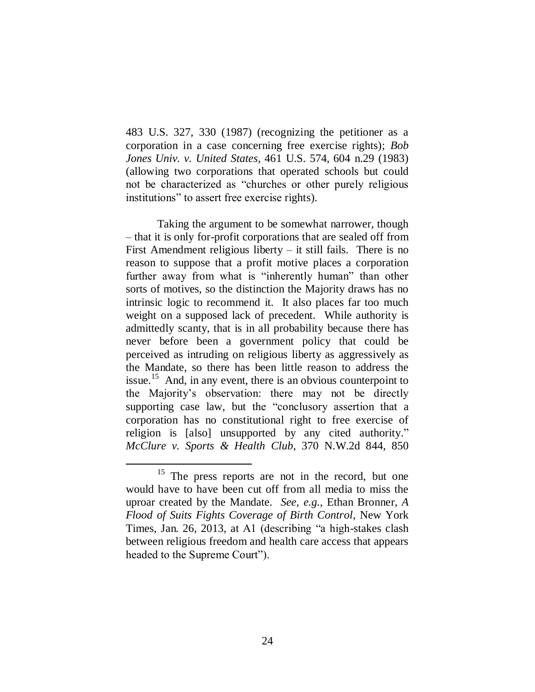483 U.S. 327, 330 (1987) (recognizing the petitioner as a corporation in a case concerning free exercise rights); *Bob Jones Univ. v. United States*, 461 U.S. 574, 604 n.29 (1983) (allowing two corporations that operated schools but could not be characterized as "churches or other purely religious institutions" to assert free exercise rights).

Taking the argument to be somewhat narrower, though – that it is only for-profit corporations that are sealed off from First Amendment religious liberty – it still fails. There is no reason to suppose that a profit motive places a corporation further away from what is "inherently human" than other sorts of motives, so the distinction the Majority draws has no intrinsic logic to recommend it. It also places far too much weight on a supposed lack of precedent. While authority is admittedly scanty, that is in all probability because there has never before been a government policy that could be perceived as intruding on religious liberty as aggressively as the Mandate, so there has been little reason to address the issue.<sup>15</sup> And, in any event, there is an obvious counterpoint to the Majority"s observation: there may not be directly supporting case law, but the "conclusory assertion that a corporation has no constitutional right to free exercise of religion is [also] unsupported by any cited authority." *McClure v. Sports & Health Club*, 370 N.W.2d 844, 850

<sup>&</sup>lt;sup>15</sup> The press reports are not in the record, but one would have to have been cut off from all media to miss the uproar created by the Mandate. *See, e.g.*, Ethan Bronner, *A Flood of Suits Fights Coverage of Birth Control*, New York Times, Jan. 26, 2013, at A1 (describing "a high-stakes clash between religious freedom and health care access that appears headed to the Supreme Court").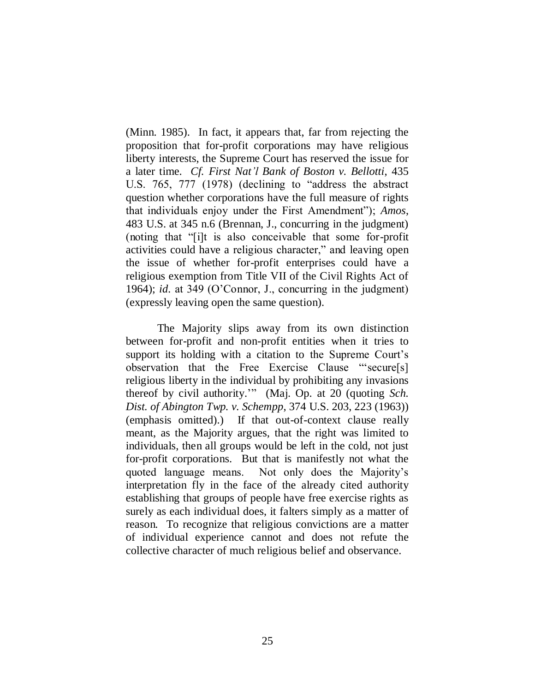(Minn. 1985). In fact, it appears that, far from rejecting the proposition that for-profit corporations may have religious liberty interests, the Supreme Court has reserved the issue for a later time. *Cf. First Nat'l Bank of Boston v. Bellotti*, 435 U.S. 765, 777 (1978) (declining to "address the abstract question whether corporations have the full measure of rights that individuals enjoy under the First Amendment"); *Amos*, 483 U.S. at 345 n.6 (Brennan, J., concurring in the judgment) (noting that "[i]t is also conceivable that some for-profit activities could have a religious character," and leaving open the issue of whether for-profit enterprises could have a religious exemption from Title VII of the Civil Rights Act of 1964); *id.* at 349 (O"Connor, J., concurring in the judgment) (expressly leaving open the same question).

The Majority slips away from its own distinction between for-profit and non-profit entities when it tries to support its holding with a citation to the Supreme Court's observation that the Free Exercise Clause ""secure[s] religious liberty in the individual by prohibiting any invasions thereof by civil authority."" (Maj. Op. at 20 (quoting *Sch. Dist. of Abington Twp. v. Schempp*, 374 U.S. 203, 223 (1963)) (emphasis omitted).) If that out-of-context clause really meant, as the Majority argues, that the right was limited to individuals, then all groups would be left in the cold, not just for-profit corporations. But that is manifestly not what the quoted language means. Not only does the Majority"s interpretation fly in the face of the already cited authority establishing that groups of people have free exercise rights as surely as each individual does, it falters simply as a matter of reason. To recognize that religious convictions are a matter of individual experience cannot and does not refute the collective character of much religious belief and observance.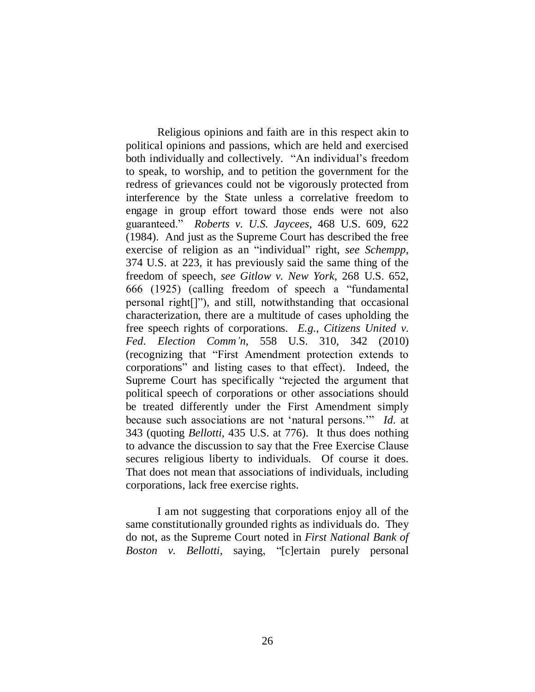Religious opinions and faith are in this respect akin to political opinions and passions, which are held and exercised both individually and collectively. "An individual's freedom to speak, to worship, and to petition the government for the redress of grievances could not be vigorously protected from interference by the State unless a correlative freedom to engage in group effort toward those ends were not also guaranteed." *Roberts v. U.S. Jaycees*, 468 U.S. 609, 622 (1984). And just as the Supreme Court has described the free exercise of religion as an "individual" right, *see Schempp*, 374 U.S. at 223, it has previously said the same thing of the freedom of speech, *see Gitlow v. New York*, 268 U.S. 652, 666 (1925) (calling freedom of speech a "fundamental personal right[]"), and still, notwithstanding that occasional characterization, there are a multitude of cases upholding the free speech rights of corporations. *E.g.*, *Citizens United v. Fed. Election Comm'n*, 558 U.S. 310, 342 (2010) (recognizing that "First Amendment protection extends to corporations" and listing cases to that effect). Indeed, the Supreme Court has specifically "rejected the argument that political speech of corporations or other associations should be treated differently under the First Amendment simply because such associations are not "natural persons."" *Id.* at 343 (quoting *Bellotti*, 435 U.S. at 776). It thus does nothing to advance the discussion to say that the Free Exercise Clause secures religious liberty to individuals. Of course it does. That does not mean that associations of individuals, including corporations, lack free exercise rights.

I am not suggesting that corporations enjoy all of the same constitutionally grounded rights as individuals do. They do not, as the Supreme Court noted in *First National Bank of Boston v. Bellotti*, saying, "[c]ertain purely personal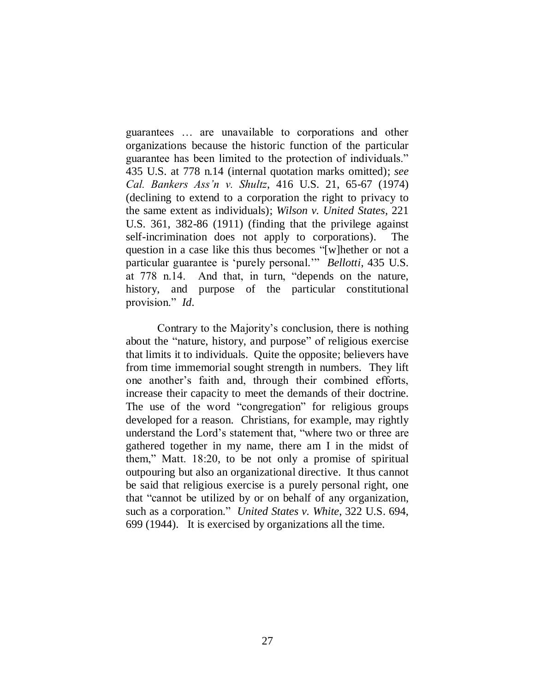guarantees … are unavailable to corporations and other organizations because the historic function of the particular guarantee has been limited to the protection of individuals." 435 U.S. at 778 n.14 (internal quotation marks omitted); *see Cal. Bankers Ass'n v. Shultz*, 416 U.S. 21, 65-67 (1974) (declining to extend to a corporation the right to privacy to the same extent as individuals); *Wilson v. United States*, 221 U.S. 361, 382-86 (1911) (finding that the privilege against self-incrimination does not apply to corporations). The question in a case like this thus becomes "[w]hether or not a particular guarantee is "purely personal."" *Bellotti*, 435 U.S. at 778 n.14. And that, in turn, "depends on the nature, history, and purpose of the particular constitutional provision." *Id.*

Contrary to the Majority"s conclusion, there is nothing about the "nature, history, and purpose" of religious exercise that limits it to individuals. Quite the opposite; believers have from time immemorial sought strength in numbers. They lift one another"s faith and, through their combined efforts, increase their capacity to meet the demands of their doctrine. The use of the word "congregation" for religious groups developed for a reason. Christians, for example, may rightly understand the Lord"s statement that, "where two or three are gathered together in my name, there am I in the midst of them," Matt. 18:20, to be not only a promise of spiritual outpouring but also an organizational directive. It thus cannot be said that religious exercise is a purely personal right, one that "cannot be utilized by or on behalf of any organization, such as a corporation." *United States v. White*, 322 U.S. 694, 699 (1944). It is exercised by organizations all the time.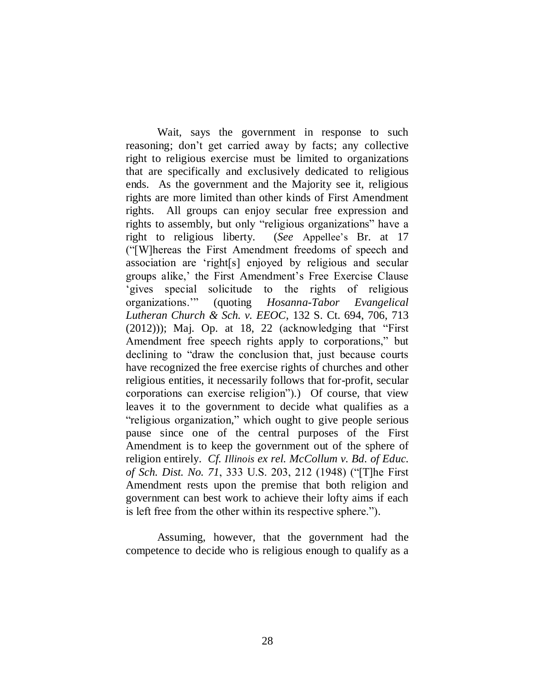Wait, says the government in response to such reasoning; don't get carried away by facts; any collective right to religious exercise must be limited to organizations that are specifically and exclusively dedicated to religious ends. As the government and the Majority see it, religious rights are more limited than other kinds of First Amendment rights. All groups can enjoy secular free expression and rights to assembly, but only "religious organizations" have a right to religious liberty. (*See* Appellee"s Br. at 17 ("[W]hereas the First Amendment freedoms of speech and association are "right[s] enjoyed by religious and secular groups alike,' the First Amendment's Free Exercise Clause "gives special solicitude to the rights of religious organizations."" (quoting *Hosanna-Tabor Evangelical Lutheran Church & Sch. v. EEOC*, 132 S. Ct. 694, 706, 713  $(2012))$ ; Maj. Op. at 18, 22 (acknowledging that "First" Amendment free speech rights apply to corporations," but declining to "draw the conclusion that, just because courts have recognized the free exercise rights of churches and other religious entities, it necessarily follows that for-profit, secular corporations can exercise religion").) Of course, that view leaves it to the government to decide what qualifies as a "religious organization," which ought to give people serious pause since one of the central purposes of the First Amendment is to keep the government out of the sphere of religion entirely. *Cf. Illinois ex rel. McCollum v. Bd. of Educ. of Sch. Dist. No. 71*, 333 U.S. 203, 212 (1948) ("[T]he First Amendment rests upon the premise that both religion and government can best work to achieve their lofty aims if each is left free from the other within its respective sphere.").

Assuming, however, that the government had the competence to decide who is religious enough to qualify as a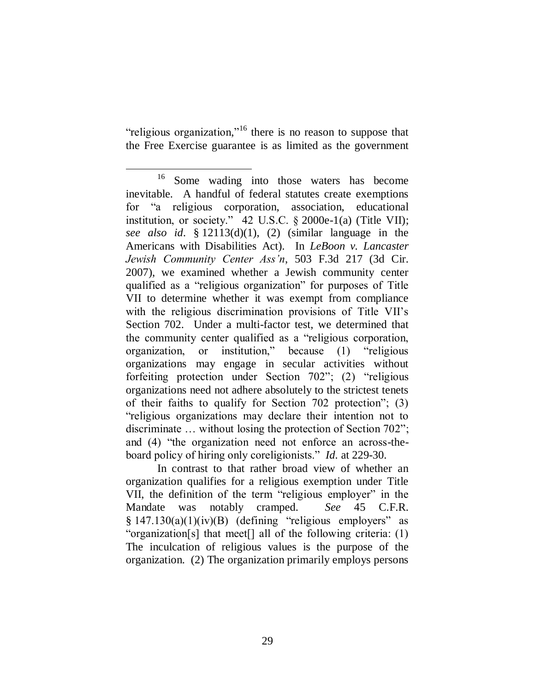"religious organization,"<sup>16</sup> there is no reason to suppose that the Free Exercise guarantee is as limited as the government

In contrast to that rather broad view of whether an organization qualifies for a religious exemption under Title VII, the definition of the term "religious employer" in the Mandate was notably cramped. *See* 45 C.F.R.  $§$  147.130(a)(1)(iv)(B) (defining "religious employers" as "organization[s] that meet[] all of the following criteria: (1) The inculcation of religious values is the purpose of the organization. (2) The organization primarily employs persons

 $\overline{a}$ <sup>16</sup> Some wading into those waters has become inevitable. A handful of federal statutes create exemptions for "a religious corporation, association, educational institution, or society."  $42 \text{ U.S.C. }$  § 2000e-1(a) (Title VII); *see also id.* § 12113(d)(1), (2) (similar language in the Americans with Disabilities Act). In *LeBoon v. Lancaster Jewish Community Center Ass'n*, 503 F.3d 217 (3d Cir. 2007), we examined whether a Jewish community center qualified as a "religious organization" for purposes of Title VII to determine whether it was exempt from compliance with the religious discrimination provisions of Title VII's Section 702. Under a multi-factor test, we determined that the community center qualified as a "religious corporation, organization, or institution," because (1) "religious organizations may engage in secular activities without forfeiting protection under Section 702"; (2) "religious organizations need not adhere absolutely to the strictest tenets of their faiths to qualify for Section 702 protection"; (3) "religious organizations may declare their intention not to discriminate … without losing the protection of Section 702"; and (4) "the organization need not enforce an across-theboard policy of hiring only coreligionists." *Id.* at 229-30.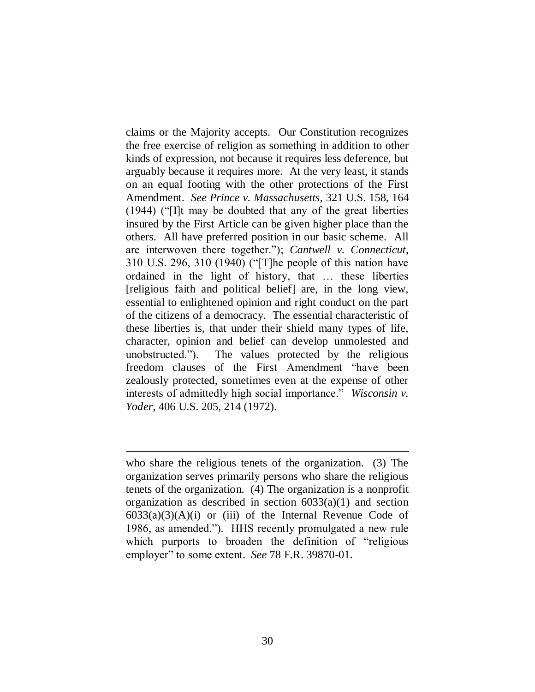claims or the Majority accepts. Our Constitution recognizes the free exercise of religion as something in addition to other kinds of expression, not because it requires less deference, but arguably because it requires more. At the very least, it stands on an equal footing with the other protections of the First Amendment. *See Prince v. Massachusetts*, 321 U.S. 158, 164 (1944) ("[I]t may be doubted that any of the great liberties insured by the First Article can be given higher place than the others. All have preferred position in our basic scheme. All are interwoven there together."); *Cantwell v. Connecticut*, 310 U.S. 296, 310 (1940) ("[T]he people of this nation have ordained in the light of history, that … these liberties [religious faith and political belief] are, in the long view, essential to enlightened opinion and right conduct on the part of the citizens of a democracy. The essential characteristic of these liberties is, that under their shield many types of life, character, opinion and belief can develop unmolested and unobstructed."). The values protected by the religious freedom clauses of the First Amendment "have been zealously protected, sometimes even at the expense of other interests of admittedly high social importance." *Wisconsin v. Yoder*, 406 U.S. 205, 214 (1972).

who share the religious tenets of the organization. (3) The organization serves primarily persons who share the religious tenets of the organization. (4) The organization is a nonprofit organization as described in section 6033(a)(1) and section  $6033(a)(3)(A)(i)$  or (iii) of the Internal Revenue Code of 1986, as amended."). HHS recently promulgated a new rule which purports to broaden the definition of "religious employer" to some extent. *See* 78 F.R. 39870-01.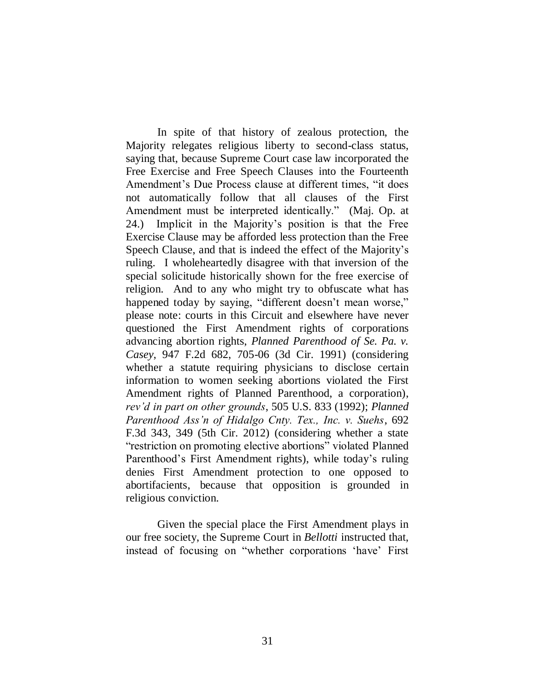In spite of that history of zealous protection, the Majority relegates religious liberty to second-class status, saying that, because Supreme Court case law incorporated the Free Exercise and Free Speech Clauses into the Fourteenth Amendment's Due Process clause at different times, "it does not automatically follow that all clauses of the First Amendment must be interpreted identically." (Maj. Op. at 24.) Implicit in the Majority"s position is that the Free Exercise Clause may be afforded less protection than the Free Speech Clause, and that is indeed the effect of the Majority"s ruling. I wholeheartedly disagree with that inversion of the special solicitude historically shown for the free exercise of religion. And to any who might try to obfuscate what has happened today by saying, "different doesn't mean worse," please note: courts in this Circuit and elsewhere have never questioned the First Amendment rights of corporations advancing abortion rights, *Planned Parenthood of Se. Pa. v. Casey*, 947 F.2d 682, 705-06 (3d Cir. 1991) (considering whether a statute requiring physicians to disclose certain information to women seeking abortions violated the First Amendment rights of Planned Parenthood, a corporation), *rev'd in part on other grounds*, 505 U.S. 833 (1992); *Planned Parenthood Ass'n of Hidalgo Cnty. Tex., Inc. v. Suehs*, 692 F.3d 343, 349 (5th Cir. 2012) (considering whether a state "restriction on promoting elective abortions" violated Planned Parenthood's First Amendment rights), while today's ruling denies First Amendment protection to one opposed to abortifacients, because that opposition is grounded in religious conviction.

Given the special place the First Amendment plays in our free society, the Supreme Court in *Bellotti* instructed that, instead of focusing on "whether corporations "have" First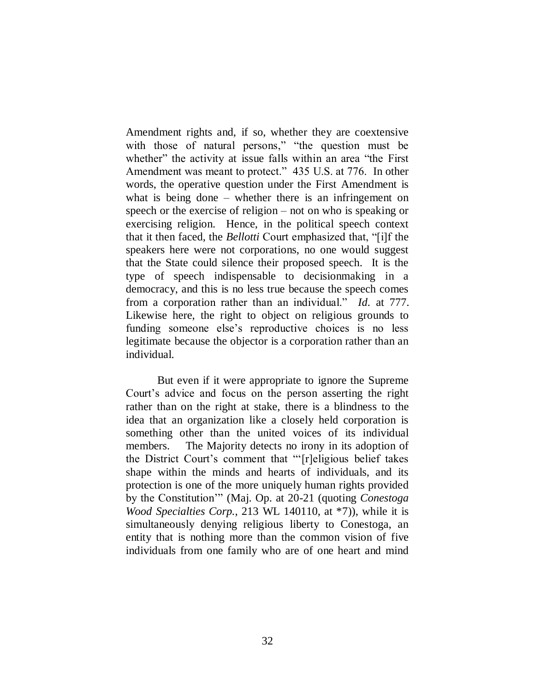Amendment rights and, if so, whether they are coextensive with those of natural persons," "the question must be whether" the activity at issue falls within an area "the First" Amendment was meant to protect." 435 U.S. at 776. In other words, the operative question under the First Amendment is what is being done – whether there is an infringement on speech or the exercise of religion – not on who is speaking or exercising religion. Hence, in the political speech context that it then faced, the *Bellotti* Court emphasized that, "[i]f the speakers here were not corporations, no one would suggest that the State could silence their proposed speech. It is the type of speech indispensable to decisionmaking in a democracy, and this is no less true because the speech comes from a corporation rather than an individual." *Id.* at 777. Likewise here, the right to object on religious grounds to funding someone else"s reproductive choices is no less legitimate because the objector is a corporation rather than an individual.

But even if it were appropriate to ignore the Supreme Court"s advice and focus on the person asserting the right rather than on the right at stake, there is a blindness to the idea that an organization like a closely held corporation is something other than the united voices of its individual members. The Majority detects no irony in its adoption of the District Court"s comment that ""[r]eligious belief takes shape within the minds and hearts of individuals, and its protection is one of the more uniquely human rights provided by the Constitution"" (Maj. Op. at 20-21 (quoting *Conestoga Wood Specialties Corp.*, 213 WL 140110, at \*7)), while it is simultaneously denying religious liberty to Conestoga, an entity that is nothing more than the common vision of five individuals from one family who are of one heart and mind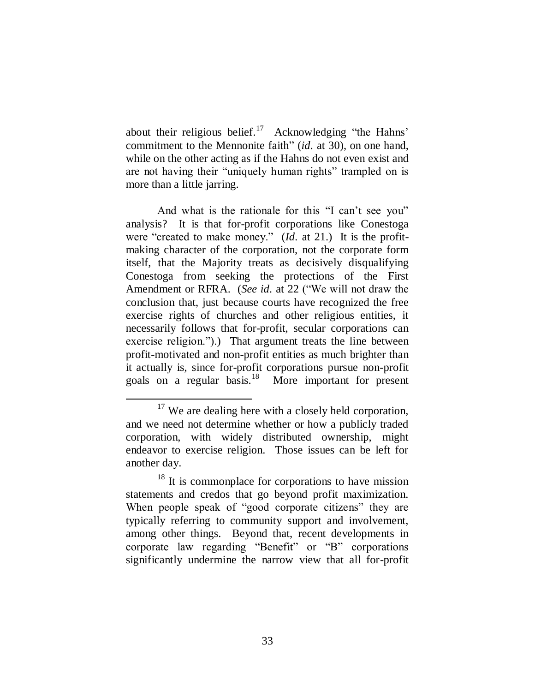about their religious belief.<sup>17</sup> Acknowledging "the Hahns" commitment to the Mennonite faith" (*id.* at 30), on one hand, while on the other acting as if the Hahns do not even exist and are not having their "uniquely human rights" trampled on is more than a little jarring.

And what is the rationale for this "I can't see you" analysis? It is that for-profit corporations like Conestoga were "created to make money." (*Id.* at 21.) It is the profitmaking character of the corporation, not the corporate form itself, that the Majority treats as decisively disqualifying Conestoga from seeking the protections of the First Amendment or RFRA. (*See id.* at 22 ("We will not draw the conclusion that, just because courts have recognized the free exercise rights of churches and other religious entities, it necessarily follows that for-profit, secular corporations can exercise religion.").) That argument treats the line between profit-motivated and non-profit entities as much brighter than it actually is, since for-profit corporations pursue non-profit goals on a regular basis.<sup>18</sup> More important for present

 $17$  We are dealing here with a closely held corporation, and we need not determine whether or how a publicly traded corporation, with widely distributed ownership, might endeavor to exercise religion. Those issues can be left for another day.

<sup>&</sup>lt;sup>18</sup> It is commonplace for corporations to have mission statements and credos that go beyond profit maximization. When people speak of "good corporate citizens" they are typically referring to community support and involvement, among other things. Beyond that, recent developments in corporate law regarding "Benefit" or "B" corporations significantly undermine the narrow view that all for-profit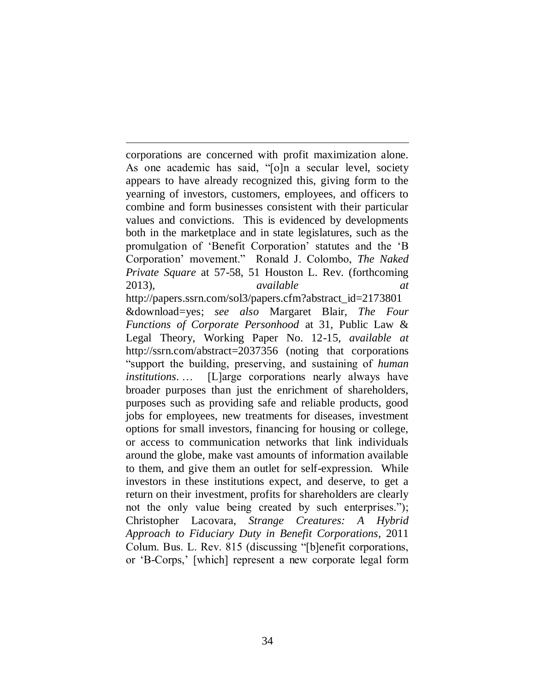$\overline{a}$ corporations are concerned with profit maximization alone. As one academic has said, "[o]n a secular level, society appears to have already recognized this, giving form to the yearning of investors, customers, employees, and officers to combine and form businesses consistent with their particular values and convictions. This is evidenced by developments both in the marketplace and in state legislatures, such as the promulgation of "Benefit Corporation" statutes and the "B Corporation" movement." Ronald J. Colombo, *The Naked Private Square* at 57-58, 51 Houston L. Rev. (forthcoming 2013), *available* http://papers.ssrn.com/sol3/papers.cfm?abstract\_id=2173801 &download=yes; *see also* Margaret Blair, *The Four Functions of Corporate Personhood* at 31, Public Law & Legal Theory, Working Paper No. 12-15, *available at*  http://ssrn.com/abstract=2037356 (noting that corporations "support the building, preserving, and sustaining of *human institutions*. … [L]arge corporations nearly always have broader purposes than just the enrichment of shareholders, purposes such as providing safe and reliable products, good jobs for employees, new treatments for diseases, investment options for small investors, financing for housing or college, or access to communication networks that link individuals around the globe, make vast amounts of information available to them, and give them an outlet for self-expression. While investors in these institutions expect, and deserve, to get a return on their investment, profits for shareholders are clearly not the only value being created by such enterprises."); Christopher Lacovara, *Strange Creatures: A Hybrid Approach to Fiduciary Duty in Benefit Corporations*, 2011 Colum. Bus. L. Rev. 815 (discussing "[b]enefit corporations, or "B-Corps," [which] represent a new corporate legal form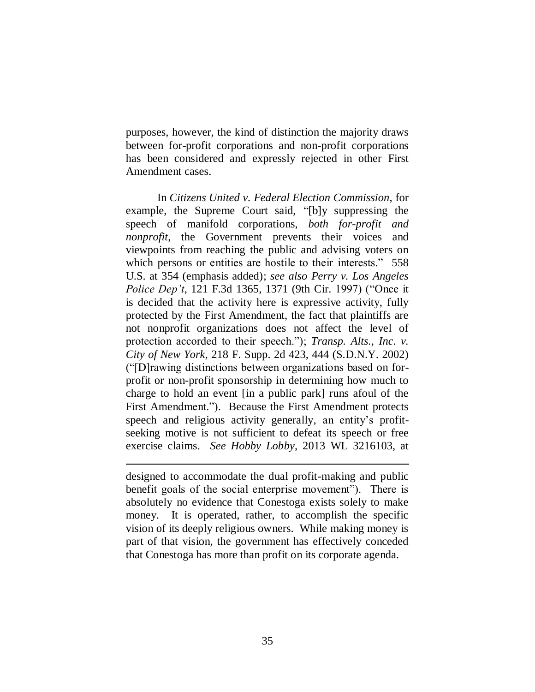purposes, however, the kind of distinction the majority draws between for-profit corporations and non-profit corporations has been considered and expressly rejected in other First Amendment cases.

In *Citizens United v. Federal Election Commission*, for example, the Supreme Court said, "[b]y suppressing the speech of manifold corporations, *both for-profit and nonprofit*, the Government prevents their voices and viewpoints from reaching the public and advising voters on which persons or entities are hostile to their interests." 558 U.S. at 354 (emphasis added); *see also Perry v. Los Angeles Police Dep't*, 121 F.3d 1365, 1371 (9th Cir. 1997) ("Once it is decided that the activity here is expressive activity, fully protected by the First Amendment, the fact that plaintiffs are not nonprofit organizations does not affect the level of protection accorded to their speech."); *Transp. Alts., Inc. v. City of New York*, 218 F. Supp. 2d 423, 444 (S.D.N.Y. 2002) ("[D]rawing distinctions between organizations based on forprofit or non-profit sponsorship in determining how much to charge to hold an event [in a public park] runs afoul of the First Amendment."). Because the First Amendment protects speech and religious activity generally, an entity's profitseeking motive is not sufficient to defeat its speech or free exercise claims. *See Hobby Lobby*, 2013 WL 3216103, at

designed to accommodate the dual profit-making and public benefit goals of the social enterprise movement"). There is absolutely no evidence that Conestoga exists solely to make money. It is operated, rather, to accomplish the specific vision of its deeply religious owners. While making money is part of that vision, the government has effectively conceded that Conestoga has more than profit on its corporate agenda.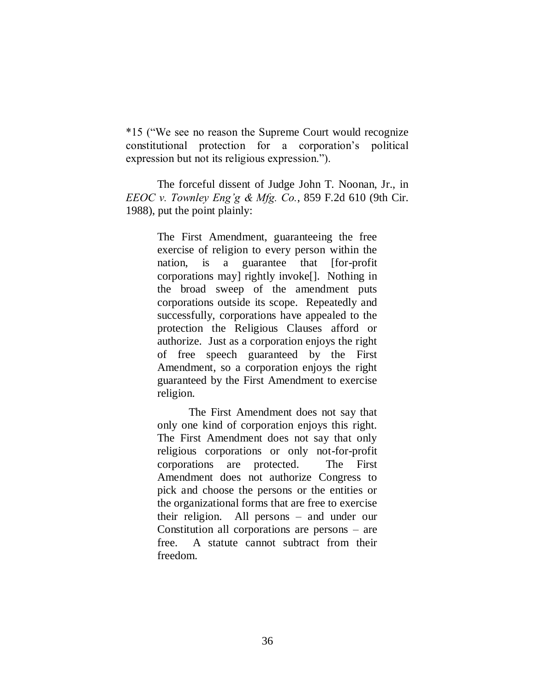\*15 ("We see no reason the Supreme Court would recognize constitutional protection for a corporation"s political expression but not its religious expression.").

The forceful dissent of Judge John T. Noonan, Jr., in *EEOC v. Townley Eng'g & Mfg. Co.*, 859 F.2d 610 (9th Cir. 1988), put the point plainly:

> The First Amendment, guaranteeing the free exercise of religion to every person within the nation, is a guarantee that [for-profit corporations may] rightly invoke[]. Nothing in the broad sweep of the amendment puts corporations outside its scope. Repeatedly and successfully, corporations have appealed to the protection the Religious Clauses afford or authorize. Just as a corporation enjoys the right of free speech guaranteed by the First Amendment, so a corporation enjoys the right guaranteed by the First Amendment to exercise religion.

> The First Amendment does not say that only one kind of corporation enjoys this right. The First Amendment does not say that only religious corporations or only not-for-profit corporations are protected. The First Amendment does not authorize Congress to pick and choose the persons or the entities or the organizational forms that are free to exercise their religion. All persons – and under our Constitution all corporations are persons – are free. A statute cannot subtract from their freedom.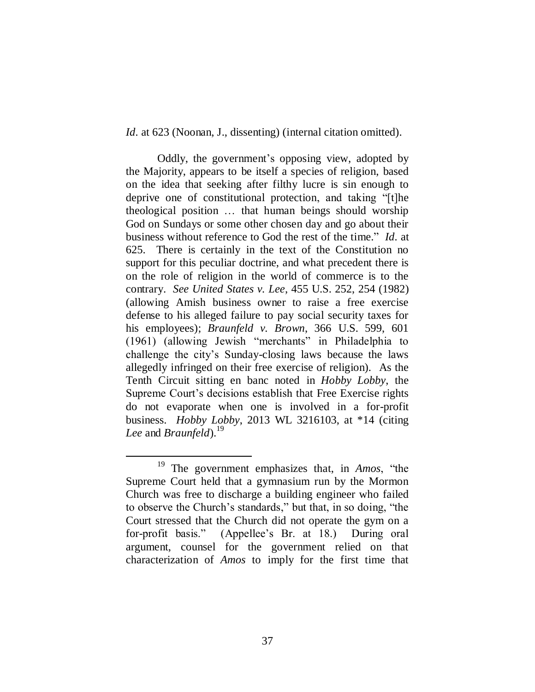*Id.* at 623 (Noonan, J., dissenting) (internal citation omitted).

Oddly, the government"s opposing view, adopted by the Majority, appears to be itself a species of religion, based on the idea that seeking after filthy lucre is sin enough to deprive one of constitutional protection, and taking "[t]he theological position … that human beings should worship God on Sundays or some other chosen day and go about their business without reference to God the rest of the time." *Id.* at 625. There is certainly in the text of the Constitution no support for this peculiar doctrine, and what precedent there is on the role of religion in the world of commerce is to the contrary. *See United States v. Lee*, 455 U.S. 252, 254 (1982) (allowing Amish business owner to raise a free exercise defense to his alleged failure to pay social security taxes for his employees); *Braunfeld v. Brown*, 366 U.S. 599, 601 (1961) (allowing Jewish "merchants" in Philadelphia to challenge the city"s Sunday-closing laws because the laws allegedly infringed on their free exercise of religion). As the Tenth Circuit sitting en banc noted in *Hobby Lobby*, the Supreme Court"s decisions establish that Free Exercise rights do not evaporate when one is involved in a for-profit business. *Hobby Lobby*, 2013 WL 3216103, at \*14 (citing *Lee* and *Braunfeld*). 19

 $\overline{a}$ <sup>19</sup> The government emphasizes that, in *Amos*, "the Supreme Court held that a gymnasium run by the Mormon Church was free to discharge a building engineer who failed to observe the Church"s standards," but that, in so doing, "the Court stressed that the Church did not operate the gym on a for-profit basis." (Appellee"s Br. at 18.) During oral argument, counsel for the government relied on that characterization of *Amos* to imply for the first time that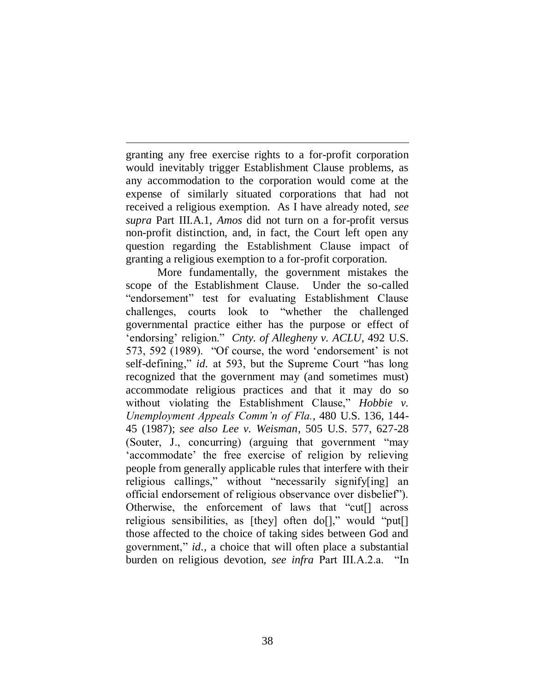granting any free exercise rights to a for-profit corporation would inevitably trigger Establishment Clause problems, as any accommodation to the corporation would come at the expense of similarly situated corporations that had not received a religious exemption. As I have already noted, *see supra* Part III.A.1, *Amos* did not turn on a for-profit versus non-profit distinction, and, in fact, the Court left open any question regarding the Establishment Clause impact of granting a religious exemption to a for-profit corporation.

 $\overline{a}$ 

More fundamentally, the government mistakes the scope of the Establishment Clause. Under the so-called "endorsement" test for evaluating Establishment Clause challenges, courts look to "whether the challenged governmental practice either has the purpose or effect of "endorsing" religion." *Cnty. of Allegheny v. ACLU*, 492 U.S. 573, 592 (1989). "Of course, the word "endorsement" is not self-defining," *id.* at 593, but the Supreme Court "has long recognized that the government may (and sometimes must) accommodate religious practices and that it may do so without violating the Establishment Clause," *Hobbie v. Unemployment Appeals Comm'n of Fla.*, 480 U.S. 136, 144- 45 (1987); *see also Lee v. Weisman*, 505 U.S. 577, 627-28 (Souter, J., concurring) (arguing that government "may "accommodate" the free exercise of religion by relieving people from generally applicable rules that interfere with their religious callings," without "necessarily signify[ing] an official endorsement of religious observance over disbelief"). Otherwise, the enforcement of laws that "cut[] across religious sensibilities, as [they] often do[]," would "put[] those affected to the choice of taking sides between God and government," *id.*, a choice that will often place a substantial burden on religious devotion, *see infra* Part III.A.2.a. "In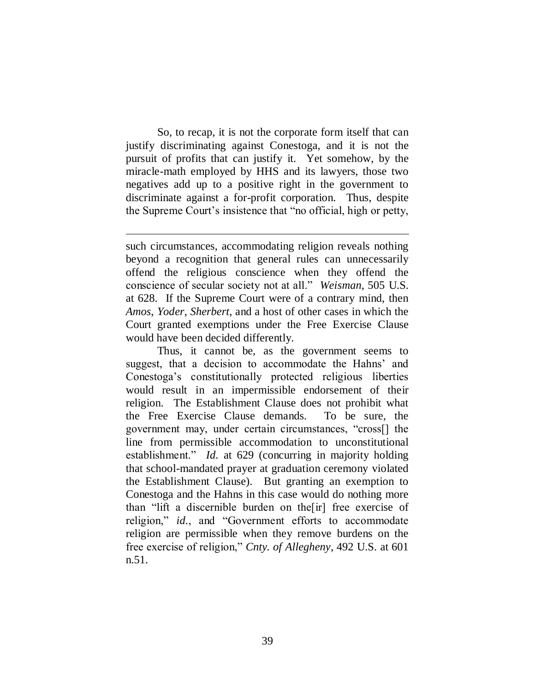So, to recap, it is not the corporate form itself that can justify discriminating against Conestoga, and it is not the pursuit of profits that can justify it. Yet somehow, by the miracle-math employed by HHS and its lawyers, those two negatives add up to a positive right in the government to discriminate against a for-profit corporation. Thus, despite the Supreme Court"s insistence that "no official, high or petty,

l

such circumstances, accommodating religion reveals nothing beyond a recognition that general rules can unnecessarily offend the religious conscience when they offend the conscience of secular society not at all." *Weisman*, 505 U.S. at 628. If the Supreme Court were of a contrary mind, then *Amos*, *Yoder*, *Sherbert*, and a host of other cases in which the Court granted exemptions under the Free Exercise Clause would have been decided differently.

Thus, it cannot be, as the government seems to suggest, that a decision to accommodate the Hahns' and Conestoga"s constitutionally protected religious liberties would result in an impermissible endorsement of their religion. The Establishment Clause does not prohibit what the Free Exercise Clause demands. To be sure, the government may, under certain circumstances, "cross[] the line from permissible accommodation to unconstitutional establishment." *Id.* at 629 (concurring in majority holding that school-mandated prayer at graduation ceremony violated the Establishment Clause). But granting an exemption to Conestoga and the Hahns in this case would do nothing more than "lift a discernible burden on the[ir] free exercise of religion," *id.*, and "Government efforts to accommodate religion are permissible when they remove burdens on the free exercise of religion," *Cnty. of Allegheny*, 492 U.S. at 601 n.51.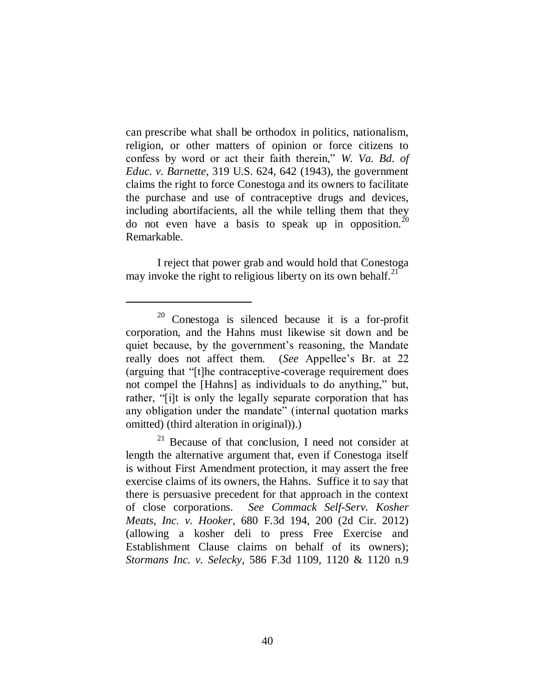can prescribe what shall be orthodox in politics, nationalism, religion, or other matters of opinion or force citizens to confess by word or act their faith therein," *W. Va. Bd. of Educ. v. Barnette*, 319 U.S. 624, 642 (1943), the government claims the right to force Conestoga and its owners to facilitate the purchase and use of contraceptive drugs and devices, including abortifacients, all the while telling them that they do not even have a basis to speak up in opposition.<sup>20</sup> Remarkable.

I reject that power grab and would hold that Conestoga may invoke the right to religious liberty on its own behalf. $^{21}$ 

<sup>20</sup> Conestoga is silenced because it is a for-profit corporation, and the Hahns must likewise sit down and be quiet because, by the government's reasoning, the Mandate really does not affect them. (*See* Appellee"s Br. at 22 (arguing that "[t]he contraceptive-coverage requirement does not compel the [Hahns] as individuals to do anything," but, rather, "[i]t is only the legally separate corporation that has any obligation under the mandate" (internal quotation marks omitted) (third alteration in original)).)

 $21$  Because of that conclusion, I need not consider at length the alternative argument that, even if Conestoga itself is without First Amendment protection, it may assert the free exercise claims of its owners, the Hahns. Suffice it to say that there is persuasive precedent for that approach in the context of close corporations. *See Commack Self-Serv. Kosher Meats, Inc. v. Hooker*, 680 F.3d 194, 200 (2d Cir. 2012) (allowing a kosher deli to press Free Exercise and Establishment Clause claims on behalf of its owners); *Stormans Inc. v. Selecky*, 586 F.3d 1109, 1120 & 1120 n.9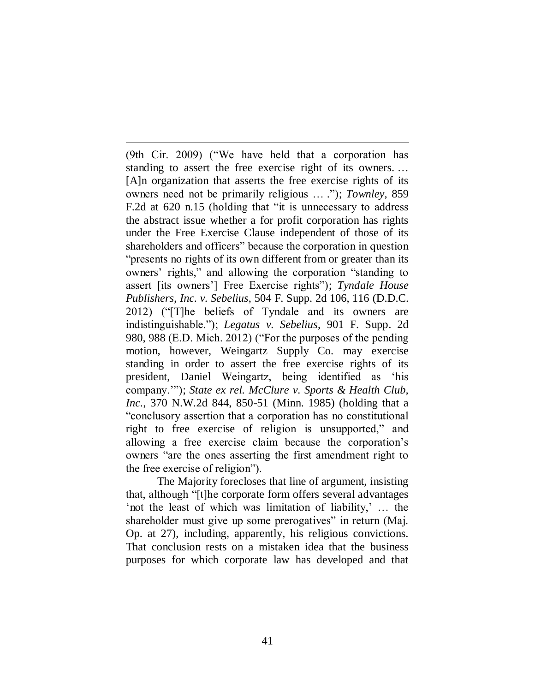(9th Cir. 2009) ("We have held that a corporation has standing to assert the free exercise right of its owners. … [A]n organization that asserts the free exercise rights of its owners need not be primarily religious … ."); *Townley*, 859 F.2d at 620 n.15 (holding that "it is unnecessary to address the abstract issue whether a for profit corporation has rights under the Free Exercise Clause independent of those of its shareholders and officers" because the corporation in question "presents no rights of its own different from or greater than its owners" rights," and allowing the corporation "standing to assert [its owners"] Free Exercise rights"); *Tyndale House Publishers, Inc. v. Sebelius*, 504 F. Supp. 2d 106, 116 (D.D.C. 2012) ("[T]he beliefs of Tyndale and its owners are indistinguishable."); *Legatus v. Sebelius*, 901 F. Supp. 2d 980, 988 (E.D. Mich. 2012) ("For the purposes of the pending motion, however, Weingartz Supply Co. may exercise standing in order to assert the free exercise rights of its president, Daniel Weingartz, being identified as "his company.""); *State ex rel. McClure v. Sports & Health Club, Inc.*, 370 N.W.2d 844, 850-51 (Minn. 1985) (holding that a "conclusory assertion that a corporation has no constitutional right to free exercise of religion is unsupported," and allowing a free exercise claim because the corporation"s owners "are the ones asserting the first amendment right to the free exercise of religion").

 $\overline{a}$ 

The Majority forecloses that line of argument, insisting that, although "[t]he corporate form offers several advantages "not the least of which was limitation of liability," ... the shareholder must give up some prerogatives" in return (Maj. Op. at 27), including, apparently, his religious convictions. That conclusion rests on a mistaken idea that the business purposes for which corporate law has developed and that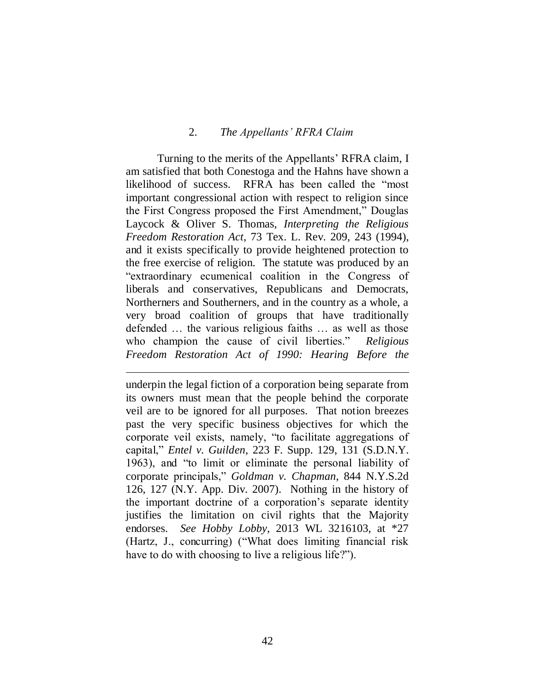## 2. *The Appellants' RFRA Claim*

Turning to the merits of the Appellants" RFRA claim, I am satisfied that both Conestoga and the Hahns have shown a likelihood of success. RFRA has been called the "most important congressional action with respect to religion since the First Congress proposed the First Amendment," Douglas Laycock & Oliver S. Thomas, *Interpreting the Religious Freedom Restoration Act*, 73 Tex. L. Rev. 209, 243 (1994), and it exists specifically to provide heightened protection to the free exercise of religion. The statute was produced by an "extraordinary ecumenical coalition in the Congress of liberals and conservatives, Republicans and Democrats, Northerners and Southerners, and in the country as a whole, a very broad coalition of groups that have traditionally defended … the various religious faiths … as well as those who champion the cause of civil liberties." *Religious Freedom Restoration Act of 1990: Hearing Before the* 

underpin the legal fiction of a corporation being separate from its owners must mean that the people behind the corporate veil are to be ignored for all purposes. That notion breezes past the very specific business objectives for which the corporate veil exists, namely, "to facilitate aggregations of capital," *Entel v. Guilden*, 223 F. Supp. 129, 131 (S.D.N.Y. 1963), and "to limit or eliminate the personal liability of corporate principals," *Goldman v. Chapman*, 844 N.Y.S.2d 126, 127 (N.Y. App. Div. 2007). Nothing in the history of the important doctrine of a corporation"s separate identity justifies the limitation on civil rights that the Majority endorses. *See Hobby Lobby*, 2013 WL 3216103, at \*27 (Hartz, J., concurring) ("What does limiting financial risk have to do with choosing to live a religious life?").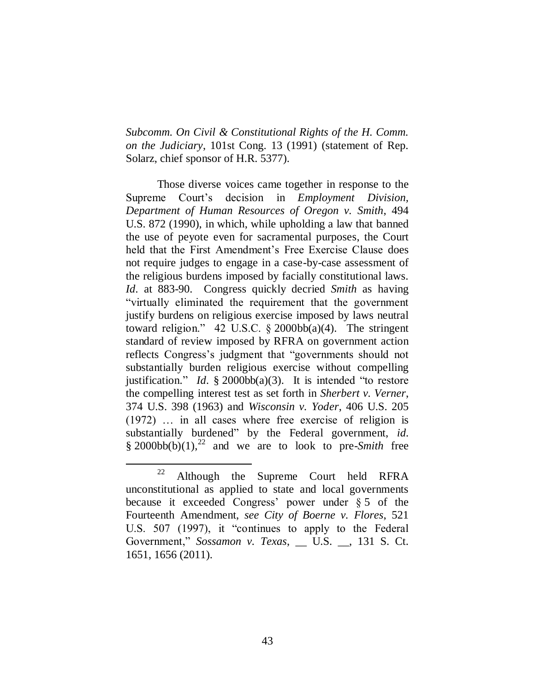*Subcomm. On Civil & Constitutional Rights of the H. Comm. on the Judiciary*, 101st Cong. 13 (1991) (statement of Rep. Solarz, chief sponsor of H.R. 5377).

Those diverse voices came together in response to the Supreme Court"s decision in *Employment Division, Department of Human Resources of Oregon v. Smith*, 494 U.S. 872 (1990), in which, while upholding a law that banned the use of peyote even for sacramental purposes, the Court held that the First Amendment's Free Exercise Clause does not require judges to engage in a case-by-case assessment of the religious burdens imposed by facially constitutional laws. *Id.* at 883-90. Congress quickly decried *Smith* as having "virtually eliminated the requirement that the government justify burdens on religious exercise imposed by laws neutral toward religion." 42 U.S.C.  $\S$  2000bb(a)(4). The stringent standard of review imposed by RFRA on government action reflects Congress"s judgment that "governments should not substantially burden religious exercise without compelling justification." *Id.* § 2000bb(a)(3). It is intended "to restore the compelling interest test as set forth in *Sherbert v. Verner*, 374 U.S. 398 (1963) and *Wisconsin v. Yoder*, 406 U.S. 205 (1972) … in all cases where free exercise of religion is substantially burdened" by the Federal government, *id.*  $§ 2000bb(b)(1),<sup>22</sup>$  and we are to look to pre-*Smith* free

 $22$  Although the Supreme Court held RFRA unconstitutional as applied to state and local governments because it exceeded Congress' power under  $§ 5$  of the Fourteenth Amendment, *see City of Boerne v. Flores*, 521 U.S. 507 (1997), it "continues to apply to the Federal Government," *Sossamon v. Texas*, \_\_ U.S. \_\_, 131 S. Ct. 1651, 1656 (2011).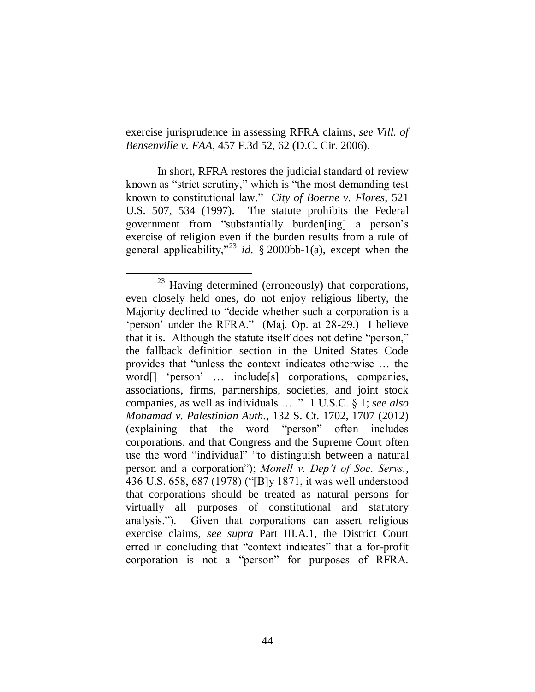exercise jurisprudence in assessing RFRA claims, *see Vill. of Bensenville v. FAA*, 457 F.3d 52, 62 (D.C. Cir. 2006).

In short, RFRA restores the judicial standard of review known as "strict scrutiny," which is "the most demanding test known to constitutional law." *City of Boerne v. Flores*, 521 U.S. 507, 534 (1997).The statute prohibits the Federal government from "substantially burden[ing] a person"s exercise of religion even if the burden results from a rule of general applicability,"<sup>23</sup> *id.* § 2000bb-1(a), except when the

 $23$  Having determined (erroneously) that corporations, even closely held ones, do not enjoy religious liberty, the Majority declined to "decide whether such a corporation is a "person" under the RFRA." (Maj. Op. at 28-29.) I believe that it is. Although the statute itself does not define "person," the fallback definition section in the United States Code provides that "unless the context indicates otherwise … the word[] "person" ... include[s] corporations, companies, associations, firms, partnerships, societies, and joint stock companies, as well as individuals … ." 1 U.S.C. § 1; *see also Mohamad v. Palestinian Auth.*, 132 S. Ct. 1702, 1707 (2012) (explaining that the word "person" often includes corporations, and that Congress and the Supreme Court often use the word "individual" "to distinguish between a natural person and a corporation"); *Monell v. Dep't of Soc. Servs.*, 436 U.S. 658, 687 (1978) ("[B]y 1871, it was well understood that corporations should be treated as natural persons for virtually all purposes of constitutional and statutory analysis."). Given that corporations can assert religious exercise claims, *see supra* Part III.A.1, the District Court erred in concluding that "context indicates" that a for-profit corporation is not a "person" for purposes of RFRA.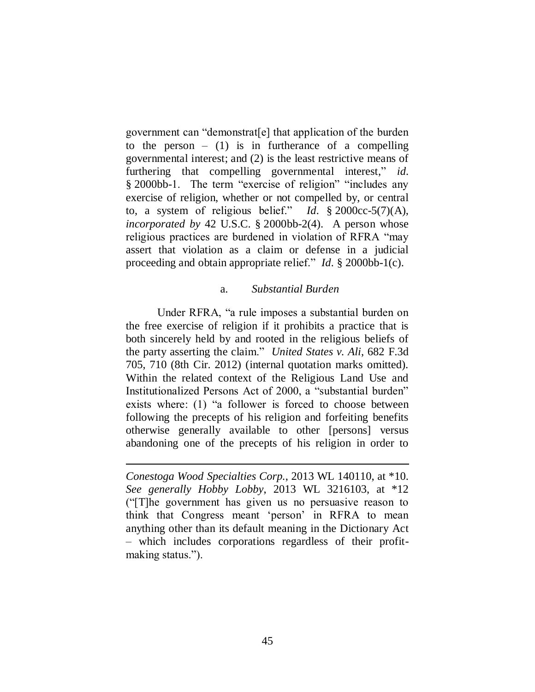government can "demonstrat[e] that application of the burden to the person  $-$  (1) is in furtherance of a compelling governmental interest; and (2) is the least restrictive means of furthering that compelling governmental interest," *id.* § 2000bb-1. The term "exercise of religion" "includes any exercise of religion, whether or not compelled by, or central to, a system of religious belief." *Id.* § 2000cc-5(7)(A), *incorporated by* 42 U.S.C. § 2000bb-2(4). A person whose religious practices are burdened in violation of RFRA "may assert that violation as a claim or defense in a judicial proceeding and obtain appropriate relief." *Id.* § 2000bb-1(c).

#### a. *Substantial Burden*

Under RFRA, "a rule imposes a substantial burden on the free exercise of religion if it prohibits a practice that is both sincerely held by and rooted in the religious beliefs of the party asserting the claim." *United States v. Ali*, 682 F.3d 705, 710 (8th Cir. 2012) (internal quotation marks omitted). Within the related context of the Religious Land Use and Institutionalized Persons Act of 2000, a "substantial burden" exists where: (1) "a follower is forced to choose between following the precepts of his religion and forfeiting benefits otherwise generally available to other [persons] versus abandoning one of the precepts of his religion in order to

*Conestoga Wood Specialties Corp.*, 2013 WL 140110, at \*10. *See generally Hobby Lobby*, 2013 WL 3216103, at \*12 ("[T]he government has given us no persuasive reason to think that Congress meant "person" in RFRA to mean anything other than its default meaning in the Dictionary Act – which includes corporations regardless of their profitmaking status.").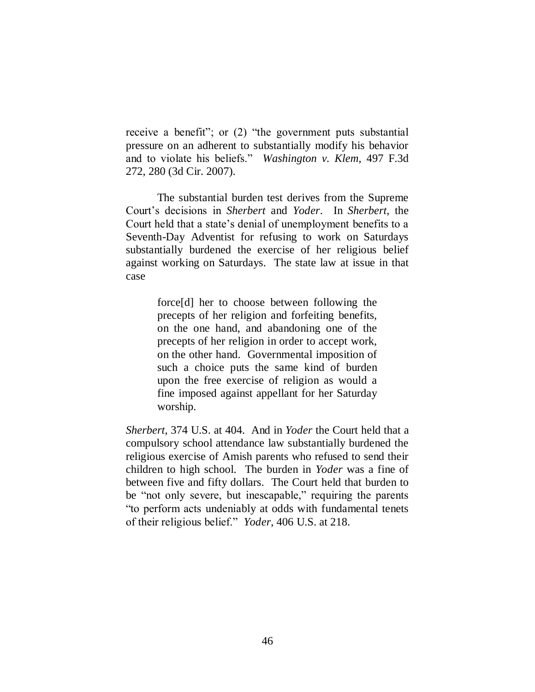receive a benefit"; or (2) "the government puts substantial pressure on an adherent to substantially modify his behavior and to violate his beliefs." *Washington v. Klem*, 497 F.3d 272, 280 (3d Cir. 2007).

The substantial burden test derives from the Supreme Court"s decisions in *Sherbert* and *Yoder*. In *Sherbert*, the Court held that a state"s denial of unemployment benefits to a Seventh-Day Adventist for refusing to work on Saturdays substantially burdened the exercise of her religious belief against working on Saturdays. The state law at issue in that case

> force[d] her to choose between following the precepts of her religion and forfeiting benefits, on the one hand, and abandoning one of the precepts of her religion in order to accept work, on the other hand. Governmental imposition of such a choice puts the same kind of burden upon the free exercise of religion as would a fine imposed against appellant for her Saturday worship.

*Sherbert*, 374 U.S. at 404. And in *Yoder* the Court held that a compulsory school attendance law substantially burdened the religious exercise of Amish parents who refused to send their children to high school. The burden in *Yoder* was a fine of between five and fifty dollars. The Court held that burden to be "not only severe, but inescapable," requiring the parents "to perform acts undeniably at odds with fundamental tenets of their religious belief." *Yoder*, 406 U.S. at 218.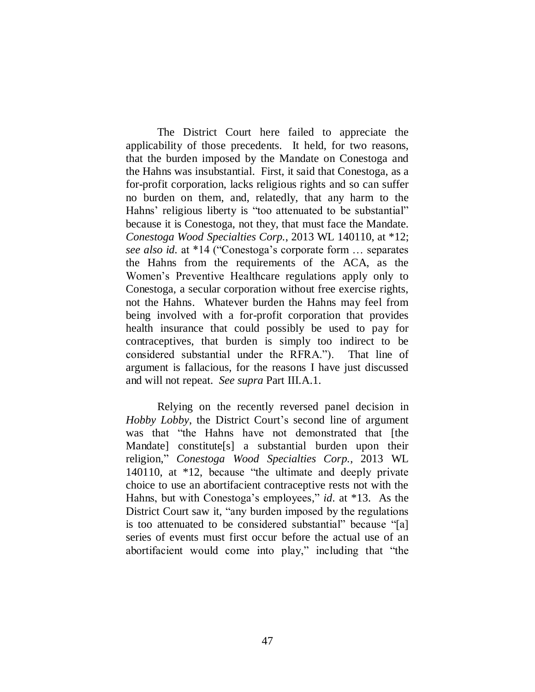The District Court here failed to appreciate the applicability of those precedents. It held, for two reasons, that the burden imposed by the Mandate on Conestoga and the Hahns was insubstantial. First, it said that Conestoga, as a for-profit corporation, lacks religious rights and so can suffer no burden on them, and, relatedly, that any harm to the Hahns' religious liberty is "too attenuated to be substantial" because it is Conestoga, not they, that must face the Mandate. *Conestoga Wood Specialties Corp.*, 2013 WL 140110, at \*12; *see also id.* at \*14 ("Conestoga"s corporate form … separates the Hahns from the requirements of the ACA, as the Women"s Preventive Healthcare regulations apply only to Conestoga, a secular corporation without free exercise rights, not the Hahns. Whatever burden the Hahns may feel from being involved with a for-profit corporation that provides health insurance that could possibly be used to pay for contraceptives, that burden is simply too indirect to be considered substantial under the RFRA."). That line of argument is fallacious, for the reasons I have just discussed and will not repeat. *See supra* Part III.A.1.

Relying on the recently reversed panel decision in *Hobby Lobby*, the District Court's second line of argument was that "the Hahns have not demonstrated that [the Mandate] constitute[s] a substantial burden upon their religion," *Conestoga Wood Specialties Corp.*, 2013 WL 140110, at \*12, because "the ultimate and deeply private choice to use an abortifacient contraceptive rests not with the Hahns, but with Conestoga's employees," *id.* at \*13. As the District Court saw it, "any burden imposed by the regulations is too attenuated to be considered substantial" because "[a] series of events must first occur before the actual use of an abortifacient would come into play," including that "the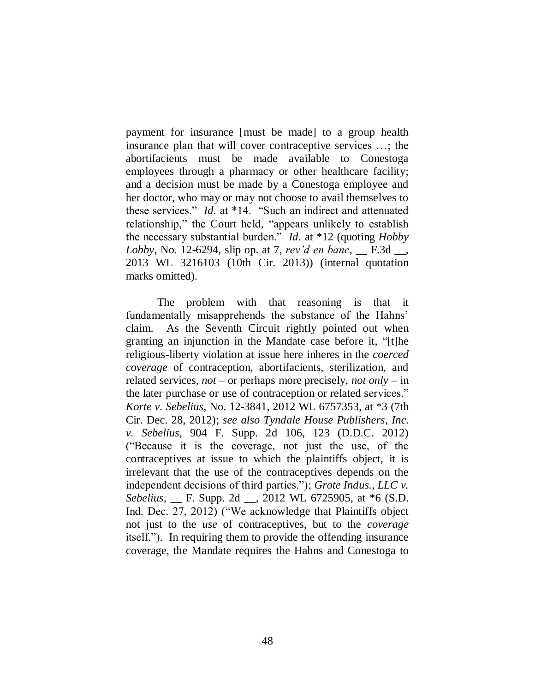payment for insurance [must be made] to a group health insurance plan that will cover contraceptive services …; the abortifacients must be made available to Conestoga employees through a pharmacy or other healthcare facility; and a decision must be made by a Conestoga employee and her doctor, who may or may not choose to avail themselves to these services." *Id.* at \*14. "Such an indirect and attenuated relationship," the Court held, "appears unlikely to establish the necessary substantial burden." *Id.* at \*12 (quoting *Hobby Lobby*, No. 12-6294, slip op. at 7, *rev'd en banc*, \_\_ F.3d \_\_, 2013 WL 3216103 (10th Cir. 2013)) (internal quotation marks omitted).

The problem with that reasoning is that it fundamentally misapprehends the substance of the Hahns' claim. As the Seventh Circuit rightly pointed out when granting an injunction in the Mandate case before it, "[t]he religious-liberty violation at issue here inheres in the *coerced coverage* of contraception, abortifacients, sterilization, and related services, *not* – or perhaps more precisely, *not only* – in the later purchase or use of contraception or related services." *Korte v. Sebelius*, No. 12-3841, 2012 WL 6757353, at \*3 (7th Cir. Dec. 28, 2012); *see also Tyndale House Publishers, Inc. v. Sebelius*, 904 F. Supp. 2d 106, 123 (D.D.C. 2012) ("Because it is the coverage, not just the use, of the contraceptives at issue to which the plaintiffs object, it is irrelevant that the use of the contraceptives depends on the independent decisions of third parties."); *Grote Indus., LLC v. Sebelius*, \_\_ F. Supp. 2d \_\_, 2012 WL 6725905, at \*6 (S.D. Ind. Dec. 27, 2012) ("We acknowledge that Plaintiffs object not just to the *use* of contraceptives, but to the *coverage* itself."). In requiring them to provide the offending insurance coverage, the Mandate requires the Hahns and Conestoga to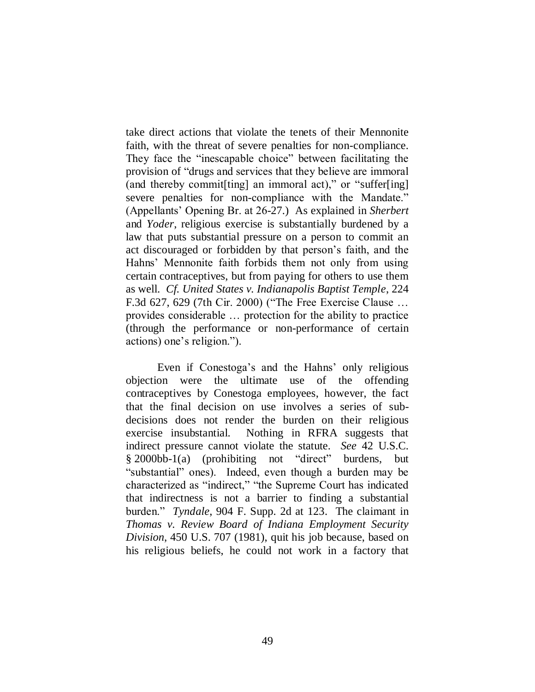take direct actions that violate the tenets of their Mennonite faith, with the threat of severe penalties for non-compliance. They face the "inescapable choice" between facilitating the provision of "drugs and services that they believe are immoral (and thereby commit[ting] an immoral act)," or "suffer[ing] severe penalties for non-compliance with the Mandate." (Appellants" Opening Br. at 26-27.) As explained in *Sherbert*  and *Yoder*, religious exercise is substantially burdened by a law that puts substantial pressure on a person to commit an act discouraged or forbidden by that person"s faith, and the Hahns" Mennonite faith forbids them not only from using certain contraceptives, but from paying for others to use them as well. *Cf. United States v. Indianapolis Baptist Temple*, 224 F.3d 627, 629 (7th Cir. 2000) ("The Free Exercise Clause … provides considerable … protection for the ability to practice (through the performance or non-performance of certain actions) one"s religion.").

Even if Conestoga's and the Hahns' only religious objection were the ultimate use of the offending contraceptives by Conestoga employees, however, the fact that the final decision on use involves a series of subdecisions does not render the burden on their religious exercise insubstantial. Nothing in RFRA suggests that indirect pressure cannot violate the statute. *See* 42 U.S.C. § 2000bb-1(a) (prohibiting not "direct" burdens, but "substantial" ones). Indeed, even though a burden may be characterized as "indirect," "the Supreme Court has indicated that indirectness is not a barrier to finding a substantial burden." *Tyndale*, 904 F. Supp. 2d at 123. The claimant in *Thomas v. Review Board of Indiana Employment Security Division*, 450 U.S. 707 (1981), quit his job because, based on his religious beliefs, he could not work in a factory that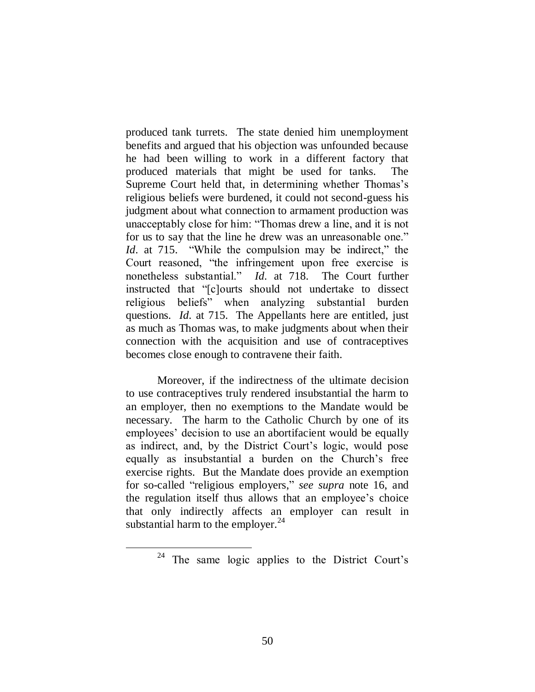produced tank turrets. The state denied him unemployment benefits and argued that his objection was unfounded because he had been willing to work in a different factory that produced materials that might be used for tanks. The Supreme Court held that, in determining whether Thomas's religious beliefs were burdened, it could not second-guess his judgment about what connection to armament production was unacceptably close for him: "Thomas drew a line, and it is not for us to say that the line he drew was an unreasonable one." *Id.* at 715. "While the compulsion may be indirect," the Court reasoned, "the infringement upon free exercise is nonetheless substantial." *Id.* at 718. The Court further instructed that "[c]ourts should not undertake to dissect religious beliefs" when analyzing substantial burden questions. *Id.* at 715. The Appellants here are entitled, just as much as Thomas was, to make judgments about when their connection with the acquisition and use of contraceptives becomes close enough to contravene their faith.

Moreover, if the indirectness of the ultimate decision to use contraceptives truly rendered insubstantial the harm to an employer, then no exemptions to the Mandate would be necessary. The harm to the Catholic Church by one of its employees' decision to use an abortifacient would be equally as indirect, and, by the District Court's logic, would pose equally as insubstantial a burden on the Church"s free exercise rights. But the Mandate does provide an exemption for so-called "religious employers," *see supra* note 16, and the regulation itself thus allows that an employee"s choice that only indirectly affects an employer can result in substantial harm to the employer. $^{24}$ 

<sup>&</sup>lt;sup>24</sup> The same logic applies to the District Court's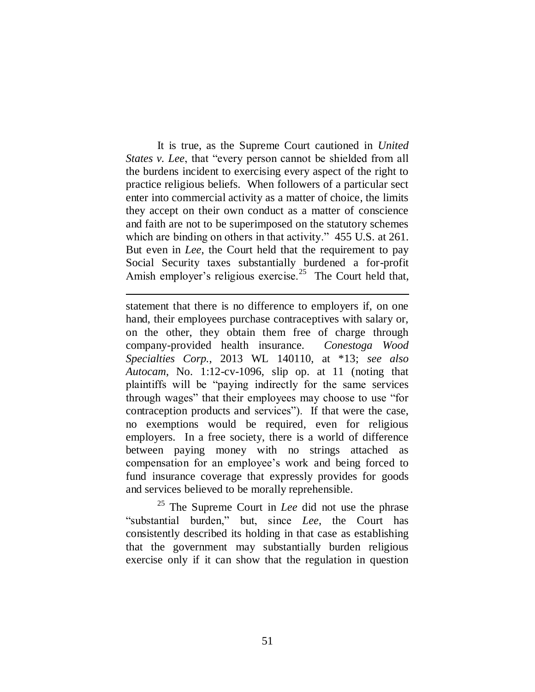It is true, as the Supreme Court cautioned in *United States v. Lee*, that "every person cannot be shielded from all the burdens incident to exercising every aspect of the right to practice religious beliefs. When followers of a particular sect enter into commercial activity as a matter of choice, the limits they accept on their own conduct as a matter of conscience and faith are not to be superimposed on the statutory schemes which are binding on others in that activity." 455 U.S. at 261. But even in *Lee*, the Court held that the requirement to pay Social Security taxes substantially burdened a for-profit Amish employer's religious exercise.<sup>25</sup> The Court held that,

 $\overline{a}$ 

statement that there is no difference to employers if, on one hand, their employees purchase contraceptives with salary or, on the other, they obtain them free of charge through company-provided health insurance. *Conestoga Wood Specialties Corp.*, 2013 WL 140110, at \*13; *see also Autocam*, No. 1:12-cv-1096, slip op. at 11 (noting that plaintiffs will be "paying indirectly for the same services through wages" that their employees may choose to use "for contraception products and services"). If that were the case, no exemptions would be required, even for religious employers. In a free society, there is a world of difference between paying money with no strings attached as compensation for an employee"s work and being forced to fund insurance coverage that expressly provides for goods and services believed to be morally reprehensible.

<sup>25</sup> The Supreme Court in *Lee* did not use the phrase "substantial burden," but, since *Lee*, the Court has consistently described its holding in that case as establishing that the government may substantially burden religious exercise only if it can show that the regulation in question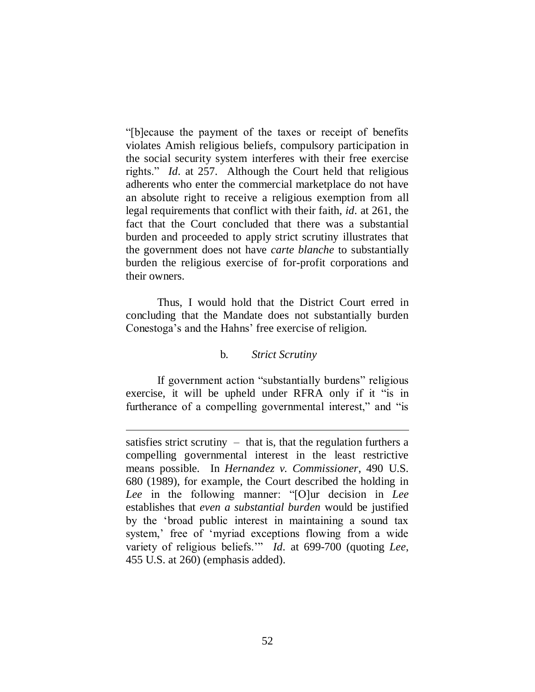"[b]ecause the payment of the taxes or receipt of benefits violates Amish religious beliefs, compulsory participation in the social security system interferes with their free exercise rights." *Id.* at 257. Although the Court held that religious adherents who enter the commercial marketplace do not have an absolute right to receive a religious exemption from all legal requirements that conflict with their faith, *id.* at 261, the fact that the Court concluded that there was a substantial burden and proceeded to apply strict scrutiny illustrates that the government does not have *carte blanche* to substantially burden the religious exercise of for-profit corporations and their owners.

Thus, I would hold that the District Court erred in concluding that the Mandate does not substantially burden Conestoga's and the Hahns' free exercise of religion.

# b. *Strict Scrutiny*

If government action "substantially burdens" religious exercise, it will be upheld under RFRA only if it "is in furtherance of a compelling governmental interest," and "is

satisfies strict scrutiny  $-$  that is, that the regulation furthers a compelling governmental interest in the least restrictive means possible. In *Hernandez v. Commissioner*, 490 U.S. 680 (1989), for example, the Court described the holding in *Lee* in the following manner: "[O]ur decision in *Lee* establishes that *even a substantial burden* would be justified by the "broad public interest in maintaining a sound tax system,' free of 'myriad exceptions flowing from a wide variety of religious beliefs."" *Id.* at 699-700 (quoting *Lee*, 455 U.S. at 260) (emphasis added).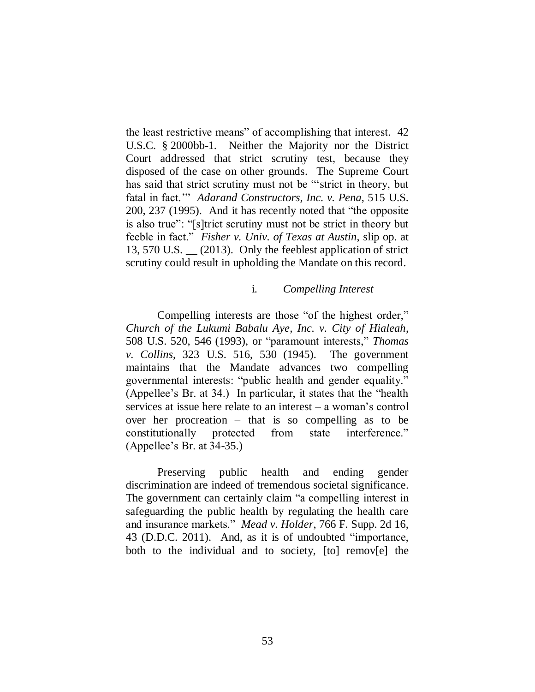the least restrictive means" of accomplishing that interest*.* 42 U.S.C. § 2000bb-1. Neither the Majority nor the District Court addressed that strict scrutiny test, because they disposed of the case on other grounds. The Supreme Court has said that strict scrutiny must not be ""strict in theory, but fatal in fact."" *Adarand Constructors, Inc. v. Pena*, 515 U.S. 200, 237 (1995). And it has recently noted that "the opposite is also true": "[s]trict scrutiny must not be strict in theory but feeble in fact." *Fisher v. Univ. of Texas at Austin*, slip op. at 13, 570 U.S. \_\_ (2013). Only the feeblest application of strict scrutiny could result in upholding the Mandate on this record.

### i. *Compelling Interest*

Compelling interests are those "of the highest order," *Church of the Lukumi Babalu Aye, Inc. v. City of Hialeah*, 508 U.S. 520, 546 (1993), or "paramount interests," *Thomas v. Collins*, 323 U.S. 516, 530 (1945). The government maintains that the Mandate advances two compelling governmental interests: "public health and gender equality." (Appellee"s Br. at 34.) In particular, it states that the "health services at issue here relate to an interest – a woman"s control over her procreation – that is so compelling as to be constitutionally protected from state interference." (Appellee"s Br. at 34-35.)

Preserving public health and ending gender discrimination are indeed of tremendous societal significance. The government can certainly claim "a compelling interest in safeguarding the public health by regulating the health care and insurance markets." *Mead v. Holder*, 766 F. Supp. 2d 16, 43 (D.D.C. 2011). And, as it is of undoubted "importance, both to the individual and to society, [to] remov[e] the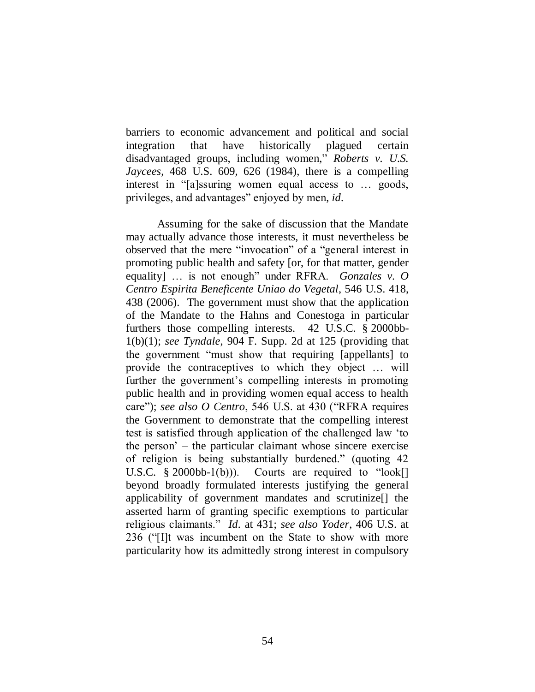barriers to economic advancement and political and social integration that have historically plagued certain disadvantaged groups, including women," *Roberts v. U.S. Jaycees*, 468 U.S. 609, 626 (1984), there is a compelling interest in "[a]ssuring women equal access to … goods, privileges, and advantages" enjoyed by men, *id.*

Assuming for the sake of discussion that the Mandate may actually advance those interests, it must nevertheless be observed that the mere "invocation" of a "general interest in promoting public health and safety [or, for that matter, gender equality] … is not enough" under RFRA. *Gonzales v. O Centro Espirita Beneficente Uniao do Vegetal*, 546 U.S. 418, 438 (2006). The government must show that the application of the Mandate to the Hahns and Conestoga in particular furthers those compelling interests. 42 U.S.C. § 2000bb-1(b)(1); *see Tyndale*, 904 F. Supp. 2d at 125 (providing that the government "must show that requiring [appellants] to provide the contraceptives to which they object … will further the government's compelling interests in promoting public health and in providing women equal access to health care"); *see also O Centro*, 546 U.S. at 430 ("RFRA requires the Government to demonstrate that the compelling interest test is satisfied through application of the challenged law "to the person" – the particular claimant whose sincere exercise of religion is being substantially burdened." (quoting 42 U.S.C.  $\S$  2000bb-1(b))). Courts are required to "look[] beyond broadly formulated interests justifying the general applicability of government mandates and scrutinize[] the asserted harm of granting specific exemptions to particular religious claimants." *Id.* at 431; *see also Yoder*, 406 U.S. at 236 ("[I]t was incumbent on the State to show with more particularity how its admittedly strong interest in compulsory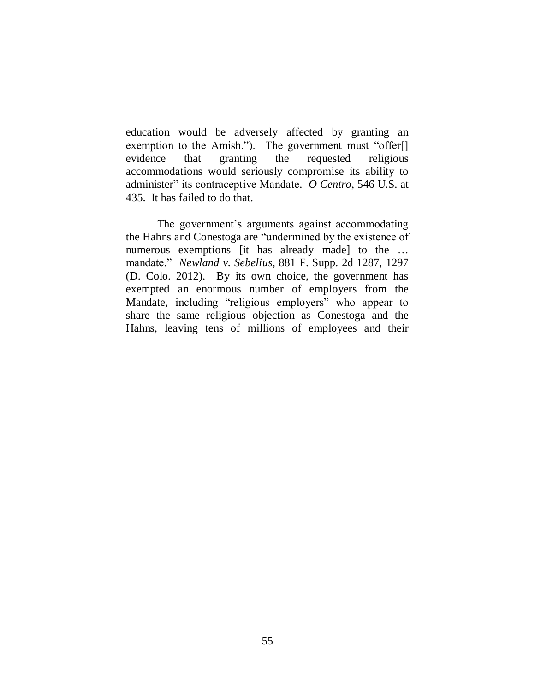education would be adversely affected by granting an exemption to the Amish."). The government must "offer[] evidence that granting the requested religious accommodations would seriously compromise its ability to administer" its contraceptive Mandate. *O Centro*, 546 U.S. at 435. It has failed to do that.

The government's arguments against accommodating the Hahns and Conestoga are "undermined by the existence of numerous exemptions [it has already made] to the ... mandate." *Newland v. Sebelius*, 881 F. Supp. 2d 1287, 1297 (D. Colo. 2012). By its own choice, the government has exempted an enormous number of employers from the Mandate, including "religious employers" who appear to share the same religious objection as Conestoga and the Hahns, leaving tens of millions of employees and their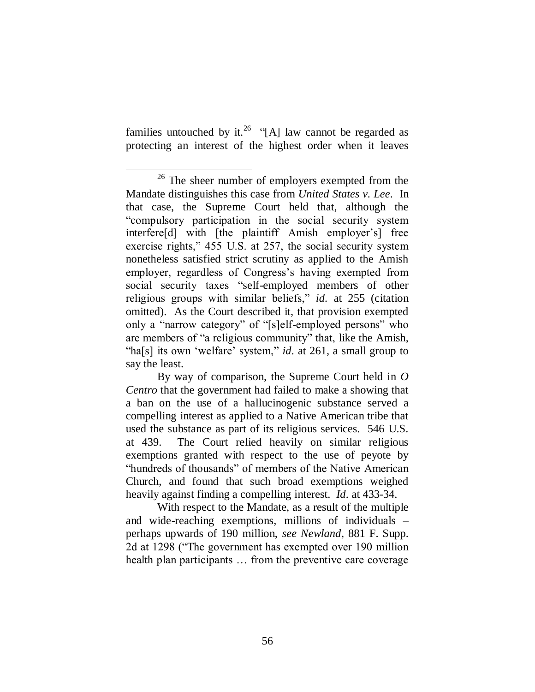families untouched by it.<sup>26</sup> "[A] law cannot be regarded as protecting an interest of the highest order when it leaves

With respect to the Mandate, as a result of the multiple and wide-reaching exemptions, millions of individuals – perhaps upwards of 190 million, *see Newland*, 881 F. Supp. 2d at 1298 ("The government has exempted over 190 million health plan participants ... from the preventive care coverage

 $\overline{a}$ <sup>26</sup> The sheer number of employers exempted from the Mandate distinguishes this case from *United States v. Lee*. In that case, the Supreme Court held that, although the "compulsory participation in the social security system interfere<sup>[d]</sup> with [the plaintiff Amish employer's] free exercise rights," 455 U.S. at 257, the social security system nonetheless satisfied strict scrutiny as applied to the Amish employer, regardless of Congress"s having exempted from social security taxes "self-employed members of other religious groups with similar beliefs," *id.* at 255 (citation omitted). As the Court described it, that provision exempted only a "narrow category" of "[s]elf-employed persons" who are members of "a religious community" that, like the Amish, "ha[s] its own 'welfare' system," *id.* at 261, a small group to say the least.

By way of comparison, the Supreme Court held in *O Centro* that the government had failed to make a showing that a ban on the use of a hallucinogenic substance served a compelling interest as applied to a Native American tribe that used the substance as part of its religious services. 546 U.S. at 439. The Court relied heavily on similar religious exemptions granted with respect to the use of peyote by "hundreds of thousands" of members of the Native American Church, and found that such broad exemptions weighed heavily against finding a compelling interest. *Id.* at 433-34.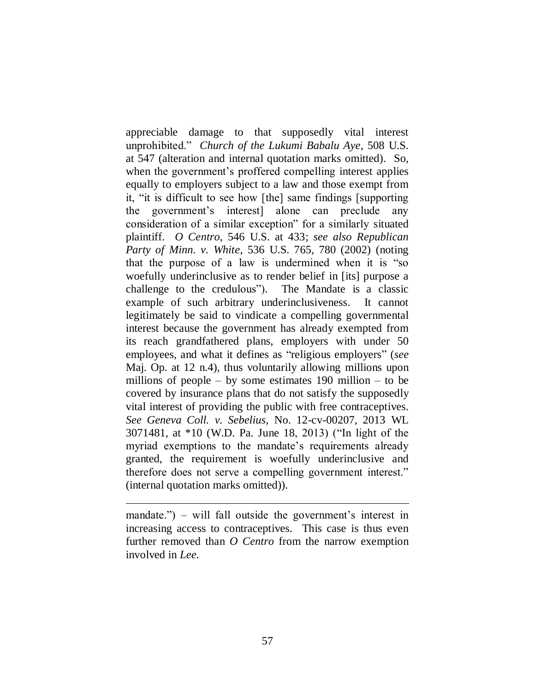appreciable damage to that supposedly vital interest unprohibited." *Church of the Lukumi Babalu Aye*, 508 U.S. at 547 (alteration and internal quotation marks omitted). So, when the government's proffered compelling interest applies equally to employers subject to a law and those exempt from it, "it is difficult to see how [the] same findings [supporting the government"s interest] alone can preclude any consideration of a similar exception" for a similarly situated plaintiff. *O Centro*, 546 U.S. at 433; *see also Republican Party of Minn. v. White*, 536 U.S. 765, 780 (2002) (noting that the purpose of a law is undermined when it is "so woefully underinclusive as to render belief in [its] purpose a challenge to the credulous"). The Mandate is a classic example of such arbitrary underinclusiveness. It cannot legitimately be said to vindicate a compelling governmental interest because the government has already exempted from its reach grandfathered plans, employers with under 50 employees, and what it defines as "religious employers" (*see*  Maj. Op. at 12 n.4), thus voluntarily allowing millions upon millions of people – by some estimates  $190$  million – to be covered by insurance plans that do not satisfy the supposedly vital interest of providing the public with free contraceptives. *See Geneva Coll. v. Sebelius*, No. 12-cv-00207, 2013 WL 3071481, at \*10 (W.D. Pa. June 18, 2013) ("In light of the myriad exemptions to the mandate's requirements already granted, the requirement is woefully underinclusive and therefore does not serve a compelling government interest." (internal quotation marks omitted)).

mandate.") – will fall outside the government's interest in increasing access to contraceptives. This case is thus even further removed than *O Centro* from the narrow exemption involved in *Lee*.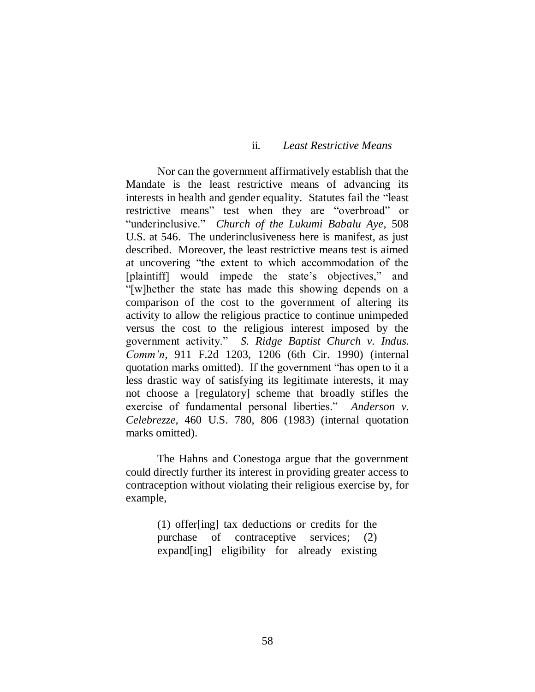### ii. *Least Restrictive Means*

Nor can the government affirmatively establish that the Mandate is the least restrictive means of advancing its interests in health and gender equality. Statutes fail the "least restrictive means" test when they are "overbroad" or "underinclusive." *Church of the Lukumi Babalu Aye*, 508 U.S. at 546. The underinclusiveness here is manifest, as just described. Moreover, the least restrictive means test is aimed at uncovering "the extent to which accommodation of the [plaintiff] would impede the state's objectives," and "[w]hether the state has made this showing depends on a comparison of the cost to the government of altering its activity to allow the religious practice to continue unimpeded versus the cost to the religious interest imposed by the government activity." *S. Ridge Baptist Church v. Indus. Comm'n*, 911 F.2d 1203, 1206 (6th Cir. 1990) (internal quotation marks omitted). If the government "has open to it a less drastic way of satisfying its legitimate interests, it may not choose a [regulatory] scheme that broadly stifles the exercise of fundamental personal liberties." *Anderson v. Celebrezze*, 460 U.S. 780, 806 (1983) (internal quotation marks omitted).

The Hahns and Conestoga argue that the government could directly further its interest in providing greater access to contraception without violating their religious exercise by, for example,

> (1) offer[ing] tax deductions or credits for the purchase of contraceptive services; (2) expand[ing] eligibility for already existing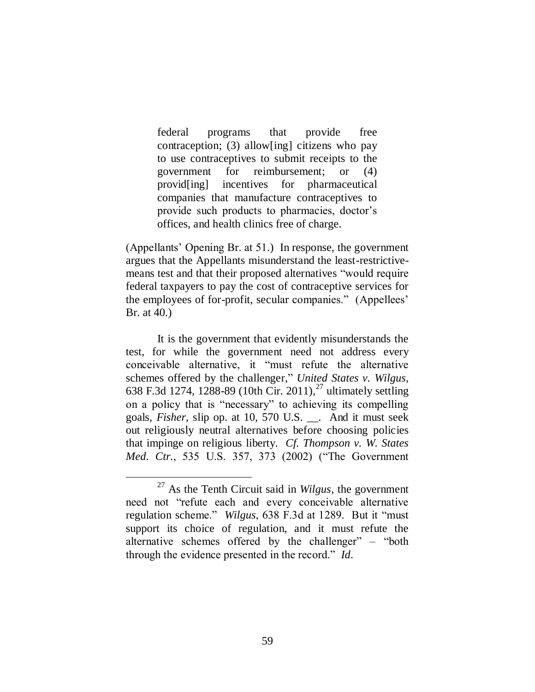federal programs that provide free contraception; (3) allow[ing] citizens who pay to use contraceptives to submit receipts to the government for reimbursement; or (4) provid[ing] incentives for pharmaceutical companies that manufacture contraceptives to provide such products to pharmacies, doctor's offices, and health clinics free of charge.

(Appellants" Opening Br. at 51.) In response, the government argues that the Appellants misunderstand the least-restrictivemeans test and that their proposed alternatives "would require federal taxpayers to pay the cost of contraceptive services for the employees of for-profit, secular companies." (Appellees" Br. at 40.)

It is the government that evidently misunderstands the test, for while the government need not address every conceivable alternative, it "must refute the alternative schemes offered by the challenger," *United States v. Wilgus*, 638 F.3d 1274, 1288-89 (10th Cir. 2011),<sup>27</sup> ultimately settling on a policy that is "necessary" to achieving its compelling goals, *Fisher*, slip op. at 10, 570 U.S. \_\_. And it must seek out religiously neutral alternatives before choosing policies that impinge on religious liberty. *Cf. Thompson v. W. States Med. Ctr.*, 535 U.S. 357, 373 (2002) ("The Government

<sup>27</sup> As the Tenth Circuit said in *Wilgus*, the government need not "refute each and every conceivable alternative regulation scheme." *Wilgus*, 638 F.3d at 1289. But it "must support its choice of regulation, and it must refute the alternative schemes offered by the challenger" – "both through the evidence presented in the record." *Id.*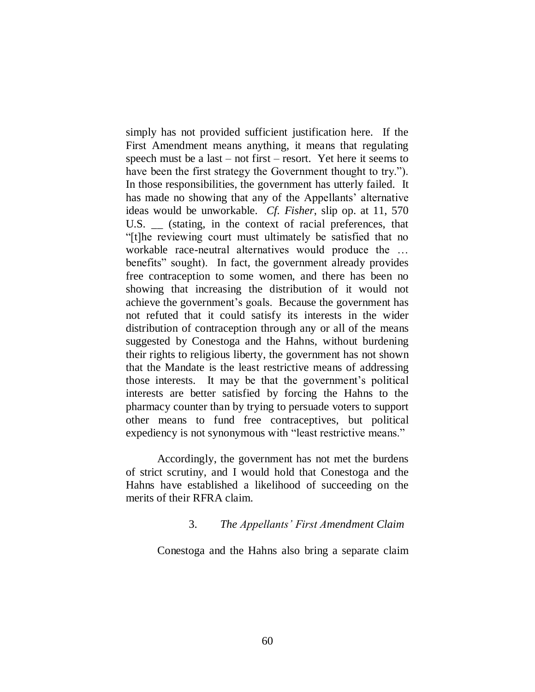simply has not provided sufficient justification here. If the First Amendment means anything, it means that regulating speech must be a last – not first – resort. Yet here it seems to have been the first strategy the Government thought to try."). In those responsibilities, the government has utterly failed. It has made no showing that any of the Appellants' alternative ideas would be unworkable. *Cf. Fisher*, slip op. at 11, 570 U.S. \_\_ (stating, in the context of racial preferences, that "[t]he reviewing court must ultimately be satisfied that no workable race-neutral alternatives would produce the … benefits" sought). In fact, the government already provides free contraception to some women, and there has been no showing that increasing the distribution of it would not achieve the government's goals. Because the government has not refuted that it could satisfy its interests in the wider distribution of contraception through any or all of the means suggested by Conestoga and the Hahns, without burdening their rights to religious liberty, the government has not shown that the Mandate is the least restrictive means of addressing those interests. It may be that the government"s political interests are better satisfied by forcing the Hahns to the pharmacy counter than by trying to persuade voters to support other means to fund free contraceptives, but political expediency is not synonymous with "least restrictive means."

Accordingly, the government has not met the burdens of strict scrutiny, and I would hold that Conestoga and the Hahns have established a likelihood of succeeding on the merits of their RFRA claim.

# 3. *The Appellants' First Amendment Claim*

Conestoga and the Hahns also bring a separate claim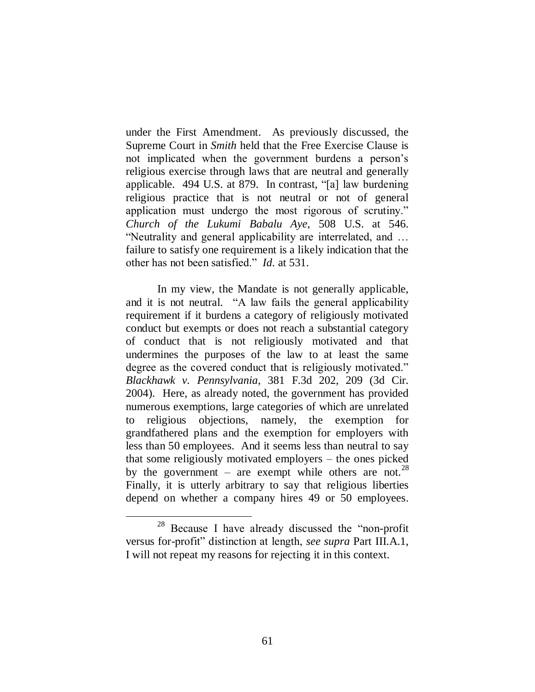under the First Amendment. As previously discussed, the Supreme Court in *Smith* held that the Free Exercise Clause is not implicated when the government burdens a person"s religious exercise through laws that are neutral and generally applicable. 494 U.S. at 879. In contrast, "[a] law burdening religious practice that is not neutral or not of general application must undergo the most rigorous of scrutiny." *Church of the Lukumi Babalu Aye*, 508 U.S. at 546. "Neutrality and general applicability are interrelated, and … failure to satisfy one requirement is a likely indication that the other has not been satisfied." *Id.* at 531.

In my view, the Mandate is not generally applicable, and it is not neutral. "A law fails the general applicability requirement if it burdens a category of religiously motivated conduct but exempts or does not reach a substantial category of conduct that is not religiously motivated and that undermines the purposes of the law to at least the same degree as the covered conduct that is religiously motivated." *Blackhawk v. Pennsylvania*, 381 F.3d 202, 209 (3d Cir. 2004). Here, as already noted, the government has provided numerous exemptions, large categories of which are unrelated to religious objections, namely, the exemption for grandfathered plans and the exemption for employers with less than 50 employees. And it seems less than neutral to say that some religiously motivated employers – the ones picked by the government – are exempt while others are not.<sup>28</sup> Finally, it is utterly arbitrary to say that religious liberties depend on whether a company hires 49 or 50 employees.

<sup>28</sup> Because I have already discussed the "non-profit versus for-profit" distinction at length, *see supra* Part III.A.1, I will not repeat my reasons for rejecting it in this context.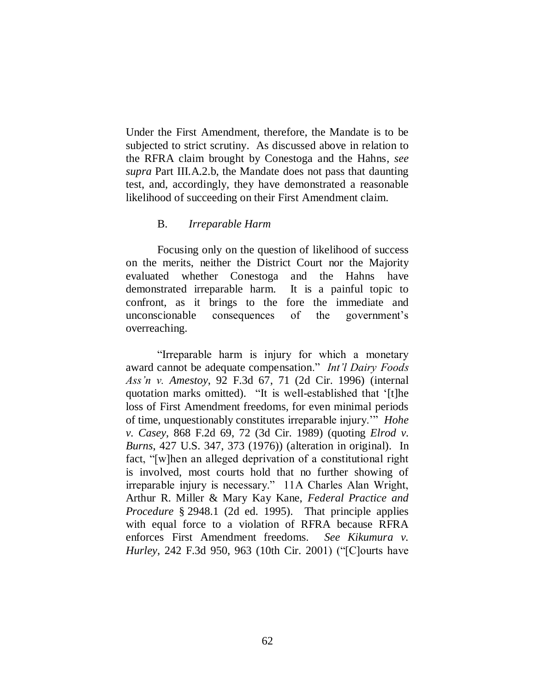Under the First Amendment, therefore, the Mandate is to be subjected to strict scrutiny. As discussed above in relation to the RFRA claim brought by Conestoga and the Hahns, *see supra* Part III.A.2.b, the Mandate does not pass that daunting test, and, accordingly, they have demonstrated a reasonable likelihood of succeeding on their First Amendment claim.

### B. *Irreparable Harm*

Focusing only on the question of likelihood of success on the merits, neither the District Court nor the Majority evaluated whether Conestoga and the Hahns have demonstrated irreparable harm. It is a painful topic to confront, as it brings to the fore the immediate and unconscionable consequences of the government"s overreaching.

"Irreparable harm is injury for which a monetary award cannot be adequate compensation." *Int'l Dairy Foods Ass'n v. Amestoy*, 92 F.3d 67, 71 (2d Cir. 1996) (internal quotation marks omitted). "It is well-established that "[t]he loss of First Amendment freedoms, for even minimal periods of time, unquestionably constitutes irreparable injury."" *Hohe v. Casey*, 868 F.2d 69, 72 (3d Cir. 1989) (quoting *Elrod v. Burns*, 427 U.S. 347, 373 (1976)) (alteration in original). In fact, "[w]hen an alleged deprivation of a constitutional right is involved, most courts hold that no further showing of irreparable injury is necessary." 11A Charles Alan Wright, Arthur R. Miller & Mary Kay Kane, *Federal Practice and Procedure* § 2948.1 (2d ed. 1995). That principle applies with equal force to a violation of RFRA because RFRA enforces First Amendment freedoms. *See Kikumura v. Hurley*, 242 F.3d 950, 963 (10th Cir. 2001) ("[C]ourts have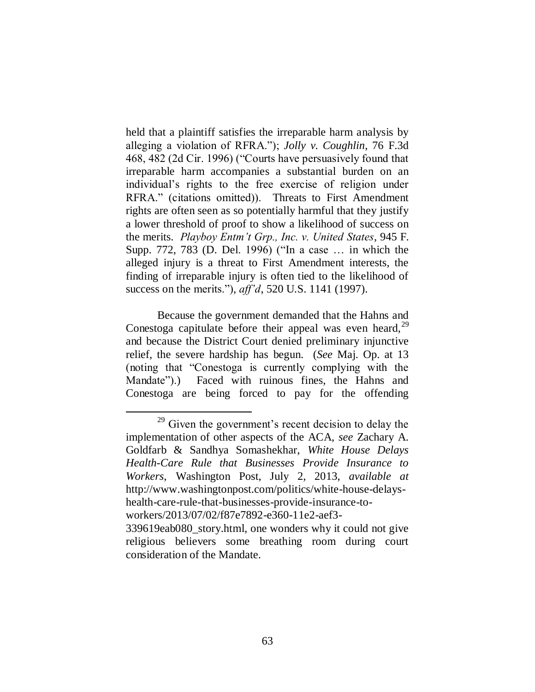held that a plaintiff satisfies the irreparable harm analysis by alleging a violation of RFRA."); *Jolly v. Coughlin*, 76 F.3d 468, 482 (2d Cir. 1996) ("Courts have persuasively found that irreparable harm accompanies a substantial burden on an individual"s rights to the free exercise of religion under RFRA." (citations omitted)). Threats to First Amendment rights are often seen as so potentially harmful that they justify a lower threshold of proof to show a likelihood of success on the merits. *Playboy Entm't Grp., Inc. v. United States*, 945 F. Supp. 772, 783 (D. Del. 1996) ("In a case … in which the alleged injury is a threat to First Amendment interests, the finding of irreparable injury is often tied to the likelihood of success on the merits."), *aff'd*, 520 U.S. 1141 (1997).

Because the government demanded that the Hahns and Conestoga capitulate before their appeal was even heard,<sup>29</sup> and because the District Court denied preliminary injunctive relief, the severe hardship has begun. (*See* Maj. Op. at 13 (noting that "Conestoga is currently complying with the Mandate").) Faced with ruinous fines, the Hahns and Conestoga are being forced to pay for the offending

 $29$  Given the government's recent decision to delay the implementation of other aspects of the ACA, *see* Zachary A. Goldfarb & Sandhya Somashekhar, *White House Delays Health-Care Rule that Businesses Provide Insurance to Workers*, Washington Post, July 2, 2013, *available at*  http://www.washingtonpost.com/politics/white-house-delayshealth-care-rule-that-businesses-provide-insurance-toworkers/2013/07/02/f87e7892-e360-11e2-aef3-

<sup>339619</sup>eab080\_story.html, one wonders why it could not give religious believers some breathing room during court consideration of the Mandate.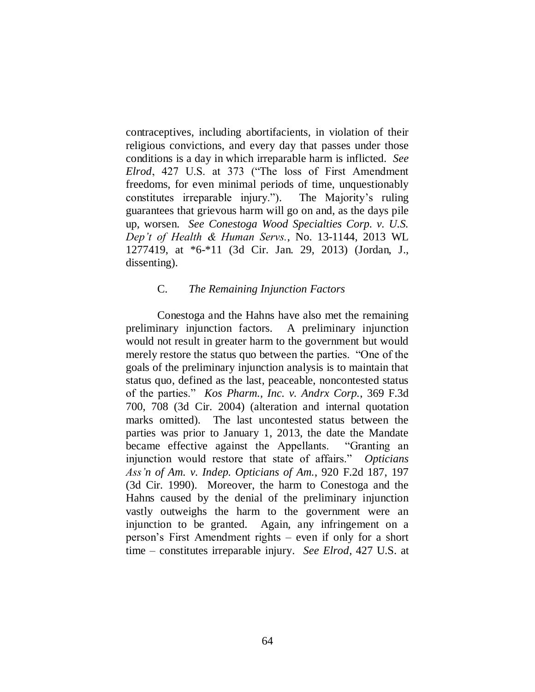contraceptives, including abortifacients, in violation of their religious convictions, and every day that passes under those conditions is a day in which irreparable harm is inflicted. *See Elrod*, 427 U.S. at 373 ("The loss of First Amendment freedoms, for even minimal periods of time, unquestionably constitutes irreparable injury."). The Majority"s ruling guarantees that grievous harm will go on and, as the days pile up, worsen. *See Conestoga Wood Specialties Corp. v. U.S. Dep't of Health & Human Servs.*, No. 13-1144, 2013 WL 1277419, at \*6-\*11 (3d Cir. Jan. 29, 2013) (Jordan, J., dissenting).

### C. *The Remaining Injunction Factors*

Conestoga and the Hahns have also met the remaining preliminary injunction factors. A preliminary injunction would not result in greater harm to the government but would merely restore the status quo between the parties. "One of the goals of the preliminary injunction analysis is to maintain that status quo, defined as the last, peaceable, noncontested status of the parties." *Kos Pharm., Inc. v. Andrx Corp.*, 369 F.3d 700, 708 (3d Cir. 2004) (alteration and internal quotation marks omitted). The last uncontested status between the parties was prior to January 1, 2013, the date the Mandate became effective against the Appellants. "Granting an injunction would restore that state of affairs." *Opticians Ass'n of Am. v. Indep. Opticians of Am.*, 920 F.2d 187, 197 (3d Cir. 1990). Moreover, the harm to Conestoga and the Hahns caused by the denial of the preliminary injunction vastly outweighs the harm to the government were an injunction to be granted. Again, any infringement on a person"s First Amendment rights – even if only for a short time – constitutes irreparable injury. *See Elrod*, 427 U.S. at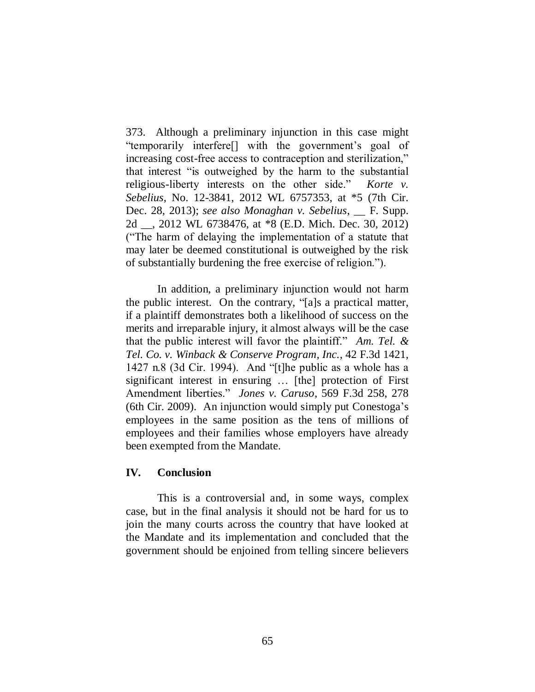373. Although a preliminary injunction in this case might "temporarily interfere[] with the government"s goal of increasing cost-free access to contraception and sterilization," that interest "is outweighed by the harm to the substantial religious-liberty interests on the other side." *Korte v. Sebelius*, No. 12-3841, 2012 WL 6757353, at \*5 (7th Cir. Dec. 28, 2013); *see also Monaghan v. Sebelius*, \_\_ F. Supp. 2d \_\_, 2012 WL 6738476, at \*8 (E.D. Mich. Dec. 30, 2012) ("The harm of delaying the implementation of a statute that may later be deemed constitutional is outweighed by the risk of substantially burdening the free exercise of religion.").

In addition, a preliminary injunction would not harm the public interest. On the contrary, "[a]s a practical matter, if a plaintiff demonstrates both a likelihood of success on the merits and irreparable injury, it almost always will be the case that the public interest will favor the plaintiff." *Am. Tel. & Tel. Co. v. Winback & Conserve Program, Inc.*, 42 F.3d 1421, 1427 n.8 (3d Cir. 1994). And "[t]he public as a whole has a significant interest in ensuring … [the] protection of First Amendment liberties." *Jones v. Caruso*, 569 F.3d 258, 278 (6th Cir. 2009). An injunction would simply put Conestoga"s employees in the same position as the tens of millions of employees and their families whose employers have already been exempted from the Mandate.

### **IV. Conclusion**

This is a controversial and, in some ways, complex case, but in the final analysis it should not be hard for us to join the many courts across the country that have looked at the Mandate and its implementation and concluded that the government should be enjoined from telling sincere believers